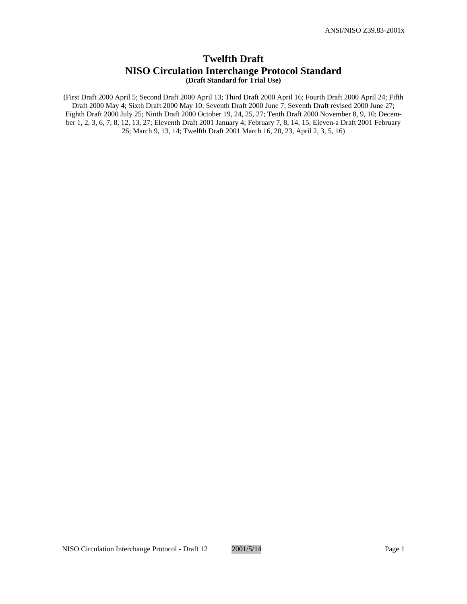# **Twelfth Draft NISO Circulation Interchange Protocol Standard (Draft Standard for Trial Use)**

(First Draft 2000 April 5; Second Draft 2000 April 13; Third Draft 2000 April 16; Fourth Draft 2000 April 24; Fifth Draft 2000 May 4; Sixth Draft 2000 May 10; Seventh Draft 2000 June 7; Seventh Draft revised 2000 June 27; Eighth Draft 2000 July 25; Ninth Draft 2000 October 19, 24, 25, 27; Tenth Draft 2000 November 8, 9, 10; December 1, 2, 3, 6, 7, 8, 12, 13, 27; Eleventh Draft 2001 January 4; February 7, 8, 14, 15, Eleven-a Draft 2001 February 26; March 9, 13, 14; Twelfth Draft 2001 March 16, 20, 23, April 2, 3, 5, 16)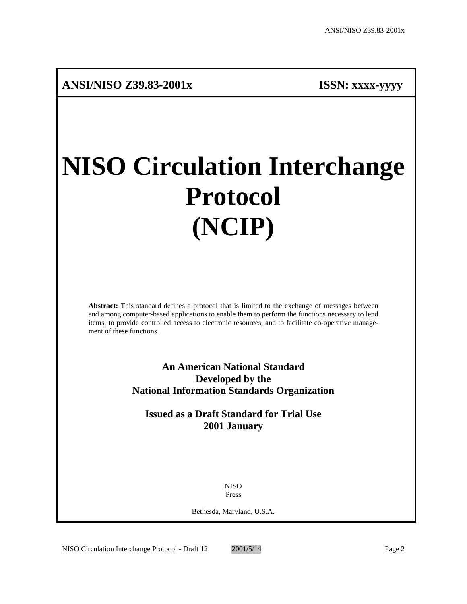# **NISO Circulation Interchange Protocol (NCIP)**

**Abstract:** This standard defines a protocol that is limited to the exchange of messages between and among computer-based applications to enable them to perform the functions necessary to lend items, to provide controlled access to electronic resources, and to facilitate co-operative management of these functions.

> **An American National Standard Developed by the National Information Standards Organization**

**Issued as a Draft Standard for Trial Use 2001 January**

> NISO Press

Bethesda, Maryland, U.S.A.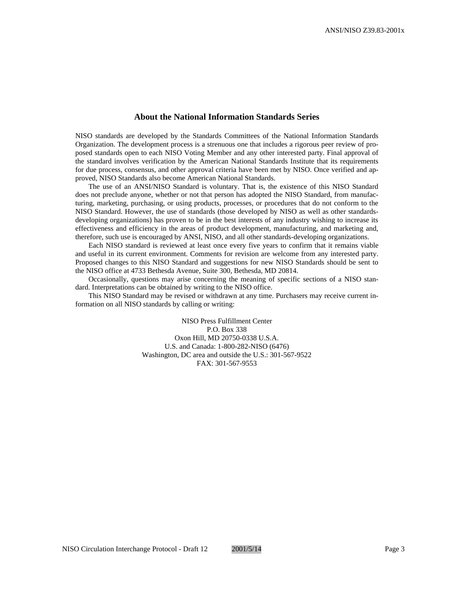# **About the National Information Standards Series**

NISO standards are developed by the Standards Committees of the National Information Standards Organization. The development process is a strenuous one that includes a rigorous peer review of proposed standards open to each NISO Voting Member and any other interested party. Final approval of the standard involves verification by the American National Standards Institute that its requirements for due process, consensus, and other approval criteria have been met by NISO. Once verified and approved, NISO Standards also become American National Standards.

The use of an ANSI/NISO Standard is voluntary. That is, the existence of this NISO Standard does not preclude anyone, whether or not that person has adopted the NISO Standard, from manufacturing, marketing, purchasing, or using products, processes, or procedures that do not conform to the NISO Standard. However, the use of standards (those developed by NISO as well as other standardsdeveloping organizations) has proven to be in the best interests of any industry wishing to increase its effectiveness and efficiency in the areas of product development, manufacturing, and marketing and, therefore, such use is encouraged by ANSI, NISO, and all other standards-developing organizations.

Each NISO standard is reviewed at least once every five years to confirm that it remains viable and useful in its current environment. Comments for revision are welcome from any interested party. Proposed changes to this NISO Standard and suggestions for new NISO Standards should be sent to the NISO office at 4733 Bethesda Avenue, Suite 300, Bethesda, MD 20814.

Occasionally, questions may arise concerning the meaning of specific sections of a NISO standard. Interpretations can be obtained by writing to the NISO office.

This NISO Standard may be revised or withdrawn at any time. Purchasers may receive current information on all NISO standards by calling or writing:

> NISO Press Fulfillment Center P.O. Box 338 Oxon Hill, MD 20750-0338 U.S.A. U.S. and Canada: 1-800-282-NISO (6476) Washington, DC area and outside the U.S.: 301-567-9522 FAX: 301-567-9553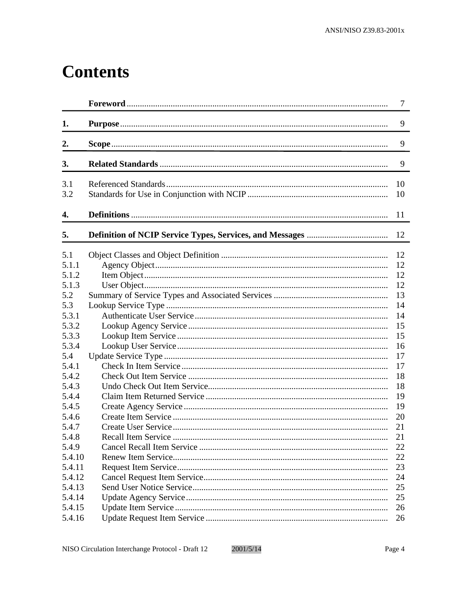# **Contents**

|                | $\overline{7}$ |
|----------------|----------------|
| 1.             | 9              |
| $\mathbf{2}$ . | 9              |
| 3.             | 9              |
| 3.1            | 10             |
| 3.2            | 10             |
| 4.             | 11             |
| 5.             | 12             |
| 5.1            | 12             |
| 5.1.1          | 12             |
| 5.1.2          | 12             |
| 5.1.3          | 12             |
| 5.2            | 13             |
| 5.3            | 14             |
| 5.3.1          | 14             |
| 5.3.2          | 15             |
| 5.3.3          | 15             |
| 5.3.4          | 16             |
| 5.4            | 17             |
| 5.4.1          | 17             |
| 5.4.2          | 18             |
| 5.4.3          | 18             |
| 5.4.4          | 19             |
| 5.4.5          | 19             |
| 5.4.6          | 20             |
| 5.4.7          | 21             |
| 5.4.8          | 21             |
| 5.4.9          | 22             |
| 5.4.10         | 22             |
| 5.4.11         | 23             |
| 5.4.12         | 24             |
| 5.4.13         | 25             |
| 5.4.14         | 25             |
| 5.4.15         | 26             |
| 5.4.16         | 26             |
|                |                |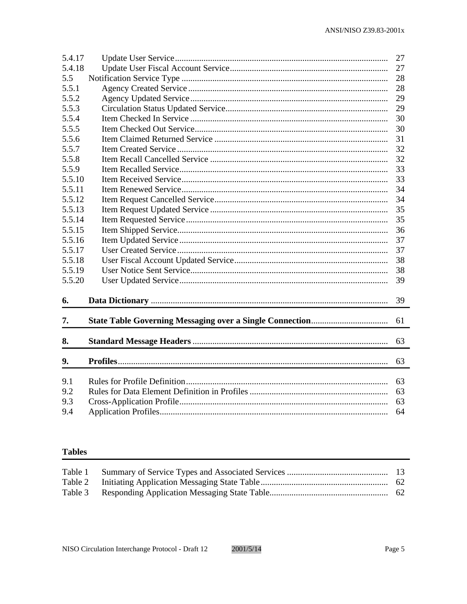| 5.4.17 | 27 |
|--------|----|
| 5.4.18 | 27 |
| 5.5    | 28 |
| 5.5.1  | 28 |
| 5.5.2  | 29 |
| 5.5.3  | 29 |
| 5.5.4  | 30 |
| 5.5.5  | 30 |
| 5.5.6  | 31 |
| 5.5.7  | 32 |
| 5.5.8  | 32 |
| 5.5.9  | 33 |
| 5.5.10 | 33 |
| 5.5.11 | 34 |
| 5.5.12 | 34 |
| 5.5.13 | 35 |
| 5.5.14 | 35 |
| 5.5.15 | 36 |
| 5.5.16 | 37 |
| 5.5.17 | 37 |
| 5.5.18 | 38 |
| 5.5.19 | 38 |
| 5.5.20 | 39 |
|        |    |
| 6.     | 39 |
|        |    |
| 7.     | 61 |
| 8.     | 63 |
|        |    |
| 9.     | 63 |
| 9.1    | 63 |
| 9.2    | 63 |
| 9.3    | 63 |
|        |    |
| 9.4    | 64 |

# **Tables**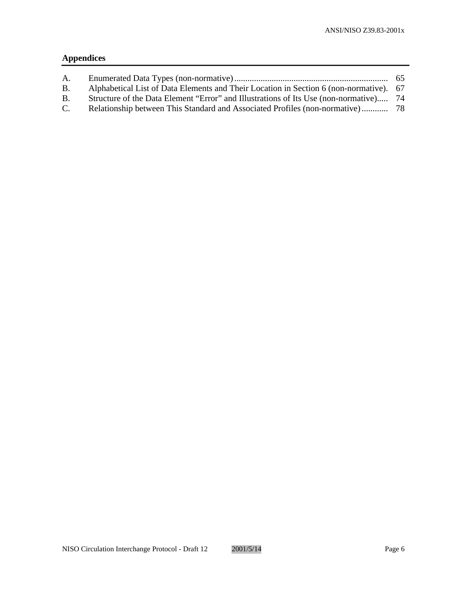# **Appendices**

| А.          |                                                                                        |  |
|-------------|----------------------------------------------------------------------------------------|--|
| <b>B.</b>   | Alphabetical List of Data Elements and Their Location in Section 6 (non-normative). 67 |  |
| B.          | Structure of the Data Element "Error" and Illustrations of Its Use (non-normative) 74  |  |
| $C_{\cdot}$ |                                                                                        |  |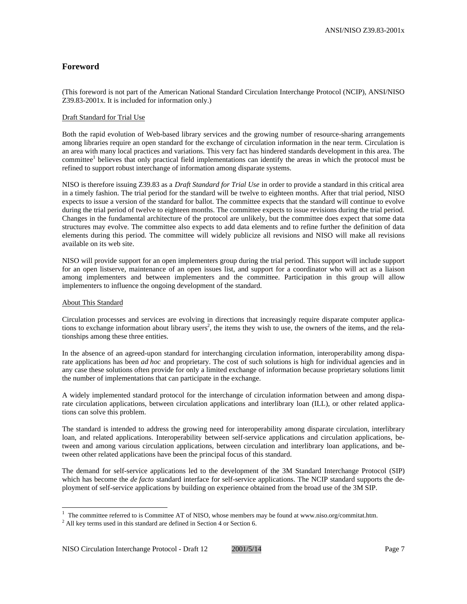# **Foreword**

(This foreword is not part of the American National Standard Circulation Interchange Protocol (NCIP), ANSI/NISO Z39.83-2001x. It is included for information only.)

#### Draft Standard for Trial Use

Both the rapid evolution of Web-based library services and the growing number of resource-sharing arrangements among libraries require an open standard for the exchange of circulation information in the near term. Circulation is an area with many local practices and variations. This very fact has hindered standards development in this area. The committee<sup>1</sup> believes that only practical field implementations can identify the areas in which the protocol must be refined to support robust interchange of information among disparate systems.

NISO is therefore issuing Z39.83 as a *Draft Standard for Trial Use* in order to provide a standard in this critical area in a timely fashion. The trial period for the standard will be twelve to eighteen months. After that trial period, NISO expects to issue a version of the standard for ballot. The committee expects that the standard will continue to evolve during the trial period of twelve to eighteen months. The committee expects to issue revisions during the trial period. Changes in the fundamental architecture of the protocol are unlikely, but the committee does expect that some data structures may evolve. The committee also expects to add data elements and to refine further the definition of data elements during this period. The committee will widely publicize all revisions and NISO will make all revisions available on its web site.

NISO will provide support for an open implementers group during the trial period. This support will include support for an open listserve, maintenance of an open issues list, and support for a coordinator who will act as a liaison among implementers and between implementers and the committee. Participation in this group will allow implementers to influence the ongoing development of the standard.

#### About This Standard

 $\overline{a}$ 

Circulation processes and services are evolving in directions that increasingly require disparate computer applications to exchange information about library users<sup>2</sup>, the items they wish to use, the owners of the items, and the relationships among these three entities.

In the absence of an agreed-upon standard for interchanging circulation information, interoperability among disparate applications has been *ad hoc* and proprietary. The cost of such solutions is high for individual agencies and in any case these solutions often provide for only a limited exchange of information because proprietary solutions limit the number of implementations that can participate in the exchange.

A widely implemented standard protocol for the interchange of circulation information between and among disparate circulation applications, between circulation applications and interlibrary loan (ILL), or other related applications can solve this problem.

The standard is intended to address the growing need for interoperability among disparate circulation, interlibrary loan, and related applications. Interoperability between self-service applications and circulation applications, between and among various circulation applications, between circulation and interlibrary loan applications, and between other related applications have been the principal focus of this standard.

The demand for self-service applications led to the development of the 3M Standard Interchange Protocol (SIP) which has become the *de facto* standard interface for self-service applications. The NCIP standard supports the deployment of self-service applications by building on experience obtained from the broad use of the 3M SIP.

<sup>&</sup>lt;sup>1</sup> The committee referred to is Committee AT of NISO, whose members may be found at www.niso.org/commitat.htm.

 $2$  All key terms used in this standard are defined in Section 4 or Section 6.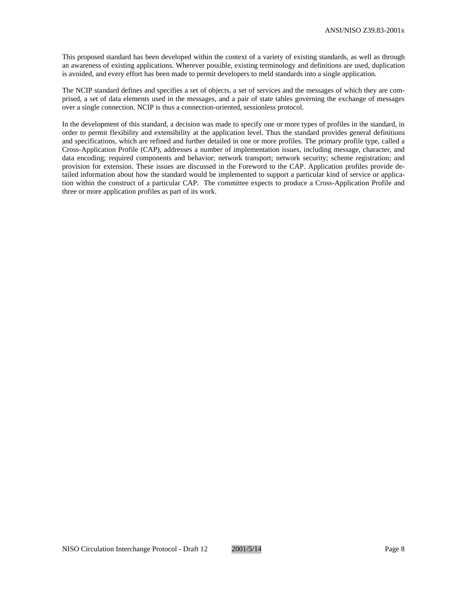This proposed standard has been developed within the context of a variety of existing standards, as well as through an awareness of existing applications. Wherever possible, existing terminology and definitions are used, duplication is avoided, and every effort has been made to permit developers to meld standards into a single application.

The NCIP standard defines and specifies a set of objects, a set of services and the messages of which they are comprised, a set of data elements used in the messages, and a pair of state tables governing the exchange of messages over a single connection. NCIP is thus a connection-oriented, sessionless protocol.

In the development of this standard, a decision was made to specify one or more types of profiles in the standard, in order to permit flexibility and extensibility at the application level. Thus the standard provides general definitions and specifications, which are refined and further detailed in one or more profiles. The primary profile type, called a Cross-Application Profile (CAP), addresses a number of implementation issues, including message, character, and data encoding; required components and behavior; network transport; network security; scheme registration; and provision for extension. These issues are discussed in the Foreword to the CAP. Application profiles provide detailed information about how the standard would be implemented to support a particular kind of service or application within the construct of a particular CAP. The committee expects to produce a Cross-Application Profile and three or more application profiles as part of its work.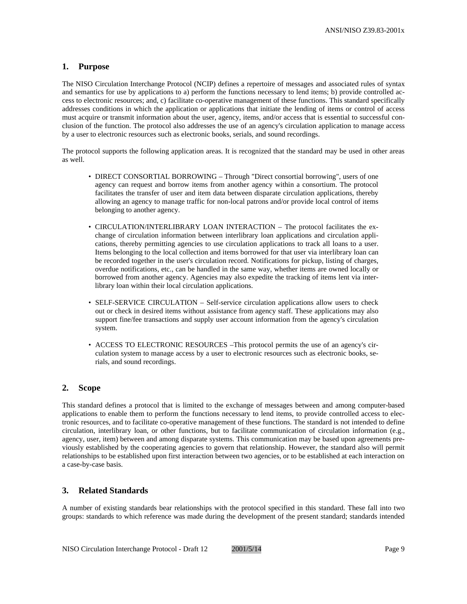# **1. Purpose**

The NISO Circulation Interchange Protocol (NCIP) defines a repertoire of messages and associated rules of syntax and semantics for use by applications to a) perform the functions necessary to lend items; b) provide controlled access to electronic resources; and, c) facilitate co-operative management of these functions. This standard specifically addresses conditions in which the application or applications that initiate the lending of items or control of access must acquire or transmit information about the user, agency, items, and/or access that is essential to successful conclusion of the function. The protocol also addresses the use of an agency's circulation application to manage access by a user to electronic resources such as electronic books, serials, and sound recordings.

The protocol supports the following application areas. It is recognized that the standard may be used in other areas as well.

- DIRECT CONSORTIAL BORROWING Through "Direct consortial borrowing", users of one agency can request and borrow items from another agency within a consortium. The protocol facilitates the transfer of user and item data between disparate circulation applications, thereby allowing an agency to manage traffic for non-local patrons and/or provide local control of items belonging to another agency.
- CIRCULATION/INTERLIBRARY LOAN INTERACTION The protocol facilitates the exchange of circulation information between interlibrary loan applications and circulation applications, thereby permitting agencies to use circulation applications to track all loans to a user. Items belonging to the local collection and items borrowed for that user via interlibrary loan can be recorded together in the user's circulation record. Notifications for pickup, listing of charges, overdue notifications, etc., can be handled in the same way, whether items are owned locally or borrowed from another agency. Agencies may also expedite the tracking of items lent via interlibrary loan within their local circulation applications.
- SELF-SERVICE CIRCULATION Self-service circulation applications allow users to check out or check in desired items without assistance from agency staff. These applications may also support fine/fee transactions and supply user account information from the agency's circulation system.
- ACCESS TO ELECTRONIC RESOURCES –This protocol permits the use of an agency's circulation system to manage access by a user to electronic resources such as electronic books, serials, and sound recordings.

# **2. Scope**

This standard defines a protocol that is limited to the exchange of messages between and among computer-based applications to enable them to perform the functions necessary to lend items, to provide controlled access to electronic resources, and to facilitate co-operative management of these functions. The standard is not intended to define circulation, interlibrary loan, or other functions, but to facilitate communication of circulation information (e.g., agency, user, item) between and among disparate systems. This communication may be based upon agreements previously established by the cooperating agencies to govern that relationship. However, the standard also will permit relationships to be established upon first interaction between two agencies, or to be established at each interaction on a case-by-case basis.

# **3. Related Standards**

A number of existing standards bear relationships with the protocol specified in this standard. These fall into two groups: standards to which reference was made during the development of the present standard; standards intended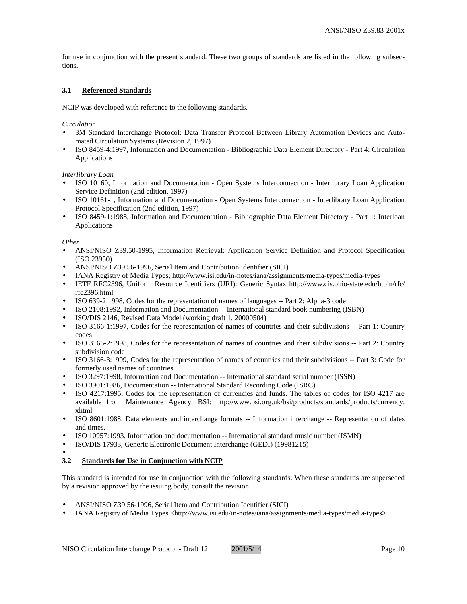for use in conjunction with the present standard. These two groups of standards are listed in the following subsections.

#### **3.1 Referenced Standards**

NCIP was developed with reference to the following standards.

#### *Circulation*

- 3M Standard Interchange Protocol: Data Transfer Protocol Between Library Automation Devices and Automated Circulation Systems (Revision 2, 1997)
- ISO 8459-4:1997, Information and Documentation Bibliographic Data Element Directory Part 4: Circulation Applications

#### *Interlibrary Loan*

- ISO 10160, Information and Documentation Open Systems Interconnection Interlibrary Loan Application Service Definition (2nd edition, 1997)
- ISO 10161-1, Information and Documentation Open Systems Interconnection Interlibrary Loan Application Protocol Specification (2nd edition, 1997)
- ISO 8459-1:1988, Information and Documentation Bibliographic Data Element Directory Part 1: Interloan Applications

#### *Other*

- ANSI/NISO Z39.50-1995, Information Retrieval: Application Service Definition and Protocol Specification (ISO 23950)
- ANSI/NISO Z39.56-1996, Serial Item and Contribution Identifier (SICI)
- IANA Registry of Media Types; http://www.isi.edu/in-notes/iana/assignments/media-types/media-types
- IETF RFC2396, Uniform Resource Identifiers (URI): Generic Syntax http://www.cis.ohio-state.edu/htbin/rfc/ rfc2396.html
- ISO 639-2:1998, Codes for the representation of names of languages -- Part 2: Alpha-3 code
- ISO 2108:1992, Information and Documentation -- International standard book numbering (ISBN)
- ISO/DIS 2146, Revised Data Model (working draft 1, 20000504)
- ISO 3166-1:1997, Codes for the representation of names of countries and their subdivisions -- Part 1: Country codes
- ISO 3166-2:1998, Codes for the representation of names of countries and their subdivisions -- Part 2: Country subdivision code
- ISO 3166-3:1999, Codes for the representation of names of countries and their subdivisions -- Part 3: Code for formerly used names of countries
- ISO 3297:1998, Information and Documentation -- International standard serial number (ISSN)
- ISO 3901:1986, Documentation -- International Standard Recording Code (ISRC)
- ISO 4217:1995, Codes for the representation of currencies and funds. The tables of codes for ISO 4217 are available from Maintenance Agency, BSI: http://www.bsi.org.uk/bsi/products/standards/products/currency. xhtml
- ISO 8601:1988, Data elements and interchange formats -- Information interchange -- Representation of dates and times.
- ISO 10957:1993, Information and documentation -- International standard music number (ISMN)
- ISO/DIS 17933, Generic Electronic Document Interchange (GEDI) (19981215)

#### • **3.2 Standards for Use in Conjunction with NCIP**

This standard is intended for use in conjunction with the following standards. When these standards are superseded by a revision approved by the issuing body, consult the revision.

- ANSI/NISO Z39.56-1996, Serial Item and Contribution Identifier (SICI)
- IANA Registry of Media Types <http://www.isi.edu/in-notes/iana/assignments/media-types/media-types>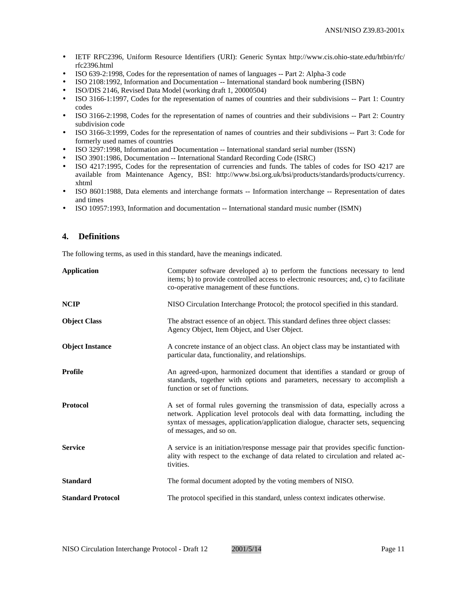- IETF RFC2396, Uniform Resource Identifiers (URI): Generic Syntax http://www.cis.ohio-state.edu/htbin/rfc/ rfc2396.html
- ISO 639-2:1998, Codes for the representation of names of languages -- Part 2: Alpha-3 code
- ISO 2108:1992, Information and Documentation -- International standard book numbering (ISBN)
- ISO/DIS 2146, Revised Data Model (working draft 1, 20000504)
- ISO 3166-1:1997, Codes for the representation of names of countries and their subdivisions -- Part 1: Country codes
- ISO 3166-2:1998, Codes for the representation of names of countries and their subdivisions -- Part 2: Country subdivision code
- ISO 3166-3:1999, Codes for the representation of names of countries and their subdivisions -- Part 3: Code for formerly used names of countries
- ISO 3297:1998, Information and Documentation -- International standard serial number (ISSN)
- ISO 3901:1986, Documentation -- International Standard Recording Code (ISRC)
- ISO 4217:1995, Codes for the representation of currencies and funds. The tables of codes for ISO 4217 are available from Maintenance Agency, BSI: http://www.bsi.org.uk/bsi/products/standards/products/currency. xhtml
- ISO 8601:1988, Data elements and interchange formats -- Information interchange -- Representation of dates and times
- ISO 10957:1993, Information and documentation -- International standard music number (ISMN)

# **4. Definitions**

The following terms, as used in this standard, have the meanings indicated.

| <b>Application</b>       | Computer software developed a) to perform the functions necessary to lend<br>items; b) to provide controlled access to electronic resources; and, c) to facilitate<br>co-operative management of these functions.                                                             |
|--------------------------|-------------------------------------------------------------------------------------------------------------------------------------------------------------------------------------------------------------------------------------------------------------------------------|
| <b>NCIP</b>              | NISO Circulation Interchange Protocol; the protocol specified in this standard.                                                                                                                                                                                               |
| <b>Object Class</b>      | The abstract essence of an object. This standard defines three object classes:<br>Agency Object, Item Object, and User Object.                                                                                                                                                |
| <b>Object Instance</b>   | A concrete instance of an object class. An object class may be instantiated with<br>particular data, functionality, and relationships.                                                                                                                                        |
| Profile                  | An agreed-upon, harmonized document that identifies a standard or group of<br>standards, together with options and parameters, necessary to accomplish a<br>function or set of functions.                                                                                     |
| <b>Protocol</b>          | A set of formal rules governing the transmission of data, especially across a<br>network. Application level protocols deal with data formatting, including the<br>syntax of messages, application/application dialogue, character sets, sequencing<br>of messages, and so on. |
| <b>Service</b>           | A service is an initiation/response message pair that provides specific function-<br>ality with respect to the exchange of data related to circulation and related ac-<br>tivities.                                                                                           |
| <b>Standard</b>          | The formal document adopted by the voting members of NISO.                                                                                                                                                                                                                    |
| <b>Standard Protocol</b> | The protocol specified in this standard, unless context indicates otherwise.                                                                                                                                                                                                  |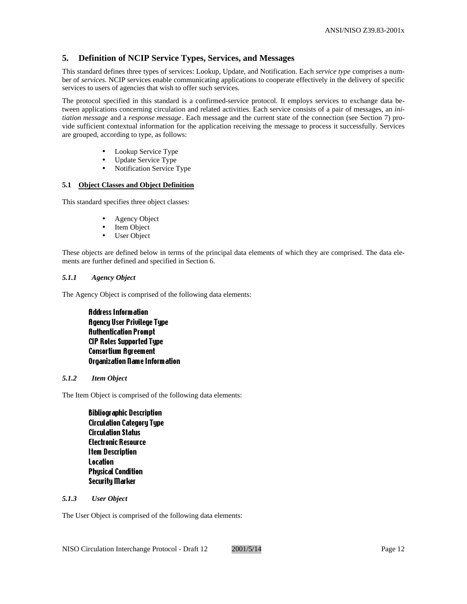# **5. Definition of NCIP Service Types, Services, and Messages**

This standard defines three types of services: Lookup, Update, and Notification. Each *service type* comprises a number of *services*. NCIP services enable communicating applications to cooperate effectively in the delivery of specific services to users of agencies that wish to offer such services.

The protocol specified in this standard is a confirmed-service protocol. It employs services to exchange data between applications concerning circulation and related activities. Each service consists of a pair of messages, an *initiation message* and a *response message*. Each message and the current state of the connection (see Section 7) provide sufficient contextual information for the application receiving the message to process it successfully. Services are grouped, according to type, as follows:

- Lookup Service Type
- Update Service Type
- Notification Service Type

# **5.1 Object Classes and Object Definition**

This standard specifies three object classes:

- Agency Object
- Item Object
- User Object

These objects are defined below in terms of the principal data elements of which they are comprised. The data elements are further defined and specified in Section 6.

# *5.1.1 Agency Object*

The Agency Object is comprised of the following data elements:

Address Information Agency User Privilege Type Authentication Prompt CIP Roles Supported Type Consortium Agreement Organization Name Information

#### *5.1.2 Item Object*

The Item Object is comprised of the following data elements:

Bibliographic Description Circulation Category Type Circulation Status Electronic Resource Item Description Location **Physical Condition** Security Marker

#### *5.1.3 User Object*

The User Object is comprised of the following data elements: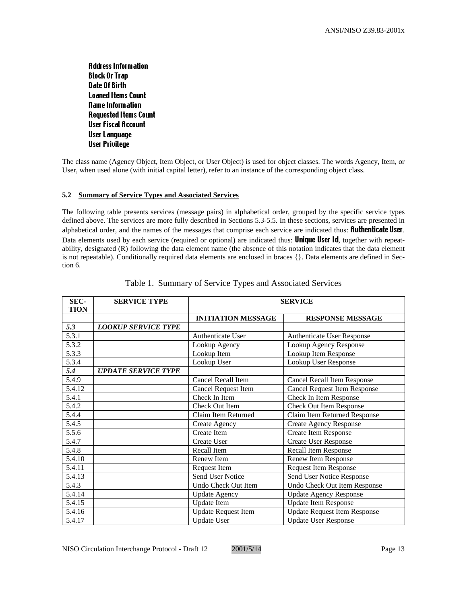Address Information Block Or Trap Date Of Birth Loaned Items Count Name Information Requested Items Count User Fiscal Account User Language User Privilege

The class name (Agency Object, Item Object, or User Object) is used for object classes. The words Agency, Item, or User, when used alone (with initial capital letter), refer to an instance of the corresponding object class.

# **5.2 Summary of Service Types and Associated Services**

The following table presents services (message pairs) in alphabetical order, grouped by the specific service types defined above. The services are more fully described in Sections 5.3-5.5. In these sections, services are presented in alphabetical order, and the names of the messages that comprise each service are indicated thus: **fluthenticate User**. Data elements used by each service (required or optional) are indicated thus: **Unique User Id**, together with repeatability, designated (R) following the data element name (the absence of this notation indicates that the data element is not repeatable). Conditionally required data elements are enclosed in braces {}. Data elements are defined in Section 6.

| SEC-<br><b>TION</b> | <b>SERVICE TYPE</b>        | <b>SERVICE</b>             |                                     |
|---------------------|----------------------------|----------------------------|-------------------------------------|
|                     |                            | <b>INITIATION MESSAGE</b>  | <b>RESPONSE MESSAGE</b>             |
| 5.3                 | <b>LOOKUP SERVICE TYPE</b> |                            |                                     |
| 5.3.1               |                            | Authenticate User          | <b>Authenticate User Response</b>   |
| 5.3.2               |                            | Lookup Agency              | Lookup Agency Response              |
| 5.3.3               |                            | Lookup Item                | Lookup Item Response                |
| 5.3.4               |                            | Lookup User                | Lookup User Response                |
| 5.4                 | <b>UPDATE SERVICE TYPE</b> |                            |                                     |
| 5.4.9               |                            | Cancel Recall Item         | <b>Cancel Recall Item Response</b>  |
| 5.4.12              |                            | <b>Cancel Request Item</b> | <b>Cancel Request Item Response</b> |
| 5.4.1               |                            | Check In Item              | Check In Item Response              |
| 5.4.2               |                            | Check Out Item             | Check Out Item Response             |
| 5.4.4               |                            | Claim Item Returned        | Claim Item Returned Response        |
| 5.4.5               |                            | Create Agency              | <b>Create Agency Response</b>       |
| 5.5.6               |                            | Create Item                | Create Item Response                |
| 5.4.7               |                            | Create User                | <b>Create User Response</b>         |
| 5.4.8               |                            | Recall Item                | <b>Recall Item Response</b>         |
| 5.4.10              |                            | Renew Item                 | Renew Item Response                 |
| 5.4.11              |                            | Request Item               | Request Item Response               |
| 5.4.13              |                            | Send User Notice           | Send User Notice Response           |
| 5.4.3               |                            | Undo Check Out Item        | Undo Check Out Item Response        |
| 5.4.14              |                            | <b>Update Agency</b>       | <b>Update Agency Response</b>       |
| 5.4.15              |                            | <b>Update</b> Item         | <b>Update Item Response</b>         |
| 5.4.16              |                            | <b>Update Request Item</b> | <b>Update Request Item Response</b> |
| 5.4.17              |                            | <b>Update User</b>         | <b>Update User Response</b>         |

|  |  | Table 1. Summary of Service Types and Associated Services |  |
|--|--|-----------------------------------------------------------|--|
|  |  |                                                           |  |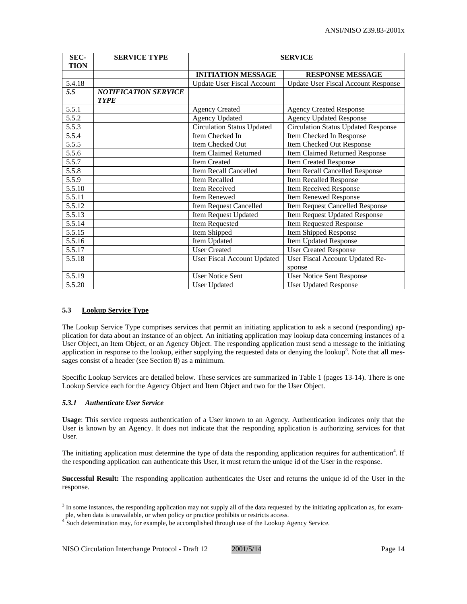| SEC-<br><b>TION</b> | <b>SERVICE TYPE</b>                        | <b>SERVICE</b>                     |                                            |  |
|---------------------|--------------------------------------------|------------------------------------|--------------------------------------------|--|
|                     |                                            | <b>INITIATION MESSAGE</b>          | <b>RESPONSE MESSAGE</b>                    |  |
| 5.4.18              |                                            | <b>Update User Fiscal Account</b>  | <b>Update User Fiscal Account Response</b> |  |
| 5.5                 | <b>NOTIFICATION SERVICE</b><br><b>TYPE</b> |                                    |                                            |  |
| 5.5.1               |                                            | <b>Agency Created</b>              | <b>Agency Created Response</b>             |  |
| 5.5.2               |                                            | <b>Agency Updated</b>              | <b>Agency Updated Response</b>             |  |
| $\overline{5.5.3}$  |                                            | <b>Circulation Status Updated</b>  | <b>Circulation Status Updated Response</b> |  |
| 5.5.4               |                                            | Item Checked In                    | Item Checked In Response                   |  |
| 5.5.5               |                                            | Item Checked Out                   | Item Checked Out Response                  |  |
| 5.5.6               |                                            | Item Claimed Returned              | <b>Item Claimed Returned Response</b>      |  |
| $\overline{5.5.7}$  |                                            | <b>Item Created</b>                | Item Created Response                      |  |
| 5.5.8               |                                            | Item Recall Cancelled              | Item Recall Cancelled Response             |  |
| 5.5.9               |                                            | <b>Item Recalled</b>               | <b>Item Recalled Response</b>              |  |
| 5.5.10              |                                            | <b>Item Received</b>               | Item Received Response                     |  |
| 5.5.11              |                                            | Item Renewed                       | <b>Item Renewed Response</b>               |  |
| 5.5.12              |                                            | Item Request Cancelled             | <b>Item Request Cancelled Response</b>     |  |
| 5.5.13              |                                            | Item Request Updated               | Item Request Updated Response              |  |
| 5.5.14              |                                            | Item Requested                     | Item Requested Response                    |  |
| 5.5.15              |                                            | Item Shipped                       | <b>Item Shipped Response</b>               |  |
| 5.5.16              |                                            | Item Updated                       | Item Updated Response                      |  |
| 5.5.17              |                                            | <b>User Created</b>                | <b>User Created Response</b>               |  |
| 5.5.18              |                                            | <b>User Fiscal Account Updated</b> | User Fiscal Account Updated Re-            |  |
|                     |                                            |                                    | sponse                                     |  |
| 5.5.19              |                                            | <b>User Notice Sent</b>            | <b>User Notice Sent Response</b>           |  |
| 5.5.20              |                                            | <b>User Updated</b>                | <b>User Updated Response</b>               |  |

# **5.3 Lookup Service Type**

The Lookup Service Type comprises services that permit an initiating application to ask a second (responding) application for data about an instance of an object. An initiating application may lookup data concerning instances of a User Object, an Item Object, or an Agency Object. The responding application must send a message to the initiating application in response to the lookup, either supplying the requested data or denying the lookup<sup>3</sup>. Note that all messages consist of a header (see Section 8) as a minimum.

Specific Lookup Services are detailed below. These services are summarized in Table 1 (pages 13-14). There is one Lookup Service each for the Agency Object and Item Object and two for the User Object.

# *5.3.1 Authenticate User Service*

**Usage**: This service requests authentication of a User known to an Agency. Authentication indicates only that the User is known by an Agency. It does not indicate that the responding application is authorizing services for that User.

The initiating application must determine the type of data the responding application requires for authentication<sup>4</sup>. If the responding application can authenticate this User, it must return the unique id of the User in the response.

**Successful Result:** The responding application authenticates the User and returns the unique id of the User in the response.

<sup>&</sup>lt;sup>3</sup> In some instances, the responding application may not supply all of the data requested by the initiating application as, for example, when data is unavailable, or when policy or practice prohibits or restricts access.

<sup>&</sup>lt;sup>4</sup> Such determination may, for example, be accomplished through use of the Lookup Agency Service.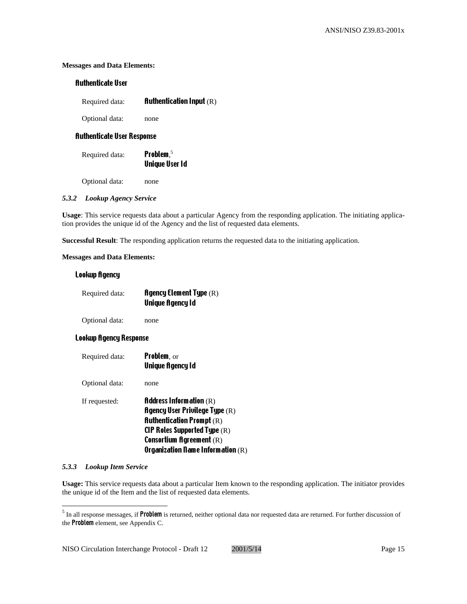# **Messages and Data Elements:**

# Authenticate User

| Required data: | <b>Authentication Input</b> $(R)$ |  |  |  |
|----------------|-----------------------------------|--|--|--|
|----------------|-----------------------------------|--|--|--|

Optional data: none

# Authenticate User Response

| Required data: | <b>Problem.</b> $5$   |
|----------------|-----------------------|
|                | <b>Unique User Id</b> |
|                |                       |

Optional data: none

#### *5.3.2 Lookup Agency Service*

**Usage**: This service requests data about a particular Agency from the responding application. The initiating application provides the unique id of the Agency and the list of requested data elements.

**Successful Result**: The responding application returns the requested data to the initiating application.

#### **Messages and Data Elements:**

# Lookup Agency

| Required data: | <b>Agency Element Type</b> $(R)$ |
|----------------|----------------------------------|
|                | Unique Agency Id                 |

Optional data: none

# Lookup Agency Response

Required data: Problem, or Unique Agency Id Optional data: none If requested:  $\blacksquare$  **Address Information** (R) Agency User Privilege Type (R) **Authentication Prompt**  $(R)$ CIP Roles Supported Type (R) Consortium Agreement (R) Organization Name Information (R)

#### *5.3.3 Lookup Item Service*

l

**Usage:** This service requests data about a particular Item known to the responding application. The initiator provides the unique id of the Item and the list of requested data elements.

<sup>&</sup>lt;sup>5</sup> In all response messages, if Problem is returned, neither optional data nor requested data are returned. For further discussion of the **Problem** element, see Appendix C.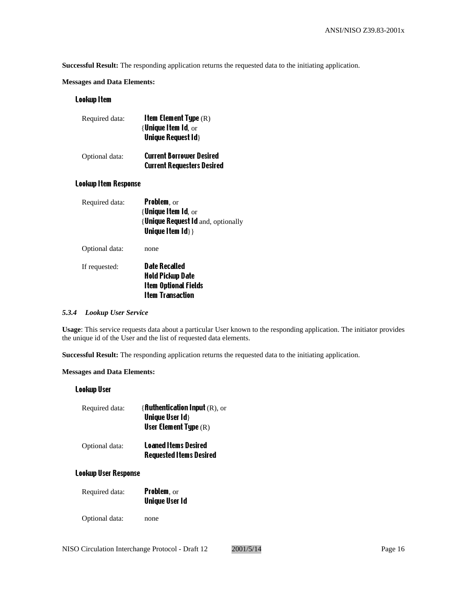**Successful Result:** The responding application returns the requested data to the initiating application.

# **Messages and Data Elements:**

# Lookup Item

| Required data: | <b>Item Element Type</b> $(R)$<br>$\{$ Unique Item Id, $_{\rm OT}$<br><b>Unique Request Id }</b> |
|----------------|--------------------------------------------------------------------------------------------------|
| Optional data: | <b>Current Borrower Desired</b><br><b>Current Requesters Desired</b>                             |

# Lookup Item Response

| Required data: | <b>Problem</b> , or<br>$\{$ Unique Item Id, $_{\rm OT}$<br>{Unique Request Id and, optionally<br>Unique Item $\{d\}$ } |
|----------------|------------------------------------------------------------------------------------------------------------------------|
| Optional data: | none                                                                                                                   |
| If requested:  | Date Recalled<br>Hold Pickup Date<br><b>Item Optional Fields</b><br><b>Item Transaction</b>                            |

# *5.3.4 Lookup User Service*

**Usage**: This service requests data about a particular User known to the responding application. The initiator provides the unique id of the User and the list of requested data elements.

**Successful Result:** The responding application returns the requested data to the initiating application.

# **Messages and Data Elements:**

# Lookup User

| Required data: | <b>{fluthentication Input</b> $(R)$ , or<br><b>Unique User Id }</b><br><b>User Element Type</b> $(R)$ |
|----------------|-------------------------------------------------------------------------------------------------------|
| Optional data: | <b>Loaned Items Desired</b><br><b>Requested Items Desired</b>                                         |

#### Lookup User Response

| <b>Problem</b> , or   |
|-----------------------|
| <b>Unique User Id</b> |
|                       |

Optional data: none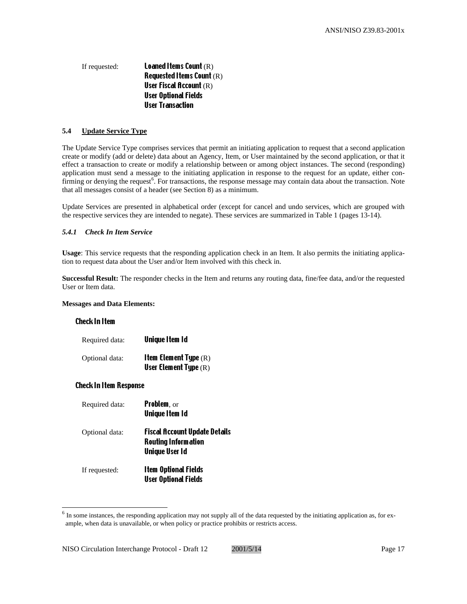# If requested: **Loaned Items Count** (R) Requested Items Count (R) User Fiscal Account (R) User Optional Fields User Transaction

# **5.4 Update Service Type**

The Update Service Type comprises services that permit an initiating application to request that a second application create or modify (add or delete) data about an Agency, Item, or User maintained by the second application, or that it effect a transaction to create or modify a relationship between or among object instances. The second (responding) application must send a message to the initiating application in response to the request for an update, either confirming or denying the request<sup>6</sup>. For transactions, the response message may contain data about the transaction. Note that all messages consist of a header (see Section 8) as a minimum.

Update Services are presented in alphabetical order (except for cancel and undo services, which are grouped with the respective services they are intended to negate). These services are summarized in Table 1 (pages 13-14).

#### *5.4.1 Check In Item Service*

**Usage**: This service requests that the responding application check in an Item. It also permits the initiating application to request data about the User and/or Item involved with this check in.

**Successful Result:** The responder checks in the Item and returns any routing data, fine/fee data, and/or the requested User or Item data.

#### **Messages and Data Elements:**

#### Check In Item

 $\overline{a}$ 

| Required data: | Unique Item Id                                                   |
|----------------|------------------------------------------------------------------|
| Optional data: | <b>Item Element Type</b> $(R)$<br><b>User Element Type</b> $(R)$ |

# Check In Item Response

| Required data: | <b>Problem</b> , or<br><b>Unique Item Id</b>                                                |
|----------------|---------------------------------------------------------------------------------------------|
| Optional data: | <b>Fiscal Account Update Details</b><br><b>Routing Information</b><br><b>Unique User Id</b> |
| If requested:  | <b>Item Optional Fields</b><br><b>User Optional Fields</b>                                  |

 $<sup>6</sup>$  In some instances, the responding application may not supply all of the data requested by the initiating application as, for ex-</sup> ample, when data is unavailable, or when policy or practice prohibits or restricts access.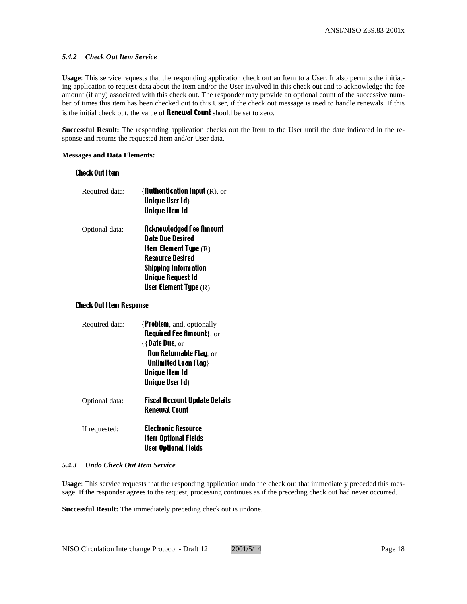#### *5.4.2 Check Out Item Service*

**Usage**: This service requests that the responding application check out an Item to a User. It also permits the initiating application to request data about the Item and/or the User involved in this check out and to acknowledge the fee amount (if any) associated with this check out. The responder may provide an optional count of the successive number of times this item has been checked out to this User, if the check out message is used to handle renewals. If this is the initial check out, the value of **Renewal Count** should be set to zero.

**Successful Result:** The responding application checks out the Item to the User until the date indicated in the response and returns the requested Item and/or User data.

#### **Messages and Data Elements:**

# Check Out Item

| Required data: | { <b>Authentication Input</b> $(R)$ , or |
|----------------|------------------------------------------|
|                | <b>Unique User Id }</b>                  |
|                | <b>Unique Item Id</b>                    |
| Optional data: | <b>Acknowledged Fee Amount</b>           |
|                | <b>Date Due Desired</b>                  |
|                | <b>Item Element Type</b> $(R)$           |
|                | <b>Resource Desired</b>                  |
|                | <b>Shipping Information</b>              |
|                | <b>Unique Request Id</b>                 |
|                | <b>User Element Type</b> $(R)$           |

#### Check Out Item Response

| Required data: | {Problem, and, optionally                                    |
|----------------|--------------------------------------------------------------|
|                | <b>Required Fee Amount</b> }, or                             |
|                | $\{ \}$ Date Due, or                                         |
|                | <b>Non Returnable Flag, or</b>                               |
|                | Unlimited Loan Flag }                                        |
|                | Unique Item Id                                               |
|                | Unique User Id}                                              |
| Optional data: | <b>Fiscal Account Update Details</b><br><b>Renewal Count</b> |
| If requested:  | <b>Electronic Resource</b><br><b>Item Optional Fields</b>    |
|                | User Optional Fields                                         |
|                |                                                              |

#### *5.4.3 Undo Check Out Item Service*

**Usage**: This service requests that the responding application undo the check out that immediately preceded this message. If the responder agrees to the request, processing continues as if the preceding check out had never occurred.

**Successful Result:** The immediately preceding check out is undone.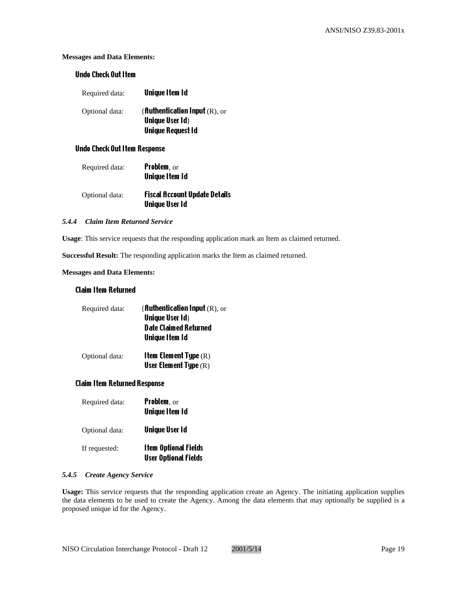# **Messages and Data Elements:**

# Undo Check Out Item

| Required data: | <b>Unique Item Id</b>                                                |
|----------------|----------------------------------------------------------------------|
| Optional data: | { <b>fluthentication lnput</b> $(R)$ , or<br><b>Unique User Id }</b> |
|                | <b>Unique Request Id</b>                                             |

# Undo Check Out Item Response

| Required data: | <b>Problem</b> , or<br><b>Unique Item Id</b>           |
|----------------|--------------------------------------------------------|
| Optional data: | Fiscal Account Update Details<br><b>Unique User Id</b> |

#### *5.4.4 Claim Item Returned Service*

**Usage**: This service requests that the responding application mark an Item as claimed returned.

**Successful Result:** The responding application marks the Item as claimed returned.

# **Messages and Data Elements:**

#### Claim Item Returned

| Required data: | { <b>Authentication Input</b> (R), or<br><b>Unique User Id }</b><br><b>Date Claimed Returned</b><br><b>Unique Item Id</b> |
|----------------|---------------------------------------------------------------------------------------------------------------------------|
| Optional data: | <b>Item Element Type</b> $(R)$<br><b>User Element Type</b> $(R)$                                                          |

# Claim Item Returned Response

| Required data: | <b>Problem, or</b><br><b>Unique Item Id</b>                |
|----------------|------------------------------------------------------------|
| Optional data: | <b>Unique User Id</b>                                      |
| If requested:  | <b>Item Optional Fields</b><br><b>User Optional Fields</b> |

#### *5.4.5 Create Agency Service*

**Usage:** This service requests that the responding application create an Agency. The initiating application supplies the data elements to be used to create the Agency. Among the data elements that may optionally be supplied is a proposed unique id for the Agency.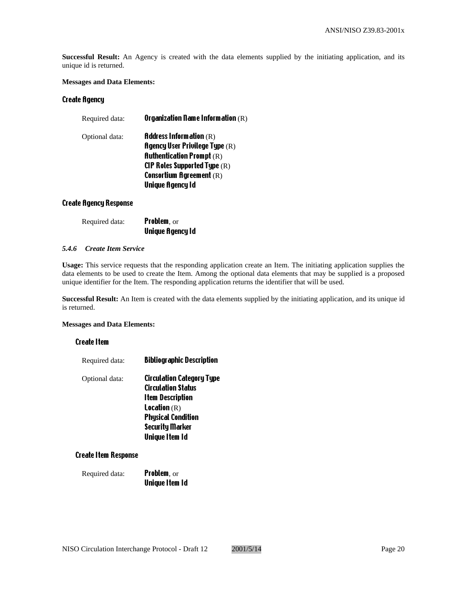**Successful Result:** An Agency is created with the data elements supplied by the initiating application, and its unique id is returned.

#### **Messages and Data Elements:**

# Create Agency

| Required data: | Organization Name Information $(R)$                |
|----------------|----------------------------------------------------|
| Optional data: | <b>Address Information</b> $(R)$                   |
|                | <b>Agency User Privilege Type <math>(R)</math></b> |
|                | <b>Authentication Prompt</b> $(R)$                 |
|                | <b>CIP Roles Supported Type</b> $(R)$              |
|                | <b>Consortium Agreement</b> $(R)$                  |
|                | <b>Unique Agency Id</b>                            |
|                |                                                    |

#### Create Agency Response

| Required data: | <b>Problem, or</b>      |  |
|----------------|-------------------------|--|
|                | <b>Unique Agency Id</b> |  |

# *5.4.6 Create Item Service*

**Usage:** This service requests that the responding application create an Item. The initiating application supplies the data elements to be used to create the Item. Among the optional data elements that may be supplied is a proposed unique identifier for the Item. The responding application returns the identifier that will be used.

**Successful Result:** An Item is created with the data elements supplied by the initiating application, and its unique id is returned.

#### **Messages and Data Elements:**

#### Create Item

| <b>Bibliographic Description</b> |
|----------------------------------|
| <b>Circulation Category Type</b> |
| <b>Circulation Status</b>        |
| <b>Item Description</b>          |
| <b>Location</b> $(R)$            |
| <b>Physical Condition</b>        |
| <b>Security Marker</b>           |
| <b>Unique Item Id</b>            |
|                                  |

# Create Item Response

| Required data: | <b>Problem, or</b>    |
|----------------|-----------------------|
|                | <b>Unique Item Id</b> |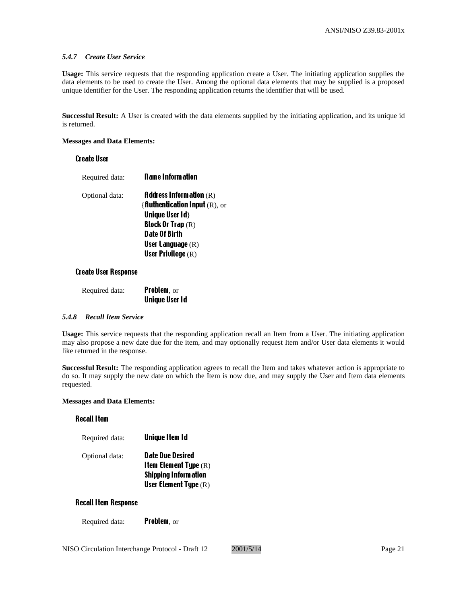#### *5.4.7 Create User Service*

**Usage:** This service requests that the responding application create a User. The initiating application supplies the data elements to be used to create the User. Among the optional data elements that may be supplied is a proposed unique identifier for the User. The responding application returns the identifier that will be used.

**Successful Result:** A User is created with the data elements supplied by the initiating application, and its unique id is returned.

#### **Messages and Data Elements:**

#### Create User

| Required data: | <b>Name Information</b>                  |
|----------------|------------------------------------------|
| Optional data: | <b>Address Information</b> $(R)$         |
|                | { <b>Authentication Input</b> $(R)$ , or |
|                | <b>Unique User Id }</b>                  |
|                | Block Or Trap $(R)$                      |
|                | Date Of Birth                            |
|                | <b>User Language</b> $(R)$               |
|                | <b>User Privilege</b> $(R)$              |
|                |                                          |

#### Create User Response

| Required data: | <b>Problem, or</b> |  |
|----------------|--------------------|--|
|                | Unique User Id     |  |

#### *5.4.8 Recall Item Service*

**Usage:** This service requests that the responding application recall an Item from a User. The initiating application may also propose a new date due for the item, and may optionally request Item and/or User data elements it would like returned in the response.

**Successful Result:** The responding application agrees to recall the Item and takes whatever action is appropriate to do so. It may supply the new date on which the Item is now due, and may supply the User and Item data elements requested.

#### **Messages and Data Elements:**

# Recall Item

| Required data: | <b>Unique Item Id</b>                                                                                               |
|----------------|---------------------------------------------------------------------------------------------------------------------|
| Optional data: | Date Due Desired<br><b>Item Element Type</b> $(R)$<br><b>Shipping Information</b><br><b>User Element Type</b> $(R)$ |

#### Recall Item Response

Required data: Problem, or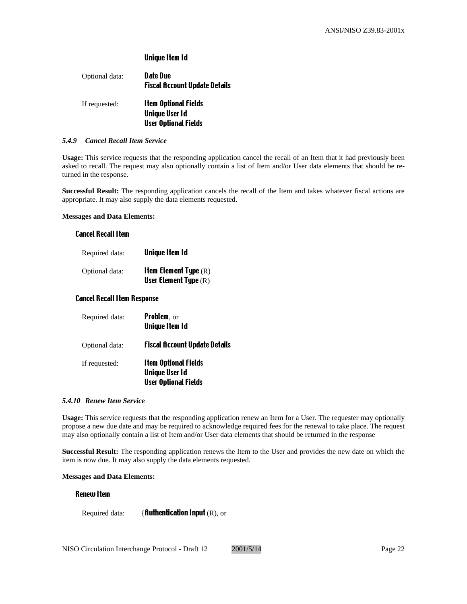# Unique Item Id

| Optional data: | Date Due<br>Fiscal Account Update Details |
|----------------|-------------------------------------------|
| If requested:  | Item Optional Fields                      |
|                | <b>Unique User Id</b>                     |
|                | <b>User Optional Fields</b>               |

#### *5.4.9 Cancel Recall Item Service*

**Usage:** This service requests that the responding application cancel the recall of an Item that it had previously been asked to recall. The request may also optionally contain a list of Item and/or User data elements that should be returned in the response.

**Successful Result:** The responding application cancels the recall of the Item and takes whatever fiscal actions are appropriate. It may also supply the data elements requested.

#### **Messages and Data Elements:**

#### Cancel Recall Item

| Required data: | Unique Item Id                                                   |
|----------------|------------------------------------------------------------------|
| Optional data: | <b>Item Element Type</b> $(R)$<br><b>User Element Type</b> $(R)$ |

#### Cancel Recall Item Response

| Required data: | <b>Problem</b> , or<br><b>Unique Item Id</b>                                        |
|----------------|-------------------------------------------------------------------------------------|
| Optional data: | <b>Fiscal Account Update Details</b>                                                |
| If requested:  | <b>Item Optional Fields</b><br><b>Unique User Id</b><br><b>User Optional Fields</b> |

#### *5.4.10 Renew Item Service*

**Usage:** This service requests that the responding application renew an Item for a User. The requester may optionally propose a new due date and may be required to acknowledge required fees for the renewal to take place. The request may also optionally contain a list of Item and/or User data elements that should be returned in the response

**Successful Result:** The responding application renews the Item to the User and provides the new date on which the item is now due. It may also supply the data elements requested.

#### **Messages and Data Elements:**

# Renew Item

Required data:  $\{$  fluthentication Input (R), or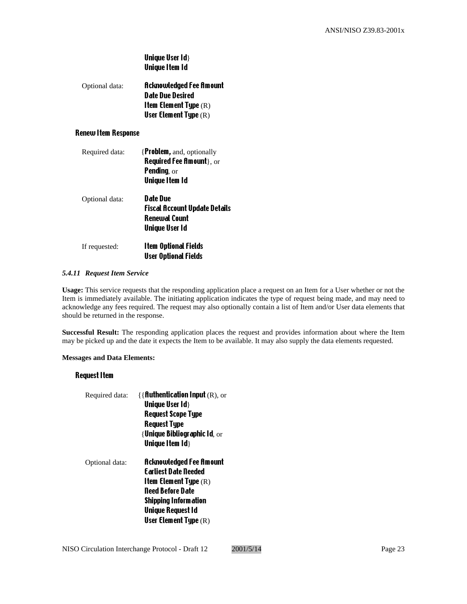| Unique User Id} |  |
|-----------------|--|
| Unique Item Id  |  |

| Optional data: | <b>Acknowledged Fee Amount</b> |
|----------------|--------------------------------|
|                | Date Due Desired               |
|                | <b>Item Element Type</b> $(R)$ |
|                | <b>User Element Type</b> $(R)$ |

# Renew Item Response

| Required data: | {Problem, and, optionally            |
|----------------|--------------------------------------|
|                | <b>Required Fee Amount</b> }, or     |
|                | <b>Pending</b> , $or$                |
|                | <b>Unique Item Id</b>                |
| Optional data: | Date Due                             |
|                | <b>Fiscal Account Update Details</b> |
|                | <b>Renewal Count</b>                 |
|                | Unique User Id                       |
| If requested:  | <b>Item Optional Fields</b>          |
|                | <b>User Optional Fields</b>          |

# *5.4.11 Request Item Service*

**Usage:** This service requests that the responding application place a request on an Item for a User whether or not the Item is immediately available. The initiating application indicates the type of request being made, and may need to acknowledge any fees required. The request may also optionally contain a list of Item and/or User data elements that should be returned in the response.

**Successful Result:** The responding application places the request and provides information about where the Item may be picked up and the date it expects the Item to be available. It may also supply the data elements requested.

#### **Messages and Data Elements:**

# Request Item

| Required data: | $\{ \{ \}$ fluthentication Input $(R)$ , or<br><b>Unique User Id }</b><br><b>Request Scope Type</b><br><b>Request Type</b> |
|----------------|----------------------------------------------------------------------------------------------------------------------------|
|                | { Unique Bibliographic Id, $or$<br><b>Unique Item Id }</b>                                                                 |
| Optional data: | <b>Acknowledged Fee Amount</b><br><b>Farliest Date Deeded</b>                                                              |
|                | <b>Item Element Type</b> $(R)$                                                                                             |
|                | <b>Need Before Date</b>                                                                                                    |
|                | <b>Shipping Information</b>                                                                                                |
|                | <b>Unique Request Id</b>                                                                                                   |
|                | <b>User Element Type</b> $(R)$                                                                                             |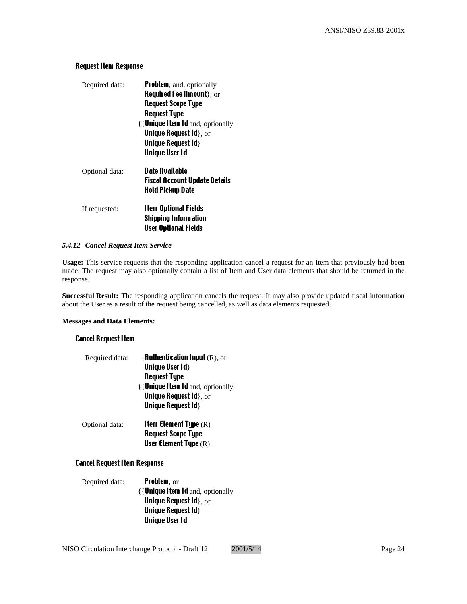# Request Item Response

| Required data: | {Problem, and, optionally         |
|----------------|-----------------------------------|
|                | <b>Required Fee Amount</b> }, or  |
|                | <b>Request Scope Type</b>         |
|                | <b>Request Type</b>               |
|                | {{ Unique Item Id and, optionally |
|                | Unique Request $Id$ , or          |
|                | <b>Unique Request Id }</b>        |
|                | <b>Unique User Id</b>             |
| Optional data: | Date Available                    |
|                | Fiscal Account Update Details     |
|                | Hold Pickup Date                  |
| If requested:  | <b>Item Optional Fields</b>       |
|                | <b>Shipping Information</b>       |
|                | <b>User Optional Fields</b>       |
|                |                                   |

# *5.4.12 Cancel Request Item Service*

**Usage:** This service requests that the responding application cancel a request for an Item that previously had been made. The request may also optionally contain a list of Item and User data elements that should be returned in the response.

**Successful Result:** The responding application cancels the request. It may also provide updated fiscal information about the User as a result of the request being cancelled, as well as data elements requested.

#### **Messages and Data Elements:**

# Cancel Request Item

| Required data: | <b>{fluthentication lnput</b> $(R)$ , or |
|----------------|------------------------------------------|
|                | <b>Unique User Id }</b>                  |
|                | <b>Request Type</b>                      |
|                | {{ <b>Unique Item Id</b> and, optionally |
|                | <b>Unique Request Id }, or</b>           |
|                | <b>Unique Request Id }</b>               |
| Optional data: | <b>Item Element Type</b> $(R)$           |
|                | <b>Request Scope Type</b>                |
|                | <b>User Element Type</b> $(R)$           |

# Cancel Request Item Response

| Required data: | <b>Problem, or</b>                        |
|----------------|-------------------------------------------|
|                | {{ <b>Unique Item Id</b> and, optionally  |
|                | <b>Unique Request <math>Id</math>, or</b> |
|                | <b>Unique Request Id }</b>                |
|                | <b>Unique User Id</b>                     |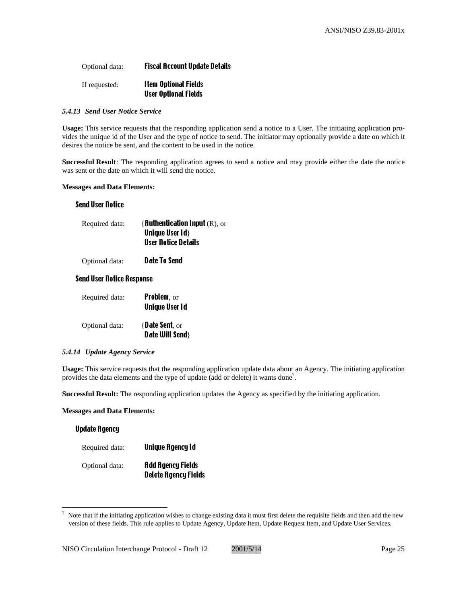# Optional data: Fiscal Account Update Details

| If requested: | <b>Item Optional Fields</b> |
|---------------|-----------------------------|
|               | <b>User Optional Fields</b> |

#### *5.4.13 Send User Notice Service*

**Usage:** This service requests that the responding application send a notice to a User. The initiating application provides the unique id of the User and the type of notice to send. The initiator may optionally provide a date on which it desires the notice be sent, and the content to be used in the notice.

**Successful Result**: The responding application agrees to send a notice and may provide either the date the notice was sent or the date on which it will send the notice.

#### **Messages and Data Elements:**

#### Send User Notice

| Required data: | { fluthentication Input $(R)$ , or |
|----------------|------------------------------------|
|                | <b>Unique User Id }</b>            |
|                | <b>User Notice Details</b>         |
|                |                                    |

Optional data: Date To Send

# Send User Notice Response

| Required data: | <b>Problem</b> , or<br><b>Unique User Id</b> |
|----------------|----------------------------------------------|
| Optional data: | $\{$ <b>Date Sent</b> , or<br>Date Will Send |

#### *5.4.14 Update Agency Service*

**Usage:** This service requests that the responding application update data about an Agency. The initiating application provides the data elements and the type of update (add or delete) it wants done<sup>7</sup>.

**Successful Result:** The responding application updates the Agency as specified by the initiating application.

# **Messages and Data Elements:**

 $\overline{a}$ 

| <b>Update Agency</b> |                                                         |
|----------------------|---------------------------------------------------------|
| Required data:       | Unique Agency Id                                        |
| Optional data:       | <b>Add Agency Fields</b><br><b>Delete Agency Fields</b> |

<sup>7</sup> Note that if the initiating application wishes to change existing data it must first delete the requisite fields and then add the new version of these fields. This rule applies to Update Agency, Update Item, Update Request Item, and Update User Services.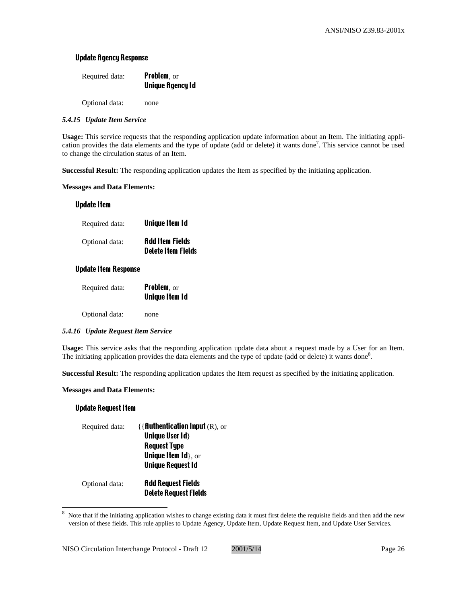# Update Agency Response

| Required data: | <b>Problem, or</b>      |
|----------------|-------------------------|
|                | <b>Unique Agency Id</b> |
|                |                         |

Optional data: none

# *5.4.15 Update Item Service*

**Usage:** This service requests that the responding application update information about an Item. The initiating application provides the data elements and the type of update (add or delete) it wants done<sup>7</sup>. This service cannot be used to change the circulation status of an Item.

**Successful Result:** The responding application updates the Item as specified by the initiating application.

# **Messages and Data Elements:**

# Update Item

| Required data: | <b>Unique Item Id</b>                               |
|----------------|-----------------------------------------------------|
| Optional data: | <b>Add Item Fields</b><br><b>Delete Item Fields</b> |

# Update Item Response

| Required data: | <b>Problem, or</b>    |
|----------------|-----------------------|
|                | <b>Unique Item Id</b> |
|                |                       |

Optional data: none

# *5.4.16 Update Request Item Service*

**Usage:** This service asks that the responding application update data about a request made by a User for an Item. The initiating application provides the data elements and the type of update (add or delete) it wants done<sup>8</sup>.

**Successful Result:** The responding application updates the Item request as specified by the initiating application.

# **Messages and Data Elements:**

# Update Request Item

 $\overline{a}$ 

| Required data: | ${R$ <b>Authentication Input</b> $(R)$ , or     |
|----------------|-------------------------------------------------|
|                | <b>Unique User Id }</b>                         |
|                | <b>Request Type</b>                             |
|                | <b>Unique Item <math>\mathbf{Id}</math>, or</b> |
|                | <b>Unique Request Id</b>                        |
| Optional data: | <b>Add Request Fields</b>                       |
|                | <b>Delete Request Fields</b>                    |

<sup>8</sup> Note that if the initiating application wishes to change existing data it must first delete the requisite fields and then add the new version of these fields. This rule applies to Update Agency, Update Item, Update Request Item, and Update User Services.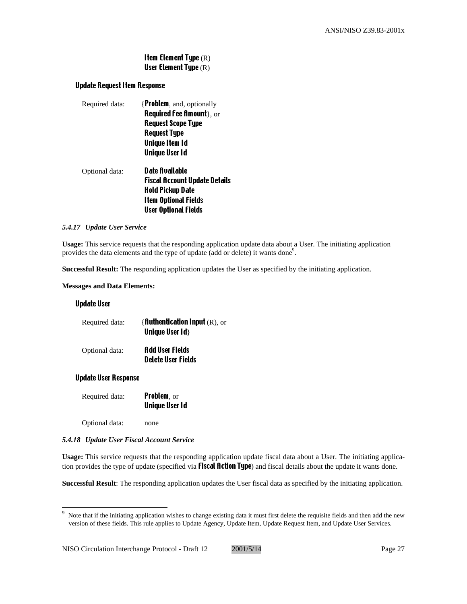# Item Element Type (R) User Element Type (R)

# Update Request Item Response

| Required data: | {Problem, and, optionally            |
|----------------|--------------------------------------|
|                | <b>Required Fee Amount</b> $\,$ , or |
|                | <b>Request Scope Type</b>            |
|                | <b>Request Type</b>                  |
|                | Unique Item Id                       |
|                | <b>Unique User Id</b>                |
| Optional data: | Date Available                       |
|                | <b>Fiscal Account Update Details</b> |
|                | Hold Pickup Date                     |
|                | <b>Item Optional Fields</b>          |
|                | User Optional Fields                 |

#### *5.4.17 Update User Service*

**Usage:** This service requests that the responding application update data about a User. The initiating application provides the data elements and the type of update (add or delete) it wants done<sup>9</sup>.

**Successful Result:** The responding application updates the User as specified by the initiating application.

#### **Messages and Data Elements:**

#### Update User

| Required data: | { <b>fluthentication lnput</b> $(R)$ , or<br><b>Unique User Id }</b> |
|----------------|----------------------------------------------------------------------|
| Optional data: | <b>Add User Fields</b><br><b>Delete User Fields</b>                  |

#### Update User Response

 $\overline{a}$ 

| Required data: | <b>Problem, or</b>    |
|----------------|-----------------------|
|                | <b>Unique User Id</b> |

Optional data: none

# *5.4.18 Update User Fiscal Account Service*

**Usage:** This service requests that the responding application update fiscal data about a User. The initiating application provides the type of update (specified via **Fiscal Action Type**) and fiscal details about the update it wants done.

**Successful Result**: The responding application updates the User fiscal data as specified by the initiating application.

<sup>9</sup> Note that if the initiating application wishes to change existing data it must first delete the requisite fields and then add the new version of these fields. This rule applies to Update Agency, Update Item, Update Request Item, and Update User Services.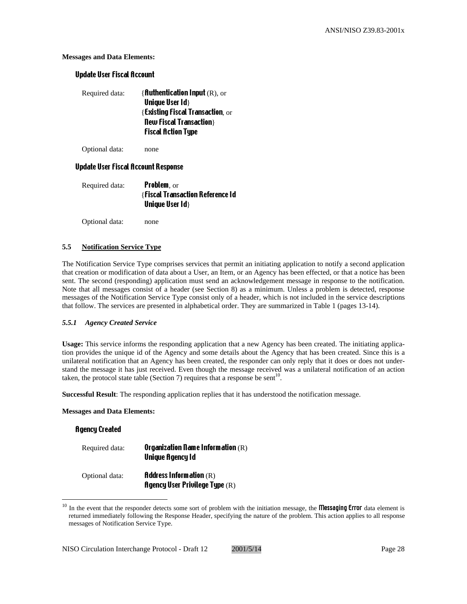# **Messages and Data Elements:**

# Update User Fiscal Account

| Required data: | { <b>Authentication Input</b> $(R)$ , or     |
|----------------|----------------------------------------------|
|                | <b>Unique User Id }</b>                      |
|                | $\{$ Existing Fiscal Transaction, $\alpha$ r |
|                | <b>New Fiscal Transaction</b>                |
|                | <b>Fiscal Action Type</b>                    |

Optional data: none

# Update User Fiscal Account Response

| Required data: | <b>Problem, or</b>                      |
|----------------|-----------------------------------------|
|                | <b>{Fiscal Transaction Reference Id</b> |
|                | <b>Unique User Id }</b>                 |

Optional data: none

# **5.5 Notification Service Type**

The Notification Service Type comprises services that permit an initiating application to notify a second application that creation or modification of data about a User, an Item, or an Agency has been effected, or that a notice has been sent. The second (responding) application must send an acknowledgement message in response to the notification. Note that all messages consist of a header (see Section 8) as a minimum. Unless a problem is detected, response messages of the Notification Service Type consist only of a header, which is not included in the service descriptions that follow. The services are presented in alphabetical order. They are summarized in Table 1 (pages 13-14).

# *5.5.1 Agency Created Service*

**Usage:** This service informs the responding application that a new Agency has been created. The initiating application provides the unique id of the Agency and some details about the Agency that has been created. Since this is a unilateral notification that an Agency has been created, the responder can only reply that it does or does not understand the message it has just received. Even though the message received was a unilateral notification of an action taken, the protocol state table (Section 7) requires that a response be sent<sup>10</sup>.

**Successful Result**: The responding application replies that it has understood the notification message.

#### **Messages and Data Elements:**

# Agency Created

 $\overline{a}$ 

| Required data: | Organization Name Information $(R)$ |
|----------------|-------------------------------------|
|                | <b>Unique Agency Id</b>             |

| Optional data: | <b>Address Information</b> $(R)$        |
|----------------|-----------------------------------------|
|                | <b>Agency User Privilege Type</b> $(R)$ |

<sup>&</sup>lt;sup>10</sup> In the event that the responder detects some sort of problem with the initiation message, the **Messaging Error** data element is returned immediately following the Response Header, specifying the nature of the problem. This action applies to all response messages of Notification Service Type.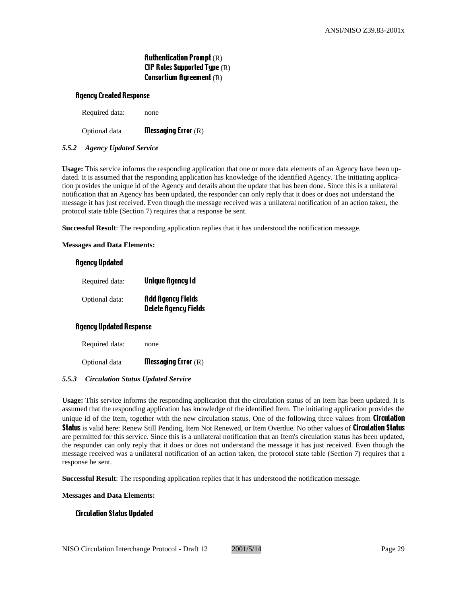# Authentication Prompt (R) CIP Roles Supported Type (R) Consortium Agreement (R)

#### Agency Created Response

Required data: none

Optional data Messaging Error (R)

#### *5.5.2 Agency Updated Service*

**Usage:** This service informs the responding application that one or more data elements of an Agency have been updated. It is assumed that the responding application has knowledge of the identified Agency. The initiating application provides the unique id of the Agency and details about the update that has been done. Since this is a unilateral notification that an Agency has been updated, the responder can only reply that it does or does not understand the message it has just received. Even though the message received was a unilateral notification of an action taken, the protocol state table (Section 7) requires that a response be sent.

**Successful Result**: The responding application replies that it has understood the notification message.

#### **Messages and Data Elements:**

#### Agency Updated

| Required data: | <b>Unique Agency Id</b>                                 |
|----------------|---------------------------------------------------------|
| Optional data: | <b>Add Agency Fields</b><br><b>Delete Agency Fields</b> |

#### Agency Updated Response

Required data: none

Optional data **Messaging Error**  $(R)$ 

#### *5.5.3 Circulation Status Updated Service*

**Usage:** This service informs the responding application that the circulation status of an Item has been updated. It is assumed that the responding application has knowledge of the identified Item. The initiating application provides the unique id of the Item, together with the new circulation status. One of the following three values from **Circulation** Status is valid here: Renew Still Pending, Item Not Renewed, or Item Overdue. No other values of Circulation Status are permitted for this service. Since this is a unilateral notification that an Item's circulation status has been updated, the responder can only reply that it does or does not understand the message it has just received. Even though the message received was a unilateral notification of an action taken, the protocol state table (Section 7) requires that a response be sent.

**Successful Result**: The responding application replies that it has understood the notification message.

**Messages and Data Elements:**

#### Circulation Status Updated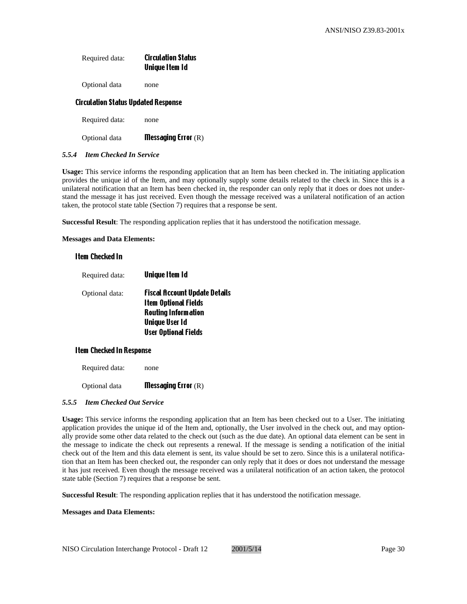| Required data: | <b>Circulation Status</b> |
|----------------|---------------------------|
|                | Unique Item Id            |
|                |                           |

Optional data none

#### Circulation Status Updated Response

Required data: none

Optional data **Messaging Error** (R)

#### *5.5.4 Item Checked In Service*

**Usage:** This service informs the responding application that an Item has been checked in. The initiating application provides the unique id of the Item, and may optionally supply some details related to the check in. Since this is a unilateral notification that an Item has been checked in, the responder can only reply that it does or does not understand the message it has just received. Even though the message received was a unilateral notification of an action taken, the protocol state table (Section 7) requires that a response be sent.

**Successful Result**: The responding application replies that it has understood the notification message.

**Messages and Data Elements:**

# Item Checked In

| Required data: | <b>Unique Item Id</b>                                                                                                                                     |
|----------------|-----------------------------------------------------------------------------------------------------------------------------------------------------------|
| Optional data: | <b>Fiscal Account Update Details</b><br><b>Item Optional Fields</b><br><b>Routing Information</b><br><b>Unique User Id</b><br><b>User Optional Fields</b> |
|                |                                                                                                                                                           |

#### Item Checked In Response

Required data: none

Optional data **Messaging Error** (R)

#### *5.5.5 Item Checked Out Service*

**Usage:** This service informs the responding application that an Item has been checked out to a User. The initiating application provides the unique id of the Item and, optionally, the User involved in the check out, and may optionally provide some other data related to the check out (such as the due date). An optional data element can be sent in the message to indicate the check out represents a renewal. If the message is sending a notification of the initial check out of the Item and this data element is sent, its value should be set to zero. Since this is a unilateral notification that an Item has been checked out, the responder can only reply that it does or does not understand the message it has just received. Even though the message received was a unilateral notification of an action taken, the protocol state table (Section 7) requires that a response be sent.

**Successful Result**: The responding application replies that it has understood the notification message.

#### **Messages and Data Elements:**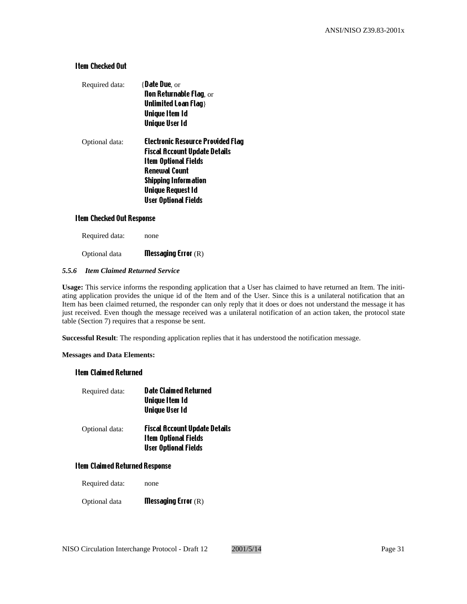# Item Checked Out

| Required data: | $\{$ Date Due, or<br><b>Non Returnable Flag, or</b><br>Unlimited Loan Flag }<br><b>Unique Item Id</b><br><b>Unique User Id</b>                                                                                             |
|----------------|----------------------------------------------------------------------------------------------------------------------------------------------------------------------------------------------------------------------------|
| Optional data: | <b>Electronic Resource Provided Flag</b><br><b>Fiscal Account Update Details</b><br><b>Item Optional Fields</b><br>Renewal Count<br><b>Shipping Information</b><br><b>Unique Request Id</b><br><b>User Optional Fields</b> |

# Item Checked Out Response

Required data: none

Optional data Messaging Error (R)

# *5.5.6 Item Claimed Returned Service*

**Usage:** This service informs the responding application that a User has claimed to have returned an Item. The initiating application provides the unique id of the Item and of the User. Since this is a unilateral notification that an Item has been claimed returned, the responder can only reply that it does or does not understand the message it has just received. Even though the message received was a unilateral notification of an action taken, the protocol state table (Section 7) requires that a response be sent.

**Successful Result**: The responding application replies that it has understood the notification message.

#### **Messages and Data Elements:**

#### Item Claimed Returned

| Required data: | <b>Date Claimed Returned</b><br>Unique Item Id<br><b>Unique User Id</b>                            |
|----------------|----------------------------------------------------------------------------------------------------|
| Optional data: | <b>Fiscal Account Update Details</b><br><b>Item Optional Fields</b><br><b>User Optional Fields</b> |

# Item Claimed Returned Response

| Required data: | none |
|----------------|------|
|----------------|------|

Optional data **Messaging Error** (R)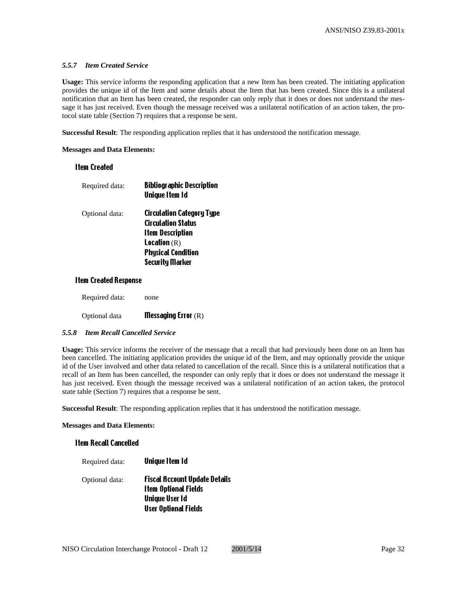#### *5.5.7 Item Created Service*

**Usage:** This service informs the responding application that a new Item has been created. The initiating application provides the unique id of the Item and some details about the Item that has been created. Since this is a unilateral notification that an Item has been created, the responder can only reply that it does or does not understand the message it has just received. Even though the message received was a unilateral notification of an action taken, the protocol state table (Section 7) requires that a response be sent.

**Successful Result**: The responding application replies that it has understood the notification message.

#### **Messages and Data Elements:**

# Item Created

| Required data: | <b>Bibliographic Description</b><br><b>Unique Item Id</b>     |
|----------------|---------------------------------------------------------------|
| Optional data: | <b>Circulation Category Type</b><br><b>Circulation Status</b> |
|                | <b>Item Description</b>                                       |
|                | <b>Location</b> $(R)$                                         |
|                | <b>Physical Condition</b>                                     |
|                | <b>Security Marker</b>                                        |

# Item Created Response

| Required data: | none |  |
|----------------|------|--|
|                |      |  |

Optional data Messaging Error (R)

#### *5.5.8 Item Recall Cancelled Service*

**Usage:** This service informs the receiver of the message that a recall that had previously been done on an Item has been cancelled. The initiating application provides the unique id of the Item, and may optionally provide the unique id of the User involved and other data related to cancellation of the recall. Since this is a unilateral notification that a recall of an Item has been cancelled, the responder can only reply that it does or does not understand the message it has just received. Even though the message received was a unilateral notification of an action taken, the protocol state table (Section 7) requires that a response be sent.

**Successful Result**: The responding application replies that it has understood the notification message.

#### **Messages and Data Elements:**

#### Item Recall Cancelled

Required data: **Unique Item Id** Optional data: Fiscal Account Update Details Item Optional Fields Unique User Id

User Optional Fields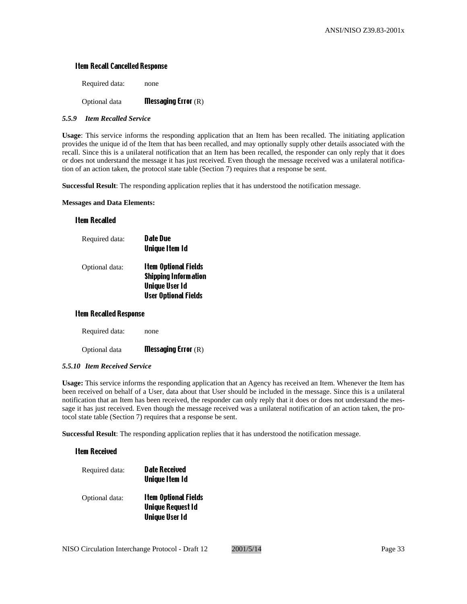# Item Recall Cancelled Response

| Optional data  | <b>Messaging Error</b> $(R)$ |
|----------------|------------------------------|
| Required data: | none                         |

#### *5.5.9 Item Recalled Service*

**Usage**: This service informs the responding application that an Item has been recalled. The initiating application provides the unique id of the Item that has been recalled, and may optionally supply other details associated with the recall. Since this is a unilateral notification that an Item has been recalled, the responder can only reply that it does or does not understand the message it has just received. Even though the message received was a unilateral notification of an action taken, the protocol state table (Section 7) requires that a response be sent.

**Successful Result**: The responding application replies that it has understood the notification message.

**Messages and Data Elements:**

#### Item Recalled

| Required data: | Date Due<br><b>Unique Item Id</b>                                                                                  |
|----------------|--------------------------------------------------------------------------------------------------------------------|
| Optional data: | <b>Item Optional Fields</b><br><b>Shipping Information</b><br><b>Unique User Id</b><br><b>User Optional Fields</b> |

#### Item Recalled Response

Required data: none

Optional data Messaging Error (R)

#### *5.5.10 Item Received Service*

**Usage:** This service informs the responding application that an Agency has received an Item. Whenever the Item has been received on behalf of a User, data about that User should be included in the message. Since this is a unilateral notification that an Item has been received, the responder can only reply that it does or does not understand the message it has just received. Even though the message received was a unilateral notification of an action taken, the protocol state table (Section 7) requires that a response be sent.

**Successful Result**: The responding application replies that it has understood the notification message.

#### Item Received

| Required data: | <b>Date Received</b><br><b>Unique Item Id</b>           |
|----------------|---------------------------------------------------------|
| Optional data: | <b>Item Optional Fields</b><br><b>Unique Request Id</b> |
|                | <b>Unique User Id</b>                                   |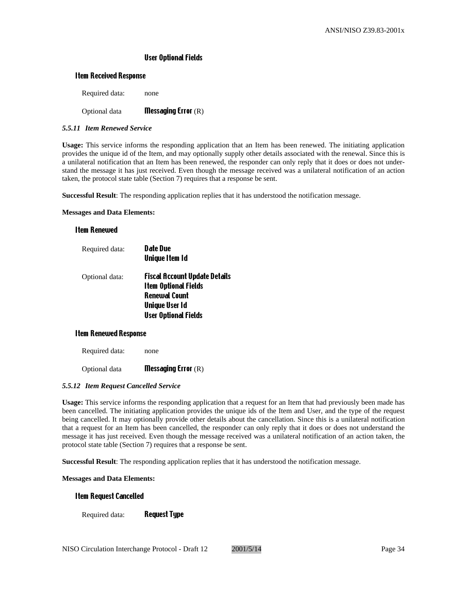# User Optional Fields

#### Item Received Response

Required data: none

# Optional data Messaging Error (R)

#### *5.5.11 Item Renewed Service*

**Usage:** This service informs the responding application that an Item has been renewed. The initiating application provides the unique id of the Item, and may optionally supply other details associated with the renewal. Since this is a unilateral notification that an Item has been renewed, the responder can only reply that it does or does not understand the message it has just received. Even though the message received was a unilateral notification of an action taken, the protocol state table (Section 7) requires that a response be sent.

**Successful Result**: The responding application replies that it has understood the notification message.

#### **Messages and Data Elements:**

#### Item Renewed

| Required data: | <b>Date Due</b><br><b>Unique Item Id</b>                     |
|----------------|--------------------------------------------------------------|
| Optional data: | Fiscal Account Update Details<br><b>Item Optional Fields</b> |
|                | <b>Renewal Count</b>                                         |
|                | <b>Unique User Id</b>                                        |
|                | <b>User Optional Fields</b>                                  |

#### Item Renewed Response

Required data: none

Optional data Messaging Error (R)

#### *5.5.12 Item Request Cancelled Service*

**Usage:** This service informs the responding application that a request for an Item that had previously been made has been cancelled. The initiating application provides the unique ids of the Item and User, and the type of the request being cancelled. It may optionally provide other details about the cancellation. Since this is a unilateral notification that a request for an Item has been cancelled, the responder can only reply that it does or does not understand the message it has just received. Even though the message received was a unilateral notification of an action taken, the protocol state table (Section 7) requires that a response be sent.

**Successful Result**: The responding application replies that it has understood the notification message.

**Messages and Data Elements:**

#### Item Request Cancelled

Required data: **Request Type**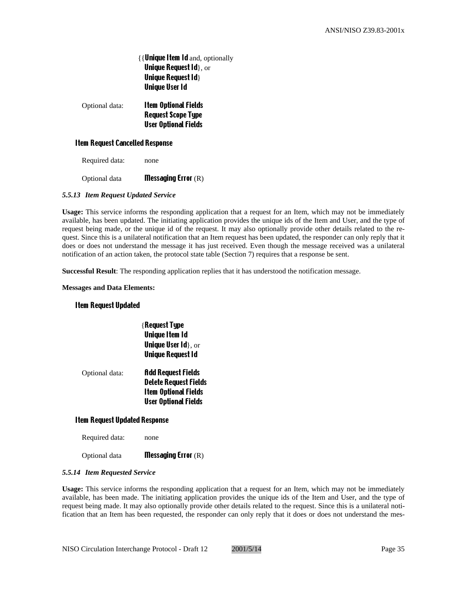{{Unique Item Id and, optionally Unique Request Id}, or Unique Request Id} Unique User Id

Optional data: Item Optional Fields Request Scope Type User Optional Fields

# Item Request Cancelled Response

Required data: none

Optional data **Messaging Error** (R)

# *5.5.13 Item Request Updated Service*

**Usage:** This service informs the responding application that a request for an Item, which may not be immediately available, has been updated. The initiating application provides the unique ids of the Item and User, and the type of request being made, or the unique id of the request. It may also optionally provide other details related to the request. Since this is a unilateral notification that an Item request has been updated, the responder can only reply that it does or does not understand the message it has just received. Even though the message received was a unilateral notification of an action taken, the protocol state table (Section 7) requires that a response be sent.

**Successful Result**: The responding application replies that it has understood the notification message.

#### **Messages and Data Elements:**

# Item Request Updated

Optional data

|                      | <b>{Request Type</b><br><b>Unique Item Id</b><br><b>Unique User <math>Id</math>, or</b><br><b>Unique Request Id</b> |
|----------------------|---------------------------------------------------------------------------------------------------------------------|
| $\ddot{\phantom{0}}$ | <b>Add Request Fields</b><br><b>Delete Request Fields</b>                                                           |

Item Optional Fields User Optional Fields

# Item Request Updated Response

Required data: none

Optional data Messaging Error (R)

#### *5.5.14 Item Requested Service*

**Usage:** This service informs the responding application that a request for an Item, which may not be immediately available, has been made. The initiating application provides the unique ids of the Item and User, and the type of request being made. It may also optionally provide other details related to the request. Since this is a unilateral notification that an Item has been requested, the responder can only reply that it does or does not understand the mes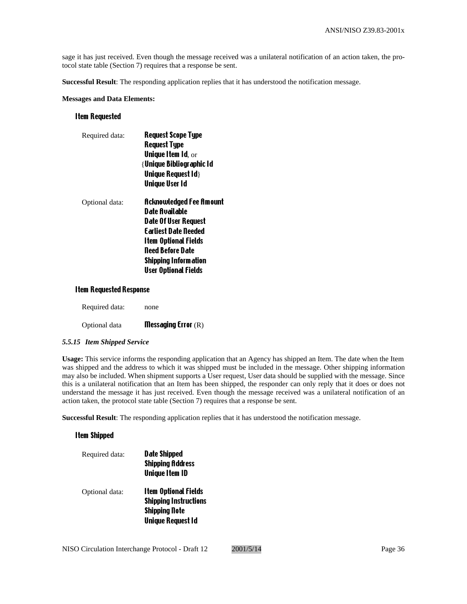sage it has just received. Even though the message received was a unilateral notification of an action taken, the protocol state table (Section 7) requires that a response be sent.

**Successful Result**: The responding application replies that it has understood the notification message.

#### **Messages and Data Elements:**

#### Item Requested

| Required data: | <b>Request Scope Type</b>              |
|----------------|----------------------------------------|
|                | <b>Request Type</b>                    |
|                | <b>Unique Item Id, <math>or</math></b> |
|                | { Unique Bibliographic Id              |
|                | <b>Unique Request Id}</b>              |
|                | Unique User Id                         |
| Optional data: | <b>Acknowledged Fee Amount</b>         |
|                | <b>Date Available</b>                  |
|                | Date Of User Request                   |
|                | <b>Farliest Date Deeded</b>            |
|                | <b>Item Optional Fields</b>            |
|                | Need Before Date                       |
|                | <b>Shipping Information</b>            |
|                | <b>User Optional Fields</b>            |

#### Item Requested Response

| <b>Messaging Error</b> $(R)$ |
|------------------------------|
|                              |

#### *5.5.15 Item Shipped Service*

**Usage:** This service informs the responding application that an Agency has shipped an Item. The date when the Item was shipped and the address to which it was shipped must be included in the message. Other shipping information may also be included. When shipment supports a User request, User data should be supplied with the message. Since this is a unilateral notification that an Item has been shipped, the responder can only reply that it does or does not understand the message it has just received. Even though the message received was a unilateral notification of an action taken, the protocol state table (Section 7) requires that a response be sent.

**Successful Result**: The responding application replies that it has understood the notification message.

# Item Shipped

| Required data: | <b>Date Shipped</b><br><b>Shipping Address</b><br><b>Unique Item ID</b> |
|----------------|-------------------------------------------------------------------------|
| Optional data: | <b>Item Optional Fields</b><br><b>Shipping Instructions</b>             |
|                | <b>Shipping Note</b>                                                    |
|                | <b>Unique Request Id</b>                                                |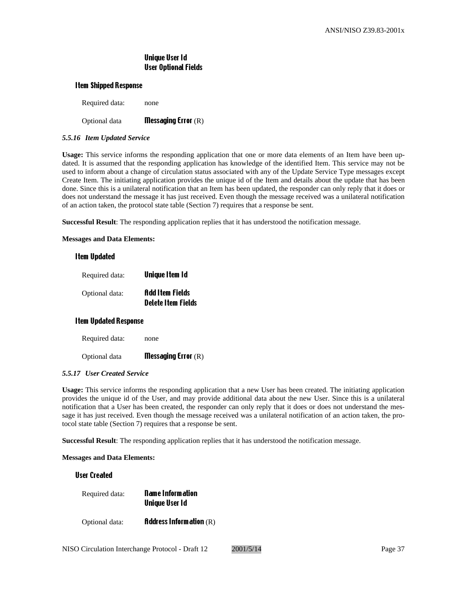## Unique User Id User Optional Fields

#### Item Shipped Response

| Optional data  | <b>Messaging Error</b> $(R)$ |
|----------------|------------------------------|
| Required data: | none                         |

#### *5.5.16 Item Updated Service*

**Usage:** This service informs the responding application that one or more data elements of an Item have been updated. It is assumed that the responding application has knowledge of the identified Item. This service may not be used to inform about a change of circulation status associated with any of the Update Service Type messages except Create Item. The initiating application provides the unique id of the Item and details about the update that has been done. Since this is a unilateral notification that an Item has been updated, the responder can only reply that it does or does not understand the message it has just received. Even though the message received was a unilateral notification of an action taken, the protocol state table (Section 7) requires that a response be sent.

**Successful Result**: The responding application replies that it has understood the notification message.

**Messages and Data Elements:**

#### Item Updated

| Required data: | Unique Item Id                                      |
|----------------|-----------------------------------------------------|
| Optional data: | <b>Add Item Fields</b><br><b>Delete Item Fields</b> |

## Item Updated Response

Required data: none

Optional data **Messaging Error** (R)

#### *5.5.17 User Created Service*

**Usage:** This service informs the responding application that a new User has been created. The initiating application provides the unique id of the User, and may provide additional data about the new User. Since this is a unilateral notification that a User has been created, the responder can only reply that it does or does not understand the message it has just received. Even though the message received was a unilateral notification of an action taken, the protocol state table (Section 7) requires that a response be sent.

**Successful Result**: The responding application replies that it has understood the notification message.

#### **Messages and Data Elements:**

## User Created

| Required data: | <b>Name Information</b><br><b>Unique User Id</b> |
|----------------|--------------------------------------------------|
| Optional data: | <b>Address Information</b> $(R)$                 |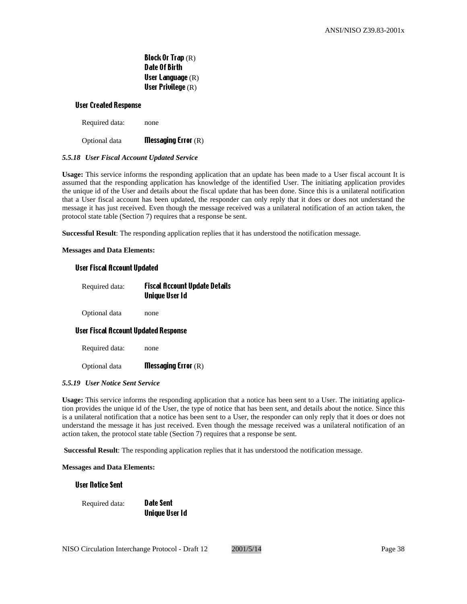Block Or Trap (R) Date Of Birth User Language (R) User Privilege (R)

#### User Created Response

Required data: none

Optional data Messaging Error (R)

#### *5.5.18 User Fiscal Account Updated Service*

**Usage:** This service informs the responding application that an update has been made to a User fiscal account It is assumed that the responding application has knowledge of the identified User. The initiating application provides the unique id of the User and details about the fiscal update that has been done. Since this is a unilateral notification that a User fiscal account has been updated, the responder can only reply that it does or does not understand the message it has just received. Even though the message received was a unilateral notification of an action taken, the protocol state table (Section 7) requires that a response be sent.

**Successful Result**: The responding application replies that it has understood the notification message.

#### **Messages and Data Elements:**

#### User Fiscal Account Updated

| Required data: | <b>Fiscal Account Update Details</b><br>Unique User Id |
|----------------|--------------------------------------------------------|
|                |                                                        |

Optional data none

#### User Fiscal Account Updated Response

Required data: none

Optional data Messaging Error (R)

#### *5.5.19 User Notice Sent Service*

**Usage:** This service informs the responding application that a notice has been sent to a User. The initiating application provides the unique id of the User, the type of notice that has been sent, and details about the notice. Since this is a unilateral notification that a notice has been sent to a User, the responder can only reply that it does or does not understand the message it has just received. Even though the message received was a unilateral notification of an action taken, the protocol state table (Section 7) requires that a response be sent.

 **Successful Result**: The responding application replies that it has understood the notification message.

**Messages and Data Elements:**

User Notice Sent

Required data: **Date Sent** 

Unique User Id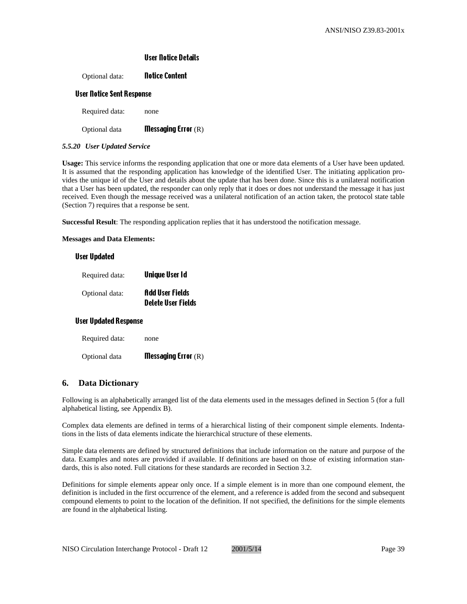#### User Notice Details

Optional data: **Notice Content** 

#### User Notice Sent Response

Required data: none

Optional data **Messaging Error** (R)

#### *5.5.20 User Updated Service*

**Usage:** This service informs the responding application that one or more data elements of a User have been updated. It is assumed that the responding application has knowledge of the identified User. The initiating application provides the unique id of the User and details about the update that has been done. Since this is a unilateral notification that a User has been updated, the responder can only reply that it does or does not understand the message it has just received. Even though the message received was a unilateral notification of an action taken, the protocol state table (Section 7) requires that a response be sent.

**Successful Result**: The responding application replies that it has understood the notification message.

**Messages and Data Elements:**

#### User Updated

| Required data: | Unique User Id                                      |
|----------------|-----------------------------------------------------|
| Optional data: | <b>Add User Fields</b><br><b>Delete User Fields</b> |

#### User Updated Response

| Required data: | none                         |
|----------------|------------------------------|
| Optional data  | <b>Messaging Error</b> $(R)$ |

## **6. Data Dictionary**

Following is an alphabetically arranged list of the data elements used in the messages defined in Section 5 (for a full alphabetical listing, see Appendix B).

Complex data elements are defined in terms of a hierarchical listing of their component simple elements. Indentations in the lists of data elements indicate the hierarchical structure of these elements.

Simple data elements are defined by structured definitions that include information on the nature and purpose of the data. Examples and notes are provided if available. If definitions are based on those of existing information standards, this is also noted. Full citations for these standards are recorded in Section 3.2.

Definitions for simple elements appear only once. If a simple element is in more than one compound element, the definition is included in the first occurrence of the element, and a reference is added from the second and subsequent compound elements to point to the location of the definition. If not specified, the definitions for the simple elements are found in the alphabetical listing.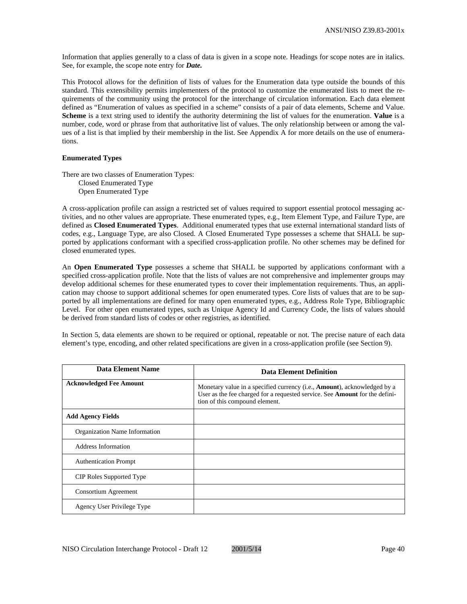Information that applies generally to a class of data is given in a scope note. Headings for scope notes are in italics. See, for example, the scope note entry for *Date.*

This Protocol allows for the definition of lists of values for the Enumeration data type outside the bounds of this standard. This extensibility permits implementers of the protocol to customize the enumerated lists to meet the requirements of the community using the protocol for the interchange of circulation information. Each data element defined as "Enumeration of values as specified in a scheme" consists of a pair of data elements, Scheme and Value. **Scheme** is a text string used to identify the authority determining the list of values for the enumeration. **Value** is a number, code, word or phrase from that authoritative list of values. The only relationship between or among the values of a list is that implied by their membership in the list. See Appendix A for more details on the use of enumerations.

## **Enumerated Types**

There are two classes of Enumeration Types: Closed Enumerated Type Open Enumerated Type

A cross-application profile can assign a restricted set of values required to support essential protocol messaging activities, and no other values are appropriate. These enumerated types, e.g., Item Element Type, and Failure Type, are defined as **Closed Enumerated Types**. Additional enumerated types that use external international standard lists of codes, e.g., Language Type, are also Closed. A Closed Enumerated Type possesses a scheme that SHALL be supported by applications conformant with a specified cross-application profile. No other schemes may be defined for closed enumerated types.

An **Open Enumerated Type** possesses a scheme that SHALL be supported by applications conformant with a specified cross-application profile. Note that the lists of values are not comprehensive and implementer groups may develop additional schemes for these enumerated types to cover their implementation requirements. Thus, an application may choose to support additional schemes for open enumerated types. Core lists of values that are to be supported by all implementations are defined for many open enumerated types, e.g., Address Role Type, Bibliographic Level. For other open enumerated types, such as Unique Agency Id and Currency Code, the lists of values should be derived from standard lists of codes or other registries, as identified.

In Section 5, data elements are shown to be required or optional, repeatable or not. The precise nature of each data element's type, encoding, and other related specifications are given in a cross-application profile (see Section 9).

| Data Element Name              | <b>Data Element Definition</b>                                                                                                                                                                    |
|--------------------------------|---------------------------------------------------------------------------------------------------------------------------------------------------------------------------------------------------|
| <b>Acknowledged Fee Amount</b> | Monetary value in a specified currency (i.e., <b>Amount</b> ), acknowledged by a<br>User as the fee charged for a requested service. See Amount for the defini-<br>tion of this compound element. |
| <b>Add Agency Fields</b>       |                                                                                                                                                                                                   |
| Organization Name Information  |                                                                                                                                                                                                   |
| Address Information            |                                                                                                                                                                                                   |
| <b>Authentication Prompt</b>   |                                                                                                                                                                                                   |
| CIP Roles Supported Type       |                                                                                                                                                                                                   |
| Consortium Agreement           |                                                                                                                                                                                                   |
| Agency User Privilege Type     |                                                                                                                                                                                                   |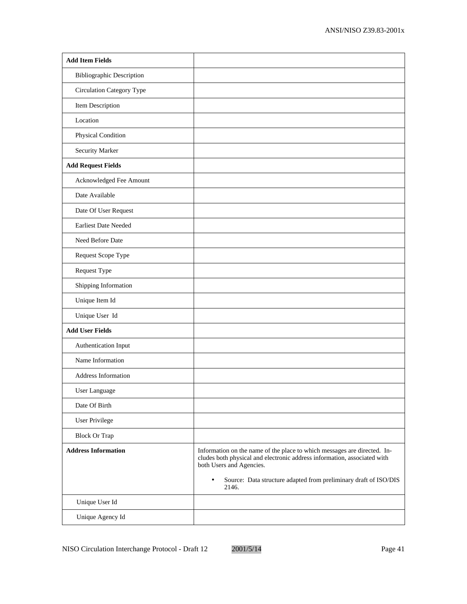| <b>Add Item Fields</b>           |                                                                                                                                                                                                                                                                            |
|----------------------------------|----------------------------------------------------------------------------------------------------------------------------------------------------------------------------------------------------------------------------------------------------------------------------|
| <b>Bibliographic Description</b> |                                                                                                                                                                                                                                                                            |
| Circulation Category Type        |                                                                                                                                                                                                                                                                            |
| Item Description                 |                                                                                                                                                                                                                                                                            |
| Location                         |                                                                                                                                                                                                                                                                            |
| Physical Condition               |                                                                                                                                                                                                                                                                            |
| Security Marker                  |                                                                                                                                                                                                                                                                            |
| <b>Add Request Fields</b>        |                                                                                                                                                                                                                                                                            |
| Acknowledged Fee Amount          |                                                                                                                                                                                                                                                                            |
| Date Available                   |                                                                                                                                                                                                                                                                            |
| Date Of User Request             |                                                                                                                                                                                                                                                                            |
| <b>Earliest Date Needed</b>      |                                                                                                                                                                                                                                                                            |
| Need Before Date                 |                                                                                                                                                                                                                                                                            |
| Request Scope Type               |                                                                                                                                                                                                                                                                            |
| Request Type                     |                                                                                                                                                                                                                                                                            |
| Shipping Information             |                                                                                                                                                                                                                                                                            |
| Unique Item Id                   |                                                                                                                                                                                                                                                                            |
| Unique User Id                   |                                                                                                                                                                                                                                                                            |
| <b>Add User Fields</b>           |                                                                                                                                                                                                                                                                            |
| Authentication Input             |                                                                                                                                                                                                                                                                            |
| Name Information                 |                                                                                                                                                                                                                                                                            |
| Address Information              |                                                                                                                                                                                                                                                                            |
| User Language                    |                                                                                                                                                                                                                                                                            |
| Date Of Birth                    |                                                                                                                                                                                                                                                                            |
| User Privilege                   |                                                                                                                                                                                                                                                                            |
| <b>Block Or Trap</b>             |                                                                                                                                                                                                                                                                            |
| <b>Address Information</b>       | Information on the name of the place to which messages are directed. In-<br>cludes both physical and electronic address information, associated with<br>both Users and Agencies.<br>Source: Data structure adapted from preliminary draft of ISO/DIS<br>$\bullet$<br>2146. |
| Unique User Id                   |                                                                                                                                                                                                                                                                            |
| Unique Agency Id                 |                                                                                                                                                                                                                                                                            |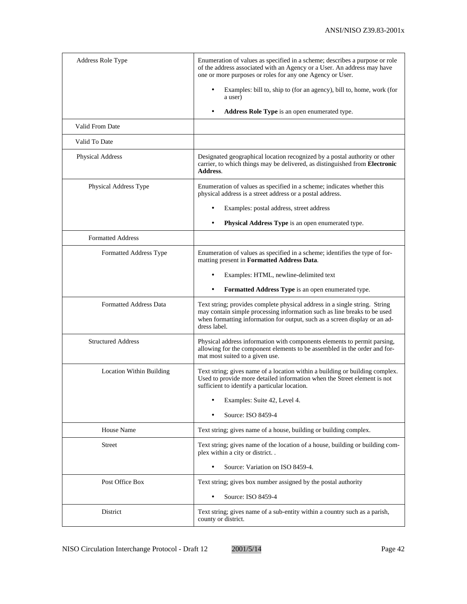| <b>Address Role Type</b>      | Enumeration of values as specified in a scheme; describes a purpose or role<br>of the address associated with an Agency or a User. An address may have<br>one or more purposes or roles for any one Agency or User.                                  |
|-------------------------------|------------------------------------------------------------------------------------------------------------------------------------------------------------------------------------------------------------------------------------------------------|
|                               | Examples: bill to, ship to (for an agency), bill to, home, work (for<br>a user)                                                                                                                                                                      |
|                               | Address Role Type is an open enumerated type.<br>٠                                                                                                                                                                                                   |
| Valid From Date               |                                                                                                                                                                                                                                                      |
| Valid To Date                 |                                                                                                                                                                                                                                                      |
| <b>Physical Address</b>       | Designated geographical location recognized by a postal authority or other<br>carrier, to which things may be delivered, as distinguished from Electronic<br>Address.                                                                                |
| Physical Address Type         | Enumeration of values as specified in a scheme; indicates whether this<br>physical address is a street address or a postal address.                                                                                                                  |
|                               | Examples: postal address, street address                                                                                                                                                                                                             |
|                               | Physical Address Type is an open enumerated type.<br>٠                                                                                                                                                                                               |
| <b>Formatted Address</b>      |                                                                                                                                                                                                                                                      |
| Formatted Address Type        | Enumeration of values as specified in a scheme; identifies the type of for-<br>matting present in Formatted Address Data.                                                                                                                            |
|                               | Examples: HTML, newline-delimited text                                                                                                                                                                                                               |
|                               | Formatted Address Type is an open enumerated type.                                                                                                                                                                                                   |
| <b>Formatted Address Data</b> | Text string; provides complete physical address in a single string. String<br>may contain simple processing information such as line breaks to be used<br>when formatting information for output, such as a screen display or an ad-<br>dress label. |
| <b>Structured Address</b>     | Physical address information with components elements to permit parsing,<br>allowing for the component elements to be assembled in the order and for-<br>mat most suited to a given use.                                                             |
| Location Within Building      | Text string; gives name of a location within a building or building complex.<br>Used to provide more detailed information when the Street element is not<br>sufficient to identify a particular location.                                            |
|                               | Examples: Suite 42, Level 4.                                                                                                                                                                                                                         |
|                               | Source: ISO 8459-4                                                                                                                                                                                                                                   |
| House Name                    | Text string; gives name of a house, building or building complex.                                                                                                                                                                                    |
| Street                        | Text string; gives name of the location of a house, building or building com-<br>plex within a city or district                                                                                                                                      |
|                               | Source: Variation on ISO 8459-4.                                                                                                                                                                                                                     |
| Post Office Box               | Text string; gives box number assigned by the postal authority                                                                                                                                                                                       |
|                               | Source: ISO 8459-4                                                                                                                                                                                                                                   |
| District                      | Text string; gives name of a sub-entity within a country such as a parish,<br>county or district.                                                                                                                                                    |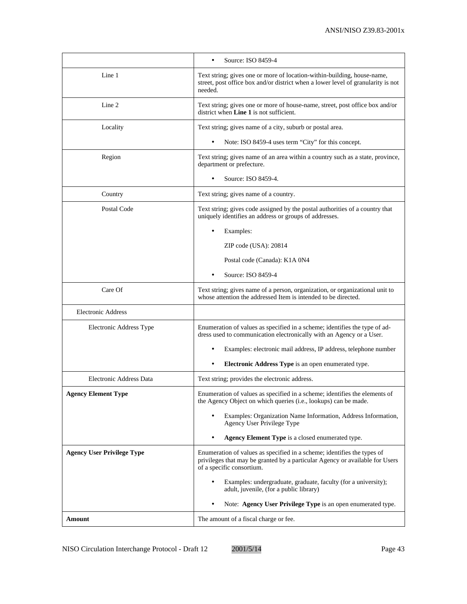|                                   | Source: ISO 8459-4<br>$\bullet$                                                                                                                                                      |
|-----------------------------------|--------------------------------------------------------------------------------------------------------------------------------------------------------------------------------------|
| Line 1                            | Text string; gives one or more of location-within-building, house-name,<br>street, post office box and/or district when a lower level of granularity is not<br>needed.               |
| Line 2                            | Text string; gives one or more of house-name, street, post office box and/or<br>district when Line 1 is not sufficient.                                                              |
| Locality                          | Text string; gives name of a city, suburb or postal area.                                                                                                                            |
|                                   | Note: ISO 8459-4 uses term "City" for this concept.                                                                                                                                  |
| Region                            | Text string; gives name of an area within a country such as a state, province,<br>department or prefecture.                                                                          |
|                                   | Source: ISO 8459-4.                                                                                                                                                                  |
| Country                           | Text string; gives name of a country.                                                                                                                                                |
| Postal Code                       | Text string; gives code assigned by the postal authorities of a country that<br>uniquely identifies an address or groups of addresses.                                               |
|                                   | Examples:                                                                                                                                                                            |
|                                   | ZIP code (USA): 20814                                                                                                                                                                |
|                                   | Postal code (Canada): K1A 0N4                                                                                                                                                        |
|                                   | Source: ISO 8459-4<br>$\bullet$                                                                                                                                                      |
| Care Of                           | Text string; gives name of a person, organization, or organizational unit to<br>whose attention the addressed Item is intended to be directed.                                       |
| <b>Electronic Address</b>         |                                                                                                                                                                                      |
| Electronic Address Type           | Enumeration of values as specified in a scheme; identifies the type of ad-<br>dress used to communication electronically with an Agency or a User.                                   |
|                                   | Examples: electronic mail address, IP address, telephone number                                                                                                                      |
|                                   | Electronic Address Type is an open enumerated type.                                                                                                                                  |
| Electronic Address Data           | Text string; provides the electronic address.                                                                                                                                        |
| <b>Agency Element Type</b>        | Enumeration of values as specified in a scheme; identifies the elements of<br>the Agency Object on which queries (i.e., lookups) can be made.                                        |
|                                   | Examples: Organization Name Information, Address Information,<br>Agency User Privilege Type                                                                                          |
|                                   | Agency Element Type is a closed enumerated type.                                                                                                                                     |
| <b>Agency User Privilege Type</b> | Enumeration of values as specified in a scheme; identifies the types of<br>privileges that may be granted by a particular Agency or available for Users<br>of a specific consortium. |
|                                   | Examples: undergraduate, graduate, faculty (for a university);<br>adult, juvenile, (for a public library)                                                                            |
|                                   | Note: Agency User Privilege Type is an open enumerated type.                                                                                                                         |
| Amount                            | The amount of a fiscal charge or fee.                                                                                                                                                |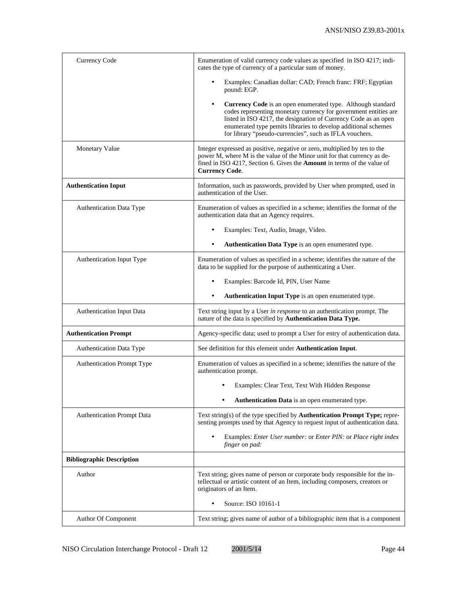| <b>Currency Code</b>              | Enumeration of valid currency code values as specified in ISO 4217; indi-<br>cates the type of currency of a particular sum of money.                                                                                                                                                                                                        |
|-----------------------------------|----------------------------------------------------------------------------------------------------------------------------------------------------------------------------------------------------------------------------------------------------------------------------------------------------------------------------------------------|
|                                   | Examples: Canadian dollar: CAD; French franc: FRF; Egyptian<br>pound: EGP.                                                                                                                                                                                                                                                                   |
|                                   | Currency Code is an open enumerated type. Although standard<br>$\bullet$<br>codes representing monetary currency for government entities are<br>listed in ISO 4217, the designation of Currency Code as an open<br>enumerated type pemits libraries to develop additional schemes<br>for library "pseudo-currencies", such as IFLA vouchers. |
| <b>Monetary Value</b>             | Integer expressed as positive, negative or zero, multiplied by ten to the<br>power M, where M is the value of the Minor unit for that currency as de-<br>fined in ISO 4217, Section 6. Gives the <b>Amount</b> in terms of the value of<br><b>Currency Code.</b>                                                                             |
| <b>Authentication Input</b>       | Information, such as passwords, provided by User when prompted, used in<br>authentication of the User.                                                                                                                                                                                                                                       |
| Authentication Data Type          | Enumeration of values as specified in a scheme; identifies the format of the<br>authentication data that an Agency requires.                                                                                                                                                                                                                 |
|                                   | Examples: Text, Audio, Image, Video.                                                                                                                                                                                                                                                                                                         |
|                                   | Authentication Data Type is an open enumerated type.                                                                                                                                                                                                                                                                                         |
| Authentication Input Type         | Enumeration of values as specified in a scheme; identifies the nature of the<br>data to be supplied for the purpose of authenticating a User.                                                                                                                                                                                                |
|                                   | Examples: Barcode Id, PIN, User Name                                                                                                                                                                                                                                                                                                         |
|                                   | Authentication Input Type is an open enumerated type.<br>٠                                                                                                                                                                                                                                                                                   |
| Authentication Input Data         | Text string input by a User in response to an authentication prompt. The<br>nature of the data is specified by Authentication Data Type.                                                                                                                                                                                                     |
| <b>Authentication Prompt</b>      | Agency-specific data; used to prompt a User for entry of authentication data.                                                                                                                                                                                                                                                                |
| Authentication Data Type          | See definition for this element under <b>Authentication Input</b> .                                                                                                                                                                                                                                                                          |
| <b>Authentication Prompt Type</b> | Enumeration of values as specified in a scheme; identifies the nature of the<br>authentication prompt.                                                                                                                                                                                                                                       |
|                                   | Examples: Clear Text, Text With Hidden Response                                                                                                                                                                                                                                                                                              |
|                                   | Authentication Data is an open enumerated type.                                                                                                                                                                                                                                                                                              |
| <b>Authentication Prompt Data</b> | Text string(s) of the type specified by Authentication Prompt Type; repre-<br>senting prompts used by that Agency to request input of authentication data.                                                                                                                                                                                   |
|                                   | Examples: Enter User number: or Enter PIN: or Place right index<br>$\bullet$<br>finger on pad:                                                                                                                                                                                                                                               |
| <b>Bibliographic Description</b>  |                                                                                                                                                                                                                                                                                                                                              |
| Author                            | Text string; gives name of person or corporate body responsible for the in-<br>tellectual or artistic content of an Item, including composers, creators or<br>originators of an Item.                                                                                                                                                        |
|                                   | Source: ISO 10161-1                                                                                                                                                                                                                                                                                                                          |
| Author Of Component               | Text string; gives name of author of a bibliographic item that is a component                                                                                                                                                                                                                                                                |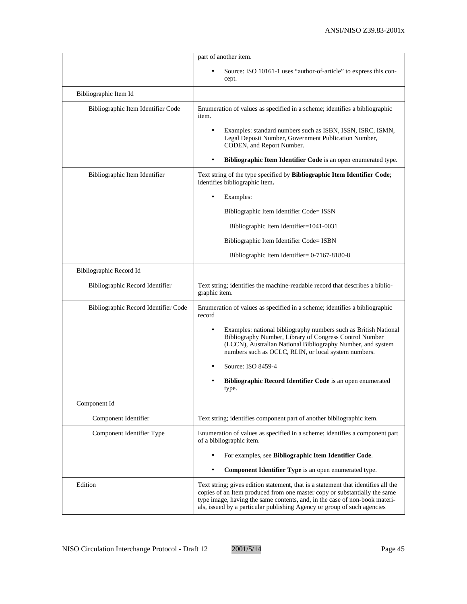|                                      | part of another item.                                                                                                                                                                                                                                                                                                   |
|--------------------------------------|-------------------------------------------------------------------------------------------------------------------------------------------------------------------------------------------------------------------------------------------------------------------------------------------------------------------------|
|                                      | Source: ISO 10161-1 uses "author-of-article" to express this con-<br>cept.                                                                                                                                                                                                                                              |
| Bibliographic Item Id                |                                                                                                                                                                                                                                                                                                                         |
| Bibliographic Item Identifier Code   | Enumeration of values as specified in a scheme; identifies a bibliographic<br>item.                                                                                                                                                                                                                                     |
|                                      | Examples: standard numbers such as ISBN, ISSN, ISRC, ISMN,<br>Legal Deposit Number, Government Publication Number,<br>CODEN, and Report Number.                                                                                                                                                                         |
|                                      | Bibliographic Item Identifier Code is an open enumerated type.                                                                                                                                                                                                                                                          |
| Bibliographic Item Identifier        | Text string of the type specified by Bibliographic Item Identifier Code;<br>identifies bibliographic item.                                                                                                                                                                                                              |
|                                      | Examples:                                                                                                                                                                                                                                                                                                               |
|                                      | Bibliographic Item Identifier Code= ISSN                                                                                                                                                                                                                                                                                |
|                                      | Bibliographic Item Identifier=1041-0031                                                                                                                                                                                                                                                                                 |
|                                      | Bibliographic Item Identifier Code= ISBN                                                                                                                                                                                                                                                                                |
|                                      | Bibliographic Item Identifier= 0-7167-8180-8                                                                                                                                                                                                                                                                            |
| Bibliographic Record Id              |                                                                                                                                                                                                                                                                                                                         |
| Bibliographic Record Identifier      | Text string; identifies the machine-readable record that describes a biblio-<br>graphic item.                                                                                                                                                                                                                           |
| Bibliographic Record Identifier Code | Enumeration of values as specified in a scheme; identifies a bibliographic<br>record                                                                                                                                                                                                                                    |
|                                      | Examples: national bibliography numbers such as British National<br>$\bullet$<br>Bibliography Number, Library of Congress Control Number<br>(LCCN), Australian National Bibliography Number, and system<br>numbers such as OCLC, RLIN, or local system numbers.                                                         |
|                                      | Source: ISO 8459-4                                                                                                                                                                                                                                                                                                      |
|                                      | Bibliographic Record Identifier Code is an open enumerated<br>type.                                                                                                                                                                                                                                                     |
| Component Id                         |                                                                                                                                                                                                                                                                                                                         |
| Component Identifier                 | Text string; identifies component part of another bibliographic item.                                                                                                                                                                                                                                                   |
| Component Identifier Type            | Enumeration of values as specified in a scheme; identifies a component part<br>of a bibliographic item.                                                                                                                                                                                                                 |
|                                      | For examples, see Bibliographic Item Identifier Code.                                                                                                                                                                                                                                                                   |
|                                      | Component Identifier Type is an open enumerated type.<br>$\bullet$                                                                                                                                                                                                                                                      |
| Edition                              | Text string; gives edition statement, that is a statement that identifies all the<br>copies of an Item produced from one master copy or substantially the same<br>type image, having the same contents, and, in the case of non-book materi-<br>als, issued by a particular publishing Agency or group of such agencies |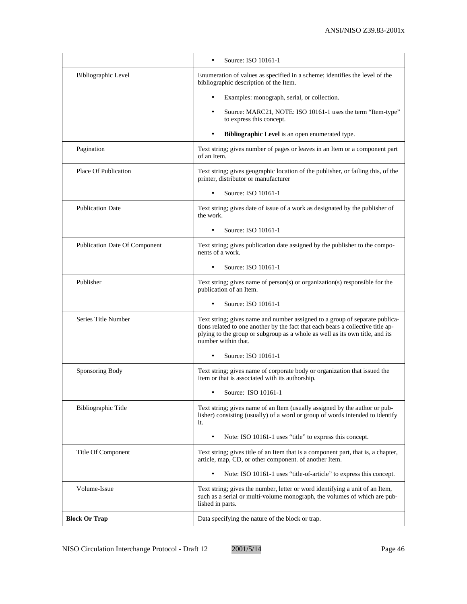|                               | Source: ISO 10161-1                                                                                                                                                                                                                                                   |
|-------------------------------|-----------------------------------------------------------------------------------------------------------------------------------------------------------------------------------------------------------------------------------------------------------------------|
| Bibliographic Level           | Enumeration of values as specified in a scheme; identifies the level of the<br>bibliographic description of the Item.                                                                                                                                                 |
|                               | Examples: monograph, serial, or collection.                                                                                                                                                                                                                           |
|                               | Source: MARC21, NOTE: ISO 10161-1 uses the term "Item-type"<br>to express this concept.                                                                                                                                                                               |
|                               | Bibliographic Level is an open enumerated type.                                                                                                                                                                                                                       |
| Pagination                    | Text string; gives number of pages or leaves in an Item or a component part<br>of an Item.                                                                                                                                                                            |
| Place Of Publication          | Text string; gives geographic location of the publisher, or failing this, of the<br>printer, distributor or manufacturer                                                                                                                                              |
|                               | Source: ISO 10161-1<br>$\bullet$                                                                                                                                                                                                                                      |
| <b>Publication Date</b>       | Text string; gives date of issue of a work as designated by the publisher of<br>the work.                                                                                                                                                                             |
|                               | Source: ISO 10161-1                                                                                                                                                                                                                                                   |
| Publication Date Of Component | Text string; gives publication date assigned by the publisher to the compo-<br>nents of a work.                                                                                                                                                                       |
|                               | Source: ISO 10161-1<br>$\bullet$                                                                                                                                                                                                                                      |
| Publisher                     | Text string; gives name of person(s) or organization(s) responsible for the<br>publication of an Item.                                                                                                                                                                |
|                               | Source: ISO 10161-1                                                                                                                                                                                                                                                   |
| Series Title Number           | Text string; gives name and number assigned to a group of separate publica-<br>tions related to one another by the fact that each bears a collective title ap-<br>plying to the group or subgroup as a whole as well as its own title, and its<br>number within that. |
|                               | Source: ISO 10161-1<br>$\bullet$                                                                                                                                                                                                                                      |
| Sponsoring Body               | Text string; gives name of corporate body or organization that issued the<br>Item or that is associated with its authorship.                                                                                                                                          |
|                               | Source: ISO 10161-1                                                                                                                                                                                                                                                   |
| <b>Bibliographic Title</b>    | Text string; gives name of an Item (usually assigned by the author or pub-<br>lisher) consisting (usually) of a word or group of words intended to identify<br>it.                                                                                                    |
|                               | Note: ISO 10161-1 uses "title" to express this concept.<br>$\bullet$                                                                                                                                                                                                  |
| Title Of Component            | Text string; gives title of an Item that is a component part, that is, a chapter,<br>article, map, CD, or other component. of another Item.                                                                                                                           |
|                               | Note: ISO 10161-1 uses "title-of-article" to express this concept.                                                                                                                                                                                                    |
| Volume-Issue                  | Text string; gives the number, letter or word identifying a unit of an Item,<br>such as a serial or multi-volume monograph, the volumes of which are pub-<br>lished in parts.                                                                                         |
| <b>Block Or Trap</b>          | Data specifying the nature of the block or trap.                                                                                                                                                                                                                      |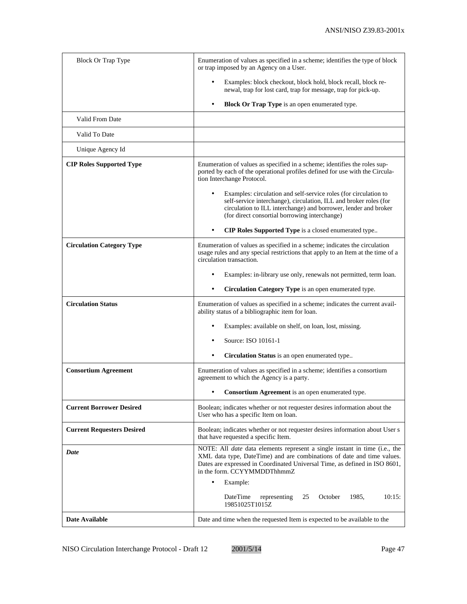| <b>Block Or Trap Type</b>         | Enumeration of values as specified in a scheme; identifies the type of block<br>or trap imposed by an Agency on a User.                                                                                                                                                                   |
|-----------------------------------|-------------------------------------------------------------------------------------------------------------------------------------------------------------------------------------------------------------------------------------------------------------------------------------------|
|                                   | Examples: block checkout, block hold, block recall, block re-<br>newal, trap for lost card, trap for message, trap for pick-up.                                                                                                                                                           |
|                                   | Block Or Trap Type is an open enumerated type.<br>$\bullet$                                                                                                                                                                                                                               |
| Valid From Date                   |                                                                                                                                                                                                                                                                                           |
| Valid To Date                     |                                                                                                                                                                                                                                                                                           |
| Unique Agency Id                  |                                                                                                                                                                                                                                                                                           |
| <b>CIP Roles Supported Type</b>   | Enumeration of values as specified in a scheme; identifies the roles sup-<br>ported by each of the operational profiles defined for use with the Circula-<br>tion Interchange Protocol.                                                                                                   |
|                                   | Examples: circulation and self-service roles (for circulation to<br>self-service interchange), circulation, ILL and broker roles (for<br>circulation to ILL interchange) and borrower, lender and broker<br>(for direct consortial borrowing interchange)                                 |
|                                   | CIP Roles Supported Type is a closed enumerated type<br>$\bullet$                                                                                                                                                                                                                         |
| <b>Circulation Category Type</b>  | Enumeration of values as specified in a scheme; indicates the circulation<br>usage rules and any special restrictions that apply to an Item at the time of a<br>circulation transaction.                                                                                                  |
|                                   | Examples: in-library use only, renewals not permitted, term loan.                                                                                                                                                                                                                         |
|                                   | Circulation Category Type is an open enumerated type.                                                                                                                                                                                                                                     |
| <b>Circulation Status</b>         | Enumeration of values as specified in a scheme; indicates the current avail-<br>ability status of a bibliographic item for loan.                                                                                                                                                          |
|                                   | Examples: available on shelf, on loan, lost, missing.                                                                                                                                                                                                                                     |
|                                   | Source: ISO 10161-1                                                                                                                                                                                                                                                                       |
|                                   | Circulation Status is an open enumerated type                                                                                                                                                                                                                                             |
| <b>Consortium Agreement</b>       | Enumeration of values as specified in a scheme; identifies a consortium<br>agreement to which the Agency is a party.                                                                                                                                                                      |
|                                   | <b>Consortium Agreement</b> is an open enumerated type.                                                                                                                                                                                                                                   |
| <b>Current Borrower Desired</b>   | Boolean; indicates whether or not requester desires information about the<br>User who has a specific Item on loan.                                                                                                                                                                        |
| <b>Current Requesters Desired</b> | Boolean; indicates whether or not requester desires information about User s<br>that have requested a specific Item.                                                                                                                                                                      |
| Date                              | NOTE: All <i>date</i> data elements represent a single instant in time (i.e., the<br>XML data type, DateTime) and are combinations of date and time values.<br>Dates are expressed in Coordinated Universal Time, as defined in ISO 8601,<br>in the form. CCYYMMDDThhmmZ<br>Example:<br>٠ |
|                                   | DateTime<br>1985,<br>10:15:<br>representing<br>25<br>October<br>19851025T1015Z                                                                                                                                                                                                            |
| <b>Date Available</b>             | Date and time when the requested Item is expected to be available to the                                                                                                                                                                                                                  |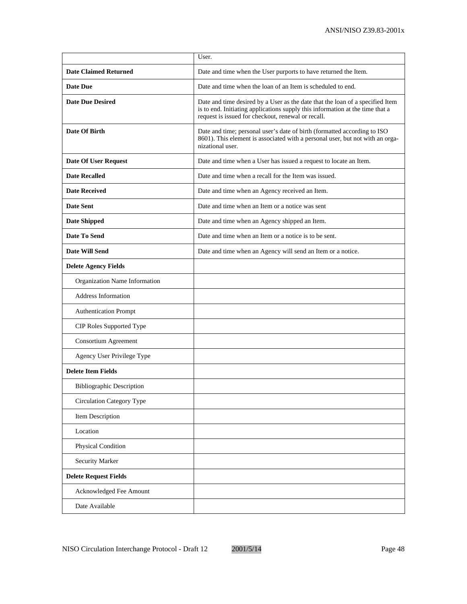|                                  | User.                                                                                                                                                                                                                |
|----------------------------------|----------------------------------------------------------------------------------------------------------------------------------------------------------------------------------------------------------------------|
| <b>Date Claimed Returned</b>     | Date and time when the User purports to have returned the Item.                                                                                                                                                      |
| <b>Date Due</b>                  | Date and time when the loan of an Item is scheduled to end.                                                                                                                                                          |
| <b>Date Due Desired</b>          | Date and time desired by a User as the date that the loan of a specified Item<br>is to end. Initiating applications supply this information at the time that a<br>request is issued for checkout, renewal or recall. |
| Date Of Birth                    | Date and time; personal user's date of birth (formatted according to ISO<br>8601). This element is associated with a personal user, but not with an orga-<br>nizational user.                                        |
| Date Of User Request             | Date and time when a User has issued a request to locate an Item.                                                                                                                                                    |
| <b>Date Recalled</b>             | Date and time when a recall for the Item was issued.                                                                                                                                                                 |
| <b>Date Received</b>             | Date and time when an Agency received an Item.                                                                                                                                                                       |
| <b>Date Sent</b>                 | Date and time when an Item or a notice was sent                                                                                                                                                                      |
| <b>Date Shipped</b>              | Date and time when an Agency shipped an Item.                                                                                                                                                                        |
| Date To Send                     | Date and time when an Item or a notice is to be sent.                                                                                                                                                                |
| <b>Date Will Send</b>            | Date and time when an Agency will send an Item or a notice.                                                                                                                                                          |
| <b>Delete Agency Fields</b>      |                                                                                                                                                                                                                      |
| Organization Name Information    |                                                                                                                                                                                                                      |
| <b>Address Information</b>       |                                                                                                                                                                                                                      |
| <b>Authentication Prompt</b>     |                                                                                                                                                                                                                      |
| CIP Roles Supported Type         |                                                                                                                                                                                                                      |
| Consortium Agreement             |                                                                                                                                                                                                                      |
| Agency User Privilege Type       |                                                                                                                                                                                                                      |
| <b>Delete Item Fields</b>        |                                                                                                                                                                                                                      |
| <b>Bibliographic Description</b> |                                                                                                                                                                                                                      |
| <b>Circulation Category Type</b> |                                                                                                                                                                                                                      |
| Item Description                 |                                                                                                                                                                                                                      |
| Location                         |                                                                                                                                                                                                                      |
| Physical Condition               |                                                                                                                                                                                                                      |
| <b>Security Marker</b>           |                                                                                                                                                                                                                      |
| <b>Delete Request Fields</b>     |                                                                                                                                                                                                                      |
| Acknowledged Fee Amount          |                                                                                                                                                                                                                      |
| Date Available                   |                                                                                                                                                                                                                      |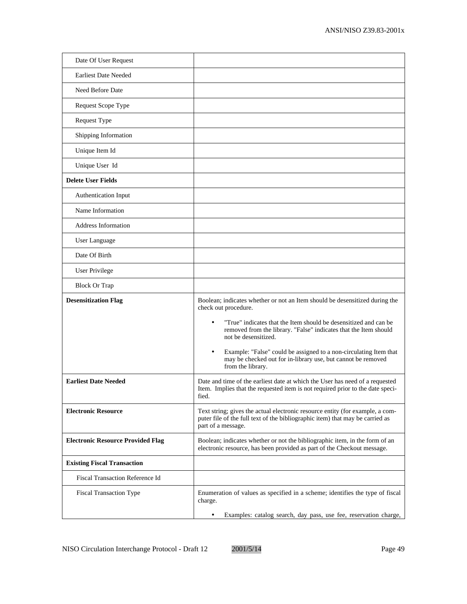| Date Of User Request                     |                                                                                                                                                                                      |
|------------------------------------------|--------------------------------------------------------------------------------------------------------------------------------------------------------------------------------------|
| <b>Earliest Date Needed</b>              |                                                                                                                                                                                      |
| Need Before Date                         |                                                                                                                                                                                      |
| Request Scope Type                       |                                                                                                                                                                                      |
| Request Type                             |                                                                                                                                                                                      |
| Shipping Information                     |                                                                                                                                                                                      |
| Unique Item Id                           |                                                                                                                                                                                      |
| Unique User Id                           |                                                                                                                                                                                      |
| <b>Delete User Fields</b>                |                                                                                                                                                                                      |
| Authentication Input                     |                                                                                                                                                                                      |
| Name Information                         |                                                                                                                                                                                      |
| <b>Address Information</b>               |                                                                                                                                                                                      |
| User Language                            |                                                                                                                                                                                      |
| Date Of Birth                            |                                                                                                                                                                                      |
| <b>User Privilege</b>                    |                                                                                                                                                                                      |
| <b>Block Or Trap</b>                     |                                                                                                                                                                                      |
| <b>Desensitization Flag</b>              | Boolean; indicates whether or not an Item should be desensitized during the<br>check out procedure.                                                                                  |
|                                          | "True" indicates that the Item should be desensitized and can be."<br>removed from the library. "False" indicates that the Item should<br>not be desensitized.                       |
|                                          | Example: "False" could be assigned to a non-circulating Item that<br>may be checked out for in-library use, but cannot be removed<br>from the library.                               |
| <b>Earliest Date Needed</b>              | Date and time of the earliest date at which the User has need of a requested<br>Item. Implies that the requested item is not required prior to the date speci-<br>fied.              |
| <b>Electronic Resource</b>               | Text string; gives the actual electronic resource entity (for example, a com-<br>puter file of the full text of the bibliographic item) that may be carried as<br>part of a message. |
| <b>Electronic Resource Provided Flag</b> | Boolean; indicates whether or not the bibliographic item, in the form of an<br>electronic resource, has been provided as part of the Checkout message.                               |
| <b>Existing Fiscal Transaction</b>       |                                                                                                                                                                                      |
| <b>Fiscal Transaction Reference Id</b>   |                                                                                                                                                                                      |
| <b>Fiscal Transaction Type</b>           | Enumeration of values as specified in a scheme; identifies the type of fiscal<br>charge.                                                                                             |
|                                          | Examples: catalog search, day pass, use fee, reservation charge,<br>٠                                                                                                                |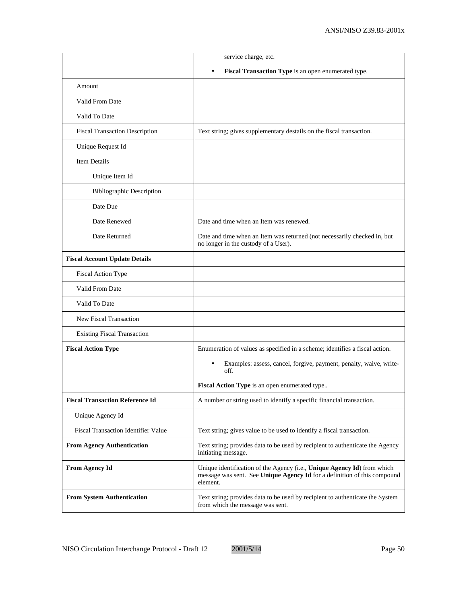|                                        | service charge, etc.                                                                                                                                            |
|----------------------------------------|-----------------------------------------------------------------------------------------------------------------------------------------------------------------|
|                                        | Fiscal Transaction Type is an open enumerated type.<br>$\bullet$                                                                                                |
| Amount                                 |                                                                                                                                                                 |
| Valid From Date                        |                                                                                                                                                                 |
| Valid To Date                          |                                                                                                                                                                 |
| <b>Fiscal Transaction Description</b>  | Text string; gives supplementary destails on the fiscal transaction.                                                                                            |
| Unique Request Id                      |                                                                                                                                                                 |
| <b>Item Details</b>                    |                                                                                                                                                                 |
| Unique Item Id                         |                                                                                                                                                                 |
| <b>Bibliographic Description</b>       |                                                                                                                                                                 |
| Date Due                               |                                                                                                                                                                 |
| Date Renewed                           | Date and time when an Item was renewed.                                                                                                                         |
| Date Returned                          | Date and time when an Item was returned (not necessarily checked in, but<br>no longer in the custody of a User).                                                |
| <b>Fiscal Account Update Details</b>   |                                                                                                                                                                 |
| <b>Fiscal Action Type</b>              |                                                                                                                                                                 |
| Valid From Date                        |                                                                                                                                                                 |
| Valid To Date                          |                                                                                                                                                                 |
| <b>New Fiscal Transaction</b>          |                                                                                                                                                                 |
| <b>Existing Fiscal Transaction</b>     |                                                                                                                                                                 |
| <b>Fiscal Action Type</b>              | Enumeration of values as specified in a scheme; identifies a fiscal action.                                                                                     |
|                                        | Examples: assess, cancel, forgive, payment, penalty, waive, write-<br>off.                                                                                      |
|                                        | Fiscal Action Type is an open enumerated type                                                                                                                   |
| <b>Fiscal Transaction Reference Id</b> | A number or string used to identify a specific financial transaction.                                                                                           |
| Unique Agency Id                       |                                                                                                                                                                 |
| Fiscal Transaction Identifier Value    | Text string; gives value to be used to identify a fiscal transaction.                                                                                           |
| <b>From Agency Authentication</b>      | Text string; provides data to be used by recipient to authenticate the Agency<br>initiating message.                                                            |
| <b>From Agency Id</b>                  | Unique identification of the Agency (i.e., Unique Agency Id) from which<br>message was sent. See Unique Agency Id for a definition of this compound<br>element. |
| <b>From System Authentication</b>      | Text string; provides data to be used by recipient to authenticate the System<br>from which the message was sent.                                               |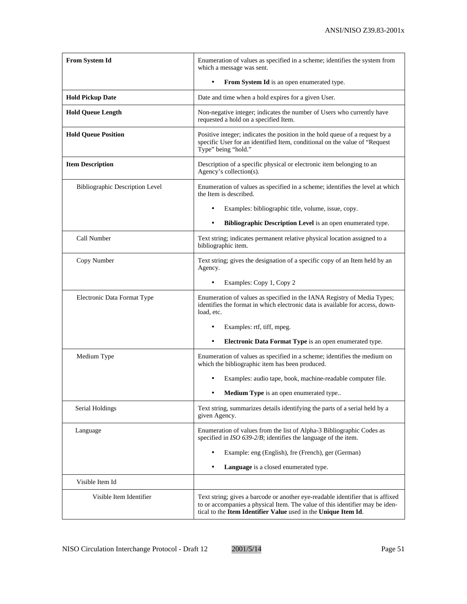| From System Id                         | Enumeration of values as specified in a scheme; identifies the system from<br>which a message was sent.                                                                                                                           |
|----------------------------------------|-----------------------------------------------------------------------------------------------------------------------------------------------------------------------------------------------------------------------------------|
|                                        | From System Id is an open enumerated type.<br>$\bullet$                                                                                                                                                                           |
| <b>Hold Pickup Date</b>                | Date and time when a hold expires for a given User.                                                                                                                                                                               |
| <b>Hold Queue Length</b>               | Non-negative integer; indicates the number of Users who currently have<br>requested a hold on a specified Item.                                                                                                                   |
| <b>Hold Queue Position</b>             | Positive integer; indicates the position in the hold queue of a request by a<br>specific User for an identified Item, conditional on the value of "Request"<br>Type" being "hold."                                                |
| <b>Item Description</b>                | Description of a specific physical or electronic item belonging to an<br>Agency's collection(s).                                                                                                                                  |
| <b>Bibliographic Description Level</b> | Enumeration of values as specified in a scheme; identifies the level at which<br>the Item is described.                                                                                                                           |
|                                        | Examples: bibliographic title, volume, issue, copy.                                                                                                                                                                               |
|                                        | Bibliographic Description Level is an open enumerated type.                                                                                                                                                                       |
| Call Number                            | Text string; indicates permanent relative physical location assigned to a<br>bibliographic item.                                                                                                                                  |
| Copy Number                            | Text string; gives the designation of a specific copy of an Item held by an<br>Agency.                                                                                                                                            |
|                                        | Examples: Copy 1, Copy 2                                                                                                                                                                                                          |
| Electronic Data Format Type            | Enumeration of values as specified in the IANA Registry of Media Types;<br>identifies the format in which electronic data is available for access, down-<br>load, etc.                                                            |
|                                        | Examples: rtf, tiff, mpeg.                                                                                                                                                                                                        |
|                                        | Electronic Data Format Type is an open enumerated type.<br>$\bullet$                                                                                                                                                              |
| Medium Type                            | Enumeration of values as specified in a scheme; identifies the medium on<br>which the bibliographic item has been produced.                                                                                                       |
|                                        | Examples: audio tape, book, machine-readable computer file.                                                                                                                                                                       |
|                                        | Medium Type is an open enumerated type                                                                                                                                                                                            |
| Serial Holdings                        | Text string, summarizes details identifying the parts of a serial held by a<br>given Agency.                                                                                                                                      |
| Language                               | Enumeration of values from the list of Alpha-3 Bibliographic Codes as<br>specified in ISO 639-2/B; identifies the language of the item.                                                                                           |
|                                        | Example: eng (English), fre (French), ger (German)                                                                                                                                                                                |
|                                        | Language is a closed enumerated type.                                                                                                                                                                                             |
| Visible Item Id                        |                                                                                                                                                                                                                                   |
| Visible Item Identifier                | Text string; gives a barcode or another eye-readable identifier that is affixed<br>to or accompanies a physical Item. The value of this identifier may be iden-<br>tical to the Item Identifier Value used in the Unique Item Id. |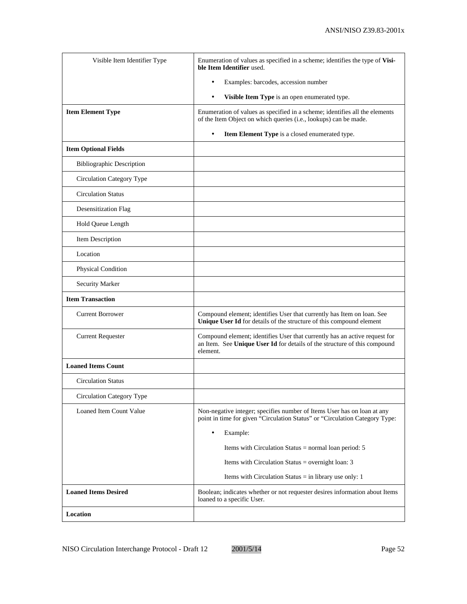| Visible Item Identifier Type     | Enumeration of values as specified in a scheme; identifies the type of Visi-<br>ble Item Identifier used.                                                           |
|----------------------------------|---------------------------------------------------------------------------------------------------------------------------------------------------------------------|
|                                  | Examples: barcodes, accession number<br>$\bullet$                                                                                                                   |
|                                  | Visible Item Type is an open enumerated type.<br>$\bullet$                                                                                                          |
| <b>Item Element Type</b>         | Enumeration of values as specified in a scheme; identifies all the elements<br>of the Item Object on which queries (i.e., lookups) can be made.                     |
|                                  | Item Element Type is a closed enumerated type.<br>$\bullet$                                                                                                         |
| <b>Item Optional Fields</b>      |                                                                                                                                                                     |
| <b>Bibliographic Description</b> |                                                                                                                                                                     |
| Circulation Category Type        |                                                                                                                                                                     |
| <b>Circulation Status</b>        |                                                                                                                                                                     |
| Desensitization Flag             |                                                                                                                                                                     |
| Hold Queue Length                |                                                                                                                                                                     |
| Item Description                 |                                                                                                                                                                     |
| Location                         |                                                                                                                                                                     |
| Physical Condition               |                                                                                                                                                                     |
| <b>Security Marker</b>           |                                                                                                                                                                     |
| <b>Item Transaction</b>          |                                                                                                                                                                     |
| <b>Current Borrower</b>          | Compound element; identifies User that currently has Item on loan. See<br>Unique User Id for details of the structure of this compound element                      |
| <b>Current Requester</b>         | Compound element; identifies User that currently has an active request for<br>an Item. See Unique User Id for details of the structure of this compound<br>element. |
| <b>Loaned Items Count</b>        |                                                                                                                                                                     |
| <b>Circulation Status</b>        |                                                                                                                                                                     |
| Circulation Category Type        |                                                                                                                                                                     |
| Loaned Item Count Value          | Non-negative integer; specifies number of Items User has on loan at any<br>point in time for given "Circulation Status" or "Circulation Category Type:              |
|                                  | Example:<br>$\bullet$                                                                                                                                               |
|                                  | Items with Circulation Status $=$ normal loan period: 5                                                                                                             |
|                                  | Items with Circulation Status = overnight loan: $3$                                                                                                                 |
|                                  | Items with Circulation Status $=$ in library use only: 1                                                                                                            |
| <b>Loaned Items Desired</b>      | Boolean; indicates whether or not requester desires information about Items<br>loaned to a specific User.                                                           |
| Location                         |                                                                                                                                                                     |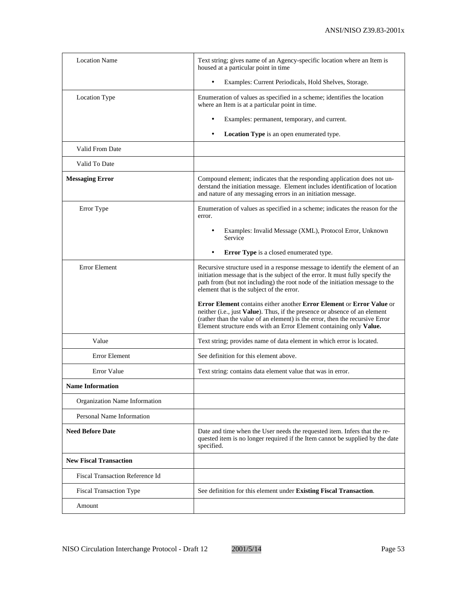| <b>Location Name</b>                   | Text string; gives name of an Agency-specific location where an Item is<br>housed at a particular point in time                                                                                                                                                                                            |
|----------------------------------------|------------------------------------------------------------------------------------------------------------------------------------------------------------------------------------------------------------------------------------------------------------------------------------------------------------|
|                                        | Examples: Current Periodicals, Hold Shelves, Storage.<br>$\bullet$                                                                                                                                                                                                                                         |
| Location Type                          | Enumeration of values as specified in a scheme; identifies the location<br>where an Item is at a particular point in time.                                                                                                                                                                                 |
|                                        | Examples: permanent, temporary, and current.<br>٠                                                                                                                                                                                                                                                          |
|                                        | Location Type is an open enumerated type.                                                                                                                                                                                                                                                                  |
| Valid From Date                        |                                                                                                                                                                                                                                                                                                            |
| Valid To Date                          |                                                                                                                                                                                                                                                                                                            |
| <b>Messaging Error</b>                 | Compound element; indicates that the responding application does not un-<br>derstand the initiation message. Element includes identification of location<br>and nature of any messaging errors in an initiation message.                                                                                   |
| Error Type                             | Enumeration of values as specified in a scheme; indicates the reason for the<br>error.                                                                                                                                                                                                                     |
|                                        | Examples: Invalid Message (XML), Protocol Error, Unknown<br>Service                                                                                                                                                                                                                                        |
|                                        | Error Type is a closed enumerated type.                                                                                                                                                                                                                                                                    |
| <b>Error Element</b>                   | Recursive structure used in a response message to identify the element of an<br>initiation message that is the subject of the error. It must fully specify the<br>path from (but not including) the root node of the initiation message to the<br>element that is the subject of the error.                |
|                                        | Error Element contains either another Error Element or Error Value or<br>neither (i.e., just Value). Thus, if the presence or absence of an element<br>(rather than the value of an element) is the error, then the recursive Error<br>Element structure ends with an Error Element containing only Value. |
| Value                                  | Text string; provides name of data element in which error is located.                                                                                                                                                                                                                                      |
| <b>Error Element</b>                   | See definition for this element above.                                                                                                                                                                                                                                                                     |
| Error Value                            | Text string: contains data element value that was in error.                                                                                                                                                                                                                                                |
| <b>Name Information</b>                |                                                                                                                                                                                                                                                                                                            |
| Organization Name Information          |                                                                                                                                                                                                                                                                                                            |
| Personal Name Information              |                                                                                                                                                                                                                                                                                                            |
| <b>Need Before Date</b>                | Date and time when the User needs the requested item. Infers that the re-<br>quested item is no longer required if the Item cannot be supplied by the date<br>specified.                                                                                                                                   |
| <b>New Fiscal Transaction</b>          |                                                                                                                                                                                                                                                                                                            |
| <b>Fiscal Transaction Reference Id</b> |                                                                                                                                                                                                                                                                                                            |
| <b>Fiscal Transaction Type</b>         | See definition for this element under Existing Fiscal Transaction.                                                                                                                                                                                                                                         |
| Amount                                 |                                                                                                                                                                                                                                                                                                            |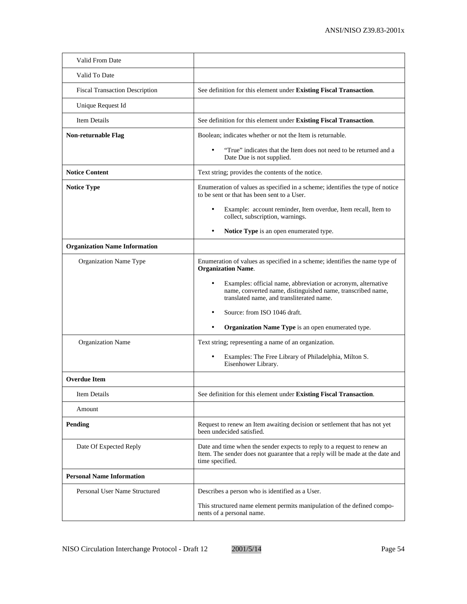| Valid From Date                       |                                                                                                                                                                                |
|---------------------------------------|--------------------------------------------------------------------------------------------------------------------------------------------------------------------------------|
| Valid To Date                         |                                                                                                                                                                                |
| <b>Fiscal Transaction Description</b> | See definition for this element under Existing Fiscal Transaction.                                                                                                             |
| Unique Request Id                     |                                                                                                                                                                                |
| <b>Item Details</b>                   | See definition for this element under Existing Fiscal Transaction.                                                                                                             |
| Non-returnable Flag                   | Boolean; indicates whether or not the Item is returnable.                                                                                                                      |
|                                       | "True" indicates that the Item does not need to be returned and a<br>Date Due is not supplied.                                                                                 |
| <b>Notice Content</b>                 | Text string; provides the contents of the notice.                                                                                                                              |
| <b>Notice Type</b>                    | Enumeration of values as specified in a scheme; identifies the type of notice<br>to be sent or that has been sent to a User.                                                   |
|                                       | Example: account reminder, Item overdue, Item recall, Item to<br>٠<br>collect, subscription, warnings.                                                                         |
|                                       | Notice Type is an open enumerated type.                                                                                                                                        |
| <b>Organization Name Information</b>  |                                                                                                                                                                                |
| Organization Name Type                | Enumeration of values as specified in a scheme; identifies the name type of<br><b>Organization Name.</b>                                                                       |
|                                       | Examples: official name, abbreviation or acronym, alternative<br>٠<br>name, converted name, distinguished name, transcribed name,<br>translated name, and transliterated name. |
|                                       | Source: from ISO 1046 draft.                                                                                                                                                   |
|                                       | Organization Name Type is an open enumerated type.                                                                                                                             |
| Organization Name                     | Text string; representing a name of an organization.                                                                                                                           |
|                                       | Examples: The Free Library of Philadelphia, Milton S.<br>٠<br>Eisenhower Library.                                                                                              |
| <b>Overdue Item</b>                   |                                                                                                                                                                                |
| Item Details                          | See definition for this element under Existing Fiscal Transaction.                                                                                                             |
| Amount                                |                                                                                                                                                                                |
| <b>Pending</b>                        | Request to renew an Item awaiting decision or settlement that has not yet<br>been undecided satisfied.                                                                         |
| Date Of Expected Reply                | Date and time when the sender expects to reply to a request to renew an<br>Item. The sender does not guarantee that a reply will be made at the date and<br>time specified.    |
| <b>Personal Name Information</b>      |                                                                                                                                                                                |
| Personal User Name Structured         | Describes a person who is identified as a User.                                                                                                                                |
|                                       | This structured name element permits manipulation of the defined compo-<br>nents of a personal name.                                                                           |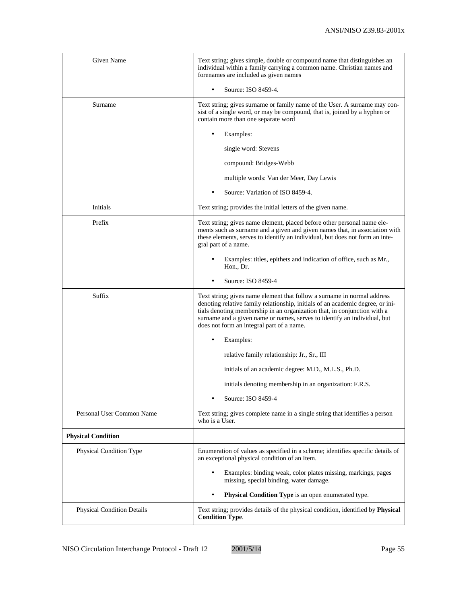| Given Name                        | Text string; gives simple, double or compound name that distinguishes an<br>individual within a family carrying a common name. Christian names and<br>forenames are included as given names                                                                                                                                                                    |
|-----------------------------------|----------------------------------------------------------------------------------------------------------------------------------------------------------------------------------------------------------------------------------------------------------------------------------------------------------------------------------------------------------------|
|                                   | Source: ISO 8459-4.                                                                                                                                                                                                                                                                                                                                            |
| Surname                           | Text string; gives surname or family name of the User. A surname may con-<br>sist of a single word, or may be compound, that is, joined by a hyphen or<br>contain more than one separate word                                                                                                                                                                  |
|                                   | Examples:                                                                                                                                                                                                                                                                                                                                                      |
|                                   | single word: Stevens                                                                                                                                                                                                                                                                                                                                           |
|                                   | compound: Bridges-Webb                                                                                                                                                                                                                                                                                                                                         |
|                                   | multiple words: Van der Meer, Day Lewis                                                                                                                                                                                                                                                                                                                        |
|                                   | Source: Variation of ISO 8459-4.                                                                                                                                                                                                                                                                                                                               |
| Initials                          | Text string; provides the initial letters of the given name.                                                                                                                                                                                                                                                                                                   |
| Prefix                            | Text string; gives name element, placed before other personal name ele-<br>ments such as surname and a given and given names that, in association with<br>these elements, serves to identify an individual, but does not form an inte-<br>gral part of a name.                                                                                                 |
|                                   | Examples: titles, epithets and indication of office, such as Mr.,<br>Hon., Dr.                                                                                                                                                                                                                                                                                 |
|                                   | Source: ISO 8459-4                                                                                                                                                                                                                                                                                                                                             |
| Suffix                            | Text string; gives name element that follow a surname in normal address<br>denoting relative family relationship, initials of an academic degree, or ini-<br>tials denoting membership in an organization that, in conjunction with a<br>surname and a given name or names, serves to identify an individual, but<br>does not form an integral part of a name. |
|                                   | Examples:                                                                                                                                                                                                                                                                                                                                                      |
|                                   | relative family relationship: Jr., Sr., III                                                                                                                                                                                                                                                                                                                    |
|                                   | initials of an academic degree: M.D., M.L.S., Ph.D.                                                                                                                                                                                                                                                                                                            |
|                                   | initials denoting membership in an organization: F.R.S.                                                                                                                                                                                                                                                                                                        |
|                                   | Source: ISO 8459-4                                                                                                                                                                                                                                                                                                                                             |
| Personal User Common Name         | Text string; gives complete name in a single string that identifies a person<br>who is a User.                                                                                                                                                                                                                                                                 |
| <b>Physical Condition</b>         |                                                                                                                                                                                                                                                                                                                                                                |
| Physical Condition Type           | Enumeration of values as specified in a scheme; identifies specific details of<br>an exceptional physical condition of an Item.                                                                                                                                                                                                                                |
|                                   | Examples: binding weak, color plates missing, markings, pages<br>$\bullet$<br>missing, special binding, water damage.                                                                                                                                                                                                                                          |
|                                   | Physical Condition Type is an open enumerated type.                                                                                                                                                                                                                                                                                                            |
| <b>Physical Condition Details</b> | Text string; provides details of the physical condition, identified by Physical<br><b>Condition Type.</b>                                                                                                                                                                                                                                                      |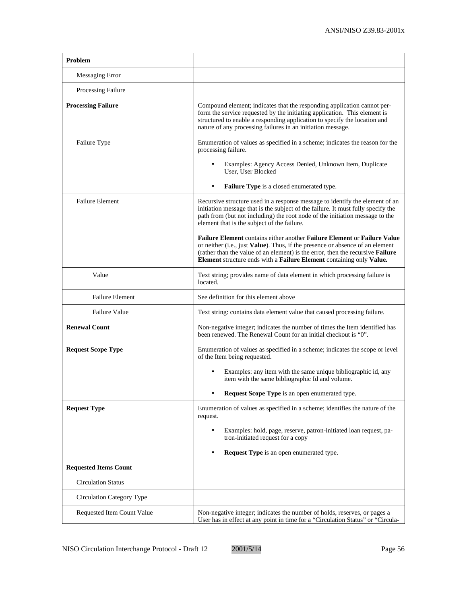| Problem                      |                                                                                                                                                                                                                                                                                                                     |
|------------------------------|---------------------------------------------------------------------------------------------------------------------------------------------------------------------------------------------------------------------------------------------------------------------------------------------------------------------|
| Messaging Error              |                                                                                                                                                                                                                                                                                                                     |
| Processing Failure           |                                                                                                                                                                                                                                                                                                                     |
| <b>Processing Failure</b>    | Compound element; indicates that the responding application cannot per-<br>form the service requested by the initiating application. This element is<br>structured to enable a responding application to specify the location and<br>nature of any processing failures in an initiation message.                    |
| Failure Type                 | Enumeration of values as specified in a scheme; indicates the reason for the<br>processing failure.<br>Examples: Agency Access Denied, Unknown Item, Duplicate<br>User, User Blocked                                                                                                                                |
|                              | Failure Type is a closed enumerated type.                                                                                                                                                                                                                                                                           |
| <b>Failure Element</b>       | Recursive structure used in a response message to identify the element of an<br>initiation message that is the subject of the failure. It must fully specify the<br>path from (but not including) the root node of the initiation message to the<br>element that is the subject of the failure.                     |
|                              | Failure Element contains either another Failure Element or Failure Value<br>or neither (i.e., just Value). Thus, if the presence or absence of an element<br>(rather than the value of an element) is the error, then the recursive Failure<br>Element structure ends with a Failure Element containing only Value. |
| Value                        | Text string; provides name of data element in which processing failure is<br>located.                                                                                                                                                                                                                               |
| <b>Failure Element</b>       | See definition for this element above                                                                                                                                                                                                                                                                               |
| <b>Failure Value</b>         | Text string: contains data element value that caused processing failure.                                                                                                                                                                                                                                            |
| <b>Renewal Count</b>         | Non-negative integer; indicates the number of times the Item identified has<br>been renewed. The Renewal Count for an initial checkout is "0".                                                                                                                                                                      |
| <b>Request Scope Type</b>    | Enumeration of values as specified in a scheme; indicates the scope or level<br>of the Item being requested.                                                                                                                                                                                                        |
|                              | Examples: any item with the same unique bibliographic id, any<br>item with the same bibliographic Id and volume.                                                                                                                                                                                                    |
|                              | Request Scope Type is an open enumerated type                                                                                                                                                                                                                                                                       |
| <b>Request Type</b>          | Enumeration of values as specified in a scheme; identifies the nature of the<br>request.                                                                                                                                                                                                                            |
|                              | Examples: hold, page, reserve, patron-initiated loan request, pa-<br>٠<br>tron-initiated request for a copy                                                                                                                                                                                                         |
|                              | <b>Request Type</b> is an open enumerated type.<br>$\bullet$                                                                                                                                                                                                                                                        |
| <b>Requested Items Count</b> |                                                                                                                                                                                                                                                                                                                     |
| <b>Circulation Status</b>    |                                                                                                                                                                                                                                                                                                                     |
| Circulation Category Type    |                                                                                                                                                                                                                                                                                                                     |
| Requested Item Count Value   | Non-negative integer; indicates the number of holds, reserves, or pages a<br>User has in effect at any point in time for a "Circulation Status" or "Circula-                                                                                                                                                        |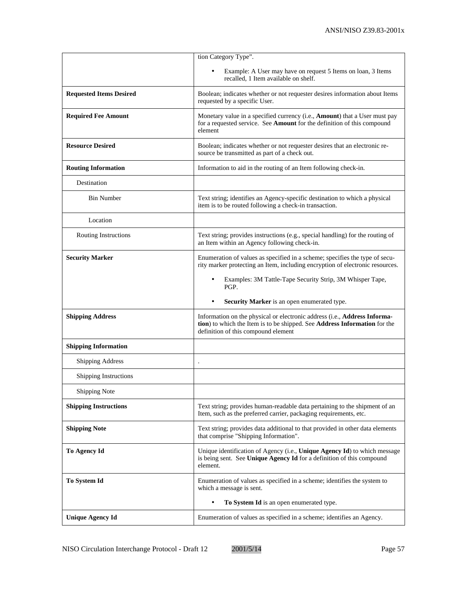|                                | tion Category Type".                                                                                                                                                                          |
|--------------------------------|-----------------------------------------------------------------------------------------------------------------------------------------------------------------------------------------------|
|                                | Example: A User may have on request 5 Items on loan, 3 Items<br>recalled, 1 Item available on shelf.                                                                                          |
| <b>Requested Items Desired</b> | Boolean; indicates whether or not requester desires information about Items<br>requested by a specific User.                                                                                  |
| <b>Required Fee Amount</b>     | Monetary value in a specified currency (i.e., Amount) that a User must pay<br>for a requested service. See Amount for the definition of this compound<br>element                              |
| <b>Resource Desired</b>        | Boolean; indicates whether or not requester desires that an electronic re-<br>source be transmitted as part of a check out.                                                                   |
| <b>Routing Information</b>     | Information to aid in the routing of an Item following check-in.                                                                                                                              |
| Destination                    |                                                                                                                                                                                               |
| <b>Bin Number</b>              | Text string; identifies an Agency-specific destination to which a physical<br>item is to be routed following a check-in transaction.                                                          |
| Location                       |                                                                                                                                                                                               |
| Routing Instructions           | Text string; provides instructions (e.g., special handling) for the routing of<br>an Item within an Agency following check-in.                                                                |
| <b>Security Marker</b>         | Enumeration of values as specified in a scheme; specifies the type of secu-<br>rity marker protecting an Item, including encryption of electronic resources.                                  |
|                                | Examples: 3M Tattle-Tape Security Strip, 3M Whisper Tape,<br>PGP.                                                                                                                             |
|                                |                                                                                                                                                                                               |
|                                | Security Marker is an open enumerated type.<br>$\bullet$                                                                                                                                      |
| <b>Shipping Address</b>        | Information on the physical or electronic address (i.e., Address Informa-<br>tion) to which the Item is to be shipped. See Address Information for the<br>definition of this compound element |
| <b>Shipping Information</b>    |                                                                                                                                                                                               |
| <b>Shipping Address</b>        |                                                                                                                                                                                               |
| Shipping Instructions          |                                                                                                                                                                                               |
| <b>Shipping Note</b>           |                                                                                                                                                                                               |
| <b>Shipping Instructions</b>   | Text string; provides human-readable data pertaining to the shipment of an<br>Item, such as the preferred carrier, packaging requirements, etc.                                               |
| <b>Shipping Note</b>           | Text string; provides data additional to that provided in other data elements<br>that comprise "Shipping Information".                                                                        |
| To Agency Id                   | Unique identification of Agency (i.e., Unique Agency Id) to which message<br>is being sent. See Unique Agency Id for a definition of this compound<br>element.                                |
| <b>To System Id</b>            | Enumeration of values as specified in a scheme; identifies the system to<br>which a message is sent.                                                                                          |
|                                | To System Id is an open enumerated type.                                                                                                                                                      |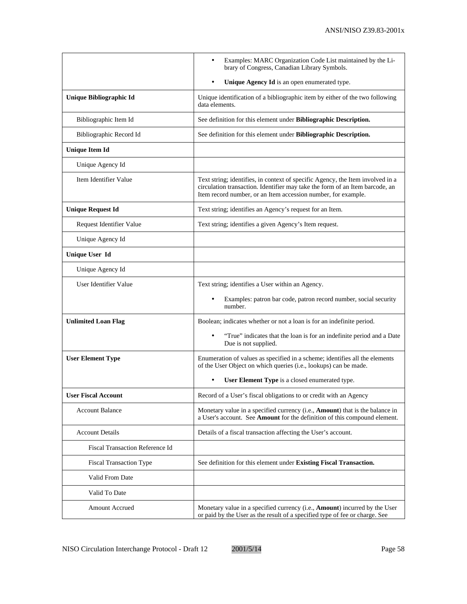|                                 | Examples: MARC Organization Code List maintained by the Li-<br>brary of Congress, Canadian Library Symbols.                                                                                                                     |  |
|---------------------------------|---------------------------------------------------------------------------------------------------------------------------------------------------------------------------------------------------------------------------------|--|
|                                 | Unique Agency Id is an open enumerated type.<br>$\bullet$                                                                                                                                                                       |  |
| Unique Bibliographic Id         | Unique identification of a bibliographic item by either of the two following<br>data elements.                                                                                                                                  |  |
| Bibliographic Item Id           | See definition for this element under Bibliographic Description.                                                                                                                                                                |  |
| Bibliographic Record Id         | See definition for this element under Bibliographic Description.                                                                                                                                                                |  |
| <b>Unique Item Id</b>           |                                                                                                                                                                                                                                 |  |
| Unique Agency Id                |                                                                                                                                                                                                                                 |  |
| Item Identifier Value           | Text string; identifies, in context of specific Agency, the Item involved in a<br>circulation transaction. Identifier may take the form of an Item barcode, an<br>Item record number, or an Item accession number, for example. |  |
| <b>Unique Request Id</b>        | Text string; identifies an Agency's request for an Item.                                                                                                                                                                        |  |
| Request Identifier Value        | Text string; identifies a given Agency's Item request.                                                                                                                                                                          |  |
| Unique Agency Id                |                                                                                                                                                                                                                                 |  |
| <b>Unique User Id</b>           |                                                                                                                                                                                                                                 |  |
| Unique Agency Id                |                                                                                                                                                                                                                                 |  |
| User Identifier Value           | Text string; identifies a User within an Agency.                                                                                                                                                                                |  |
|                                 | Examples: patron bar code, patron record number, social security<br>number.                                                                                                                                                     |  |
| <b>Unlimited Loan Flag</b>      | Boolean; indicates whether or not a loan is for an indefinite period.                                                                                                                                                           |  |
|                                 | "True" indicates that the loan is for an indefinite period and a Date<br>Due is not supplied.                                                                                                                                   |  |
| <b>User Element Type</b>        | Enumeration of values as specified in a scheme; identifies all the elements<br>of the User Object on which queries (i.e., lookups) can be made.                                                                                 |  |
|                                 | User Element Type is a closed enumerated type.                                                                                                                                                                                  |  |
| <b>User Fiscal Account</b>      | Record of a User's fiscal obligations to or credit with an Agency                                                                                                                                                               |  |
| <b>Account Balance</b>          | Monetary value in a specified currency (i.e., <b>Amount</b> ) that is the balance in<br>a User's account. See Amount for the definition of this compound element.                                                               |  |
| <b>Account Details</b>          | Details of a fiscal transaction affecting the User's account.                                                                                                                                                                   |  |
| Fiscal Transaction Reference Id |                                                                                                                                                                                                                                 |  |
| <b>Fiscal Transaction Type</b>  | See definition for this element under Existing Fiscal Transaction.                                                                                                                                                              |  |
| Valid From Date                 |                                                                                                                                                                                                                                 |  |
| Valid To Date                   |                                                                                                                                                                                                                                 |  |
| <b>Amount Accrued</b>           | Monetary value in a specified currency (i.e., <b>Amount</b> ) incurred by the User<br>or paid by the User as the result of a specified type of fee or charge. See                                                               |  |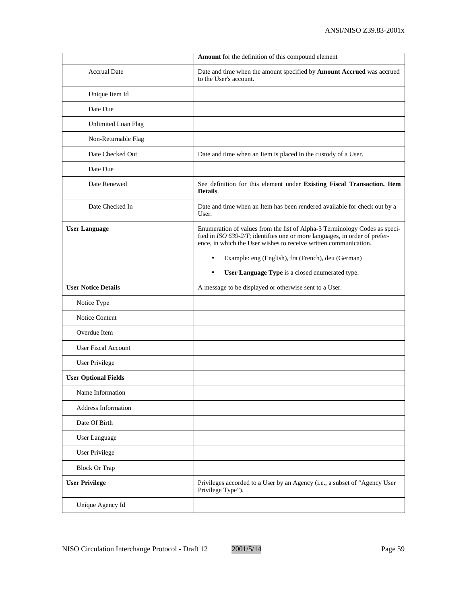|                             | Amount for the definition of this compound element                                                                                                                                                                           |  |
|-----------------------------|------------------------------------------------------------------------------------------------------------------------------------------------------------------------------------------------------------------------------|--|
| <b>Accrual Date</b>         | Date and time when the amount specified by Amount Accrued was accrued<br>to the User's account.                                                                                                                              |  |
| Unique Item Id              |                                                                                                                                                                                                                              |  |
| Date Due                    |                                                                                                                                                                                                                              |  |
| <b>Unlimited Loan Flag</b>  |                                                                                                                                                                                                                              |  |
| Non-Returnable Flag         |                                                                                                                                                                                                                              |  |
| Date Checked Out            | Date and time when an Item is placed in the custody of a User.                                                                                                                                                               |  |
| Date Due                    |                                                                                                                                                                                                                              |  |
| Date Renewed                | See definition for this element under Existing Fiscal Transaction. Item<br>Details.                                                                                                                                          |  |
| Date Checked In             | Date and time when an Item has been rendered available for check out by a<br>User.                                                                                                                                           |  |
| <b>User Language</b>        | Enumeration of values from the list of Alpha-3 Terminology Codes as speci-<br>fied in ISO 639-2/T; identifies one or more languages, in order of prefer-<br>ence, in which the User wishes to receive written communication. |  |
|                             | Example: eng (English), fra (French), deu (German)<br>$\bullet$                                                                                                                                                              |  |
|                             | User Language Type is a closed enumerated type.<br>$\bullet$                                                                                                                                                                 |  |
| <b>User Notice Details</b>  | A message to be displayed or otherwise sent to a User.                                                                                                                                                                       |  |
| Notice Type                 |                                                                                                                                                                                                                              |  |
| Notice Content              |                                                                                                                                                                                                                              |  |
| Overdue Item                |                                                                                                                                                                                                                              |  |
| <b>User Fiscal Account</b>  |                                                                                                                                                                                                                              |  |
| <b>User Privilege</b>       |                                                                                                                                                                                                                              |  |
| <b>User Optional Fields</b> |                                                                                                                                                                                                                              |  |
| Name Information            |                                                                                                                                                                                                                              |  |
| Address Information         |                                                                                                                                                                                                                              |  |
| Date Of Birth               |                                                                                                                                                                                                                              |  |
| User Language               |                                                                                                                                                                                                                              |  |
| <b>User Privilege</b>       |                                                                                                                                                                                                                              |  |
| <b>Block Or Trap</b>        |                                                                                                                                                                                                                              |  |
| <b>User Privilege</b>       | Privileges accorded to a User by an Agency (i.e., a subset of "Agency User<br>Privilege Type").                                                                                                                              |  |
| Unique Agency Id            |                                                                                                                                                                                                                              |  |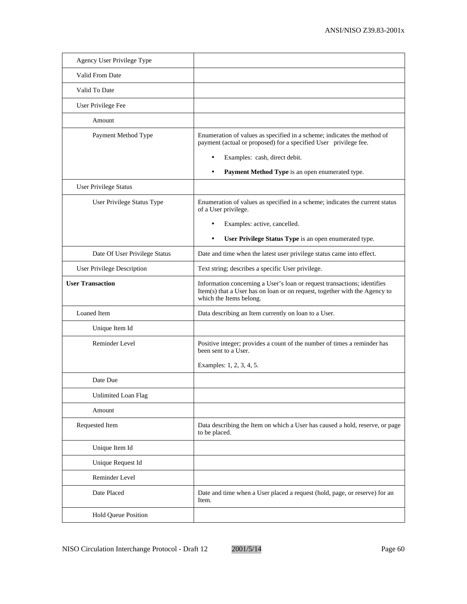| Agency User Privilege Type        |                                                                                                                                                                                   |
|-----------------------------------|-----------------------------------------------------------------------------------------------------------------------------------------------------------------------------------|
| Valid From Date                   |                                                                                                                                                                                   |
| Valid To Date                     |                                                                                                                                                                                   |
| User Privilege Fee                |                                                                                                                                                                                   |
| Amount                            |                                                                                                                                                                                   |
| Payment Method Type               | Enumeration of values as specified in a scheme; indicates the method of<br>payment (actual or proposed) for a specified User privilege fee.                                       |
|                                   | Examples: cash, direct debit.                                                                                                                                                     |
|                                   | Payment Method Type is an open enumerated type.                                                                                                                                   |
| <b>User Privilege Status</b>      |                                                                                                                                                                                   |
| User Privilege Status Type        | Enumeration of values as specified in a scheme; indicates the current status<br>of a User privilege.                                                                              |
|                                   | Examples: active, cancelled.                                                                                                                                                      |
|                                   | User Privilege Status Type is an open enumerated type.<br>$\bullet$                                                                                                               |
| Date Of User Privilege Status     | Date and time when the latest user privilege status came into effect.                                                                                                             |
| <b>User Privilege Description</b> | Text string; describes a specific User privilege.                                                                                                                                 |
| <b>User Transaction</b>           | Information concerning a User's loan or request transactions; identifies<br>Item(s) that a User has on loan or on request, together with the Agency to<br>which the Items belong. |
| Loaned Item                       | Data describing an Item currently on loan to a User.                                                                                                                              |
| Unique Item Id                    |                                                                                                                                                                                   |
| <b>Reminder Level</b>             | Positive integer; provides a count of the number of times a reminder has<br>been sent to a User.                                                                                  |
|                                   | Examples: 1, 2, 3, 4, 5.                                                                                                                                                          |
| Date Due                          |                                                                                                                                                                                   |
| Unlimited Loan Flag               |                                                                                                                                                                                   |
| Amount                            |                                                                                                                                                                                   |
| Requested Item                    | Data describing the Item on which a User has caused a hold, reserve, or page<br>to be placed.                                                                                     |
| Unique Item Id                    |                                                                                                                                                                                   |
| Unique Request Id                 |                                                                                                                                                                                   |
| Reminder Level                    |                                                                                                                                                                                   |
| Date Placed                       | Date and time when a User placed a request (hold, page, or reserve) for an<br>Item.                                                                                               |
| Hold Queue Position               |                                                                                                                                                                                   |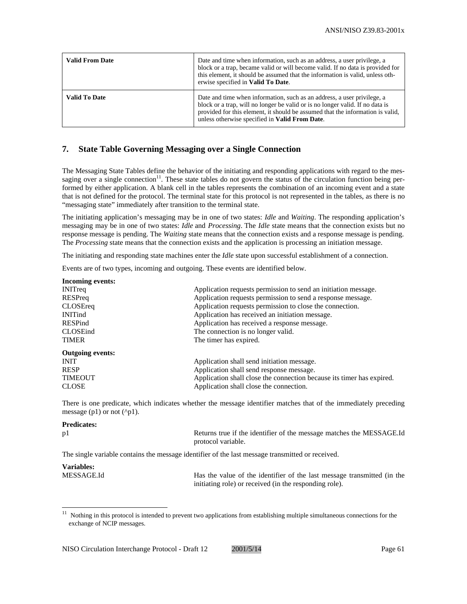| <b>Valid From Date</b> | Date and time when information, such as an address, a user privilege, a<br>block or a trap, became valid or will become valid. If no data is provided for<br>this element, it should be assumed that the information is valid, unless oth-<br>erwise specified in Valid To Date.                     |  |
|------------------------|------------------------------------------------------------------------------------------------------------------------------------------------------------------------------------------------------------------------------------------------------------------------------------------------------|--|
| <b>Valid To Date</b>   | Date and time when information, such as an address, a user privilege, a<br>block or a trap, will no longer be valid or is no longer valid. If no data is<br>provided for this element, it should be assumed that the information is valid,<br>unless otherwise specified in <b>Valid From Date</b> . |  |

## **7. State Table Governing Messaging over a Single Connection**

The Messaging State Tables define the behavior of the initiating and responding applications with regard to the messaging over a single connection $11$ . These state tables do not govern the status of the circulation function being performed by either application. A blank cell in the tables represents the combination of an incoming event and a state that is not defined for the protocol. The terminal state for this protocol is not represented in the tables, as there is no "messaging state" immediately after transition to the terminal state.

The initiating application's messaging may be in one of two states: *Idle* and *Waiting*. The responding application's messaging may be in one of two states: *Idle* and *Processing*. The *Idle* state means that the connection exists but no response message is pending. The *Waiting* state means that the connection exists and a response message is pending. The *Processing* state means that the connection exists and the application is processing an initiation message.

The initiating and responding state machines enter the *Idle* state upon successful establishment of a connection.

Events are of two types, incoming and outgoing. These events are identified below.

| Application requests permission to send an initiation message.        |
|-----------------------------------------------------------------------|
| Application requests permission to send a response message.           |
| Application requests permission to close the connection.              |
| Application has received an initiation message.                       |
| Application has received a response message.                          |
| The connection is no longer valid.                                    |
| The timer has expired.                                                |
|                                                                       |
| Application shall send initiation message.                            |
| Application shall send response message.                              |
| Application shall close the connection because its timer has expired. |
| Application shall close the connection.                               |
|                                                                       |

There is one predicate, which indicates whether the message identifier matches that of the immediately preceding message  $(p1)$  or not  $(^{6}p1)$ .

### **Predicates:**

| ۰.<br>v |  |
|---------|--|

 $\overline{a}$ 

Returns true if the identifier of the message matches the MESSAGE.Id protocol variable.

The single variable contains the message identifier of the last message transmitted or received.

# **Variables:**

MESSAGE.Id Has the value of the identifier of the last message transmitted (in the initiating role) or received (in the responding role).

<sup>11</sup> Nothing in this protocol is intended to prevent two applications from establishing multiple simultaneous connections for the exchange of NCIP messages.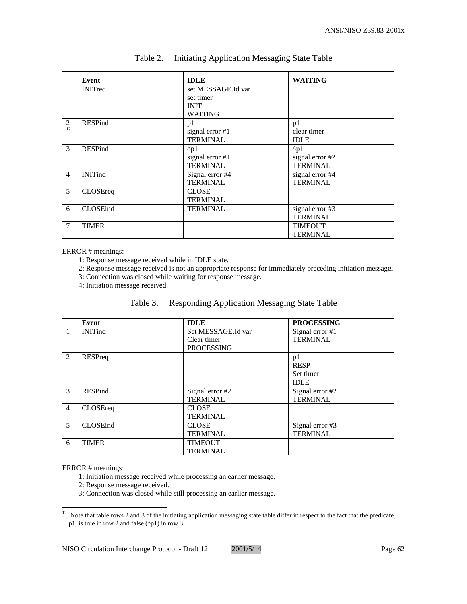|                | Event           | <b>IDLE</b>        | <b>WAITING</b>  |
|----------------|-----------------|--------------------|-----------------|
| $\mathbf{1}$   | <b>INITreq</b>  | set MESSAGE.Id var |                 |
|                |                 | set timer          |                 |
|                |                 | <b>INIT</b>        |                 |
|                |                 | <b>WAITING</b>     |                 |
| 2              | <b>RESPind</b>  | p1                 | p1              |
| 12             |                 | signal error #1    | clear timer     |
|                |                 | <b>TERMINAL</b>    | <b>IDLE</b>     |
| 3              | RESPind         | $^{\wedge}p1$      | $^{\wedge}p1$   |
|                |                 | signal error #1    | signal error #2 |
|                |                 | <b>TERMINAL</b>    | <b>TERMINAL</b> |
| $\overline{4}$ | <b>INITind</b>  | Signal error #4    | signal error #4 |
|                |                 | <b>TERMINAL</b>    | <b>TERMINAL</b> |
| 5              | CLOSEreq        | <b>CLOSE</b>       |                 |
|                |                 | <b>TERMINAL</b>    |                 |
| 6              | <b>CLOSEind</b> | <b>TERMINAL</b>    | signal error #3 |
|                |                 |                    | <b>TERMINAL</b> |
| 7              | <b>TIMER</b>    |                    | <b>TIMEOUT</b>  |
|                |                 |                    | <b>TERMINAL</b> |

## Table 2. Initiating Application Messaging State Table

ERROR # meanings:

1: Response message received while in IDLE state.

2: Response message received is not an appropriate response for immediately preceding initiation message.

3: Connection was closed while waiting for response message.

4: Initiation message received.

| Table 3. | <b>Responding Application Messaging State Table</b> |  |  |
|----------|-----------------------------------------------------|--|--|
|          |                                                     |  |  |

|                | Event            | <b>IDLE</b>        | <b>PROCESSING</b> |
|----------------|------------------|--------------------|-------------------|
| $\vert$ 1      | <b>INITind</b>   | Set MESSAGE.Id var | Signal error #1   |
|                |                  | Clear timer        | <b>TERMINAL</b>   |
|                |                  | <b>PROCESSING</b>  |                   |
| 2              | RESPreq          |                    | p1                |
|                |                  |                    | <b>RESP</b>       |
|                |                  |                    | Set timer         |
|                |                  |                    | <b>IDLE</b>       |
| 3              | <b>RESPind</b>   | Signal error #2    | Signal error #2   |
|                |                  | <b>TERMINAL</b>    | <b>TERMINAL</b>   |
| $\overline{4}$ | CLOSEreq         | <b>CLOSE</b>       |                   |
|                |                  | <b>TERMINAL</b>    |                   |
| $\overline{5}$ | <b>CLOSE</b> ind | <b>CLOSE</b>       | Signal error #3   |
|                |                  | <b>TERMINAL</b>    | <b>TERMINAL</b>   |
| 6              | <b>TIMER</b>     | <b>TIMEOUT</b>     |                   |
|                |                  | <b>TERMINAL</b>    |                   |

ERROR # meanings:

 $\overline{a}$ 

1: Initiation message received while processing an earlier message.

2: Response message received.

3: Connection was closed while still processing an earlier message.

 $12$  Note that table rows 2 and 3 of the initiating application messaging state table differ in respect to the fact that the predicate, p1, is true in row 2 and false (^p1) in row 3.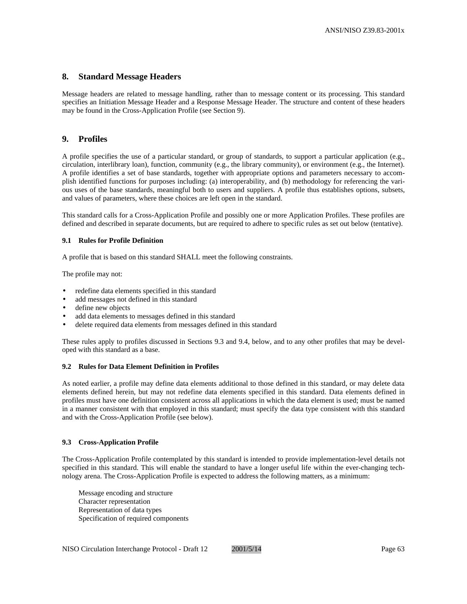## **8. Standard Message Headers**

Message headers are related to message handling, rather than to message content or its processing. This standard specifies an Initiation Message Header and a Response Message Header. The structure and content of these headers may be found in the Cross-Application Profile (see Section 9).

## **9. Profiles**

A profile specifies the use of a particular standard, or group of standards, to support a particular application (e.g., circulation, interlibrary loan), function, community (e.g., the library community), or environment (e.g., the Internet). A profile identifies a set of base standards, together with appropriate options and parameters necessary to accomplish identified functions for purposes including: (a) interoperability, and (b) methodology for referencing the various uses of the base standards, meaningful both to users and suppliers. A profile thus establishes options, subsets, and values of parameters, where these choices are left open in the standard.

This standard calls for a Cross-Application Profile and possibly one or more Application Profiles. These profiles are defined and described in separate documents, but are required to adhere to specific rules as set out below (tentative).

#### **9.1 Rules for Profile Definition**

A profile that is based on this standard SHALL meet the following constraints.

The profile may not:

- redefine data elements specified in this standard
- add messages not defined in this standard
- define new objects
- add data elements to messages defined in this standard
- delete required data elements from messages defined in this standard

These rules apply to profiles discussed in Sections 9.3 and 9.4, below, and to any other profiles that may be developed with this standard as a base.

#### **9.2 Rules for Data Element Definition in Profiles**

As noted earlier, a profile may define data elements additional to those defined in this standard, or may delete data elements defined herein, but may not redefine data elements specified in this standard. Data elements defined in profiles must have one definition consistent across all applications in which the data element is used; must be named in a manner consistent with that employed in this standard; must specify the data type consistent with this standard and with the Cross-Application Profile (see below).

#### **9.3 Cross-Application Profile**

The Cross-Application Profile contemplated by this standard is intended to provide implementation-level details not specified in this standard. This will enable the standard to have a longer useful life within the ever-changing technology arena. The Cross-Application Profile is expected to address the following matters, as a minimum:

Message encoding and structure Character representation Representation of data types Specification of required components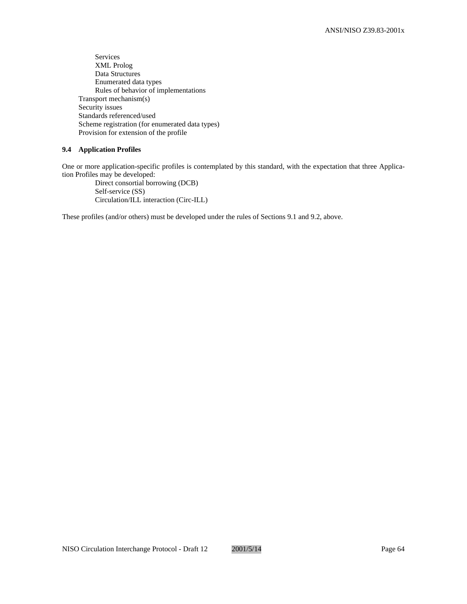Services XML Prolog Data Structures Enumerated data types Rules of behavior of implementations Transport mechanism(s) Security issues Standards referenced/used Scheme registration (for enumerated data types) Provision for extension of the profile

## **9.4 Application Profiles**

One or more application-specific profiles is contemplated by this standard, with the expectation that three Application Profiles may be developed:

Direct consortial borrowing (DCB) Self-service (SS) Circulation/ILL interaction (Circ-ILL)

These profiles (and/or others) must be developed under the rules of Sections 9.1 and 9.2, above.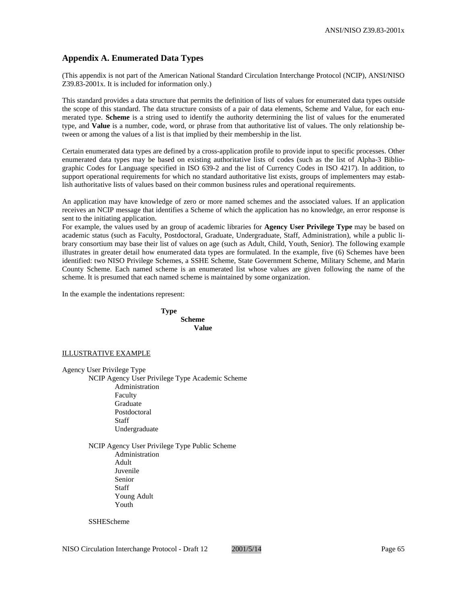## **Appendix A. Enumerated Data Types**

(This appendix is not part of the American National Standard Circulation Interchange Protocol (NCIP), ANSI/NISO Z39.83-2001x. It is included for information only.)

This standard provides a data structure that permits the definition of lists of values for enumerated data types outside the scope of this standard. The data structure consists of a pair of data elements, Scheme and Value, for each enumerated type. **Scheme** is a string used to identify the authority determining the list of values for the enumerated type, and **Value** is a number, code, word, or phrase from that authoritative list of values. The only relationship between or among the values of a list is that implied by their membership in the list.

Certain enumerated data types are defined by a cross-application profile to provide input to specific processes. Other enumerated data types may be based on existing authoritative lists of codes (such as the list of Alpha-3 Bibliographic Codes for Language specified in ISO 639-2 and the list of Currency Codes in ISO 4217). In addition, to support operational requirements for which no standard authoritative list exists, groups of implementers may establish authoritative lists of values based on their common business rules and operational requirements.

An application may have knowledge of zero or more named schemes and the associated values. If an application receives an NCIP message that identifies a Scheme of which the application has no knowledge, an error response is sent to the initiating application.

For example, the values used by an group of academic libraries for **Agency User Privilege Type** may be based on academic status (such as Faculty, Postdoctoral, Graduate, Undergraduate, Staff, Administration), while a public library consortium may base their list of values on age (such as Adult, Child, Youth, Senior). The following example illustrates in greater detail how enumerated data types are formulated. In the example, five (6) Schemes have been identified: two NISO Privilege Schemes, a SSHE Scheme, State Government Scheme, Military Scheme, and Marin County Scheme. Each named scheme is an enumerated list whose values are given following the name of the scheme. It is presumed that each named scheme is maintained by some organization.

In the example the indentations represent:

**Type Scheme Value**

#### ILLUSTRATIVE EXAMPLE

Agency User Privilege Type NCIP Agency User Privilege Type Academic Scheme Administration Faculty **Graduate** Postdoctoral Staff Undergraduate

> NCIP Agency User Privilege Type Public Scheme Administration Adult Juvenile Senior Staff Young Adult Youth

**SSHEScheme**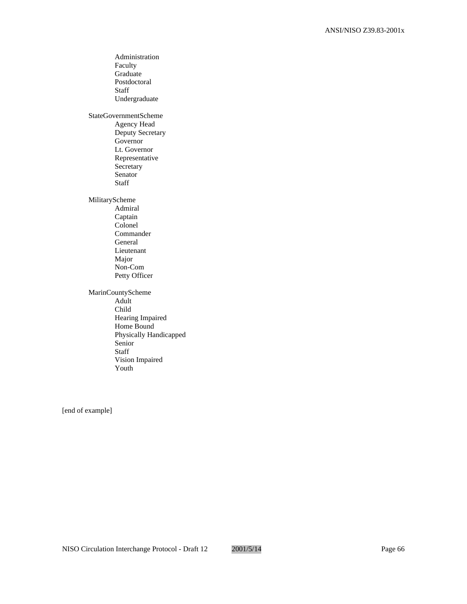Administration Faculty Graduate Postdoctoral Staff Undergraduate StateGovernmentScheme Agency Head Deputy Secretary Governor Lt. Governor Representative **Secretary** Senator Staff MilitaryScheme Admiral Captain Colonel Commander General Lieutenant Major Non-Com Petty Officer MarinCountyScheme Adult Child Hearing Impaired Home Bound Physically Handicapped Senior Staff Vision Impaired Youth

[end of example]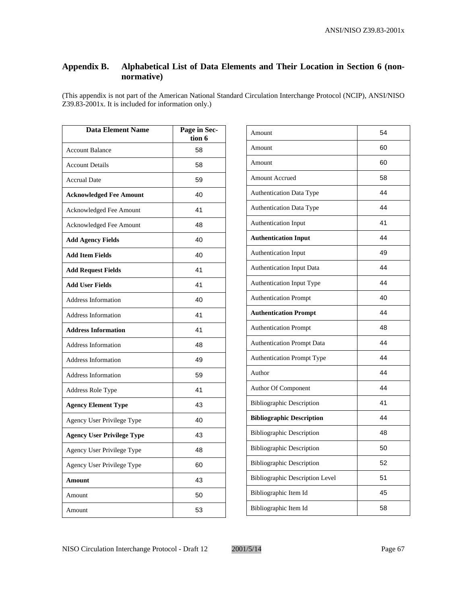## **Appendix B. Alphabetical List of Data Elements and Their Location in Section 6 (nonnormative)**

(This appendix is not part of the American National Standard Circulation Interchange Protocol (NCIP), ANSI/NISO Z39.83-2001x. It is included for information only.)

| <b>Data Element Name</b>          | Page in Sec-<br>tion 6 |
|-----------------------------------|------------------------|
| <b>Account Balance</b>            | 58                     |
| <b>Account Details</b>            | 58                     |
| <b>Accrual Date</b>               | 59                     |
| <b>Acknowledged Fee Amount</b>    | 40                     |
| Acknowledged Fee Amount           | 41                     |
| Acknowledged Fee Amount           | 48                     |
| <b>Add Agency Fields</b>          | 40                     |
| <b>Add Item Fields</b>            | 40                     |
| <b>Add Request Fields</b>         | 41                     |
| <b>Add User Fields</b>            | 41                     |
| <b>Address Information</b>        | 40                     |
| <b>Address Information</b>        | 41                     |
| <b>Address Information</b>        | 41                     |
| <b>Address Information</b>        | 48                     |
| <b>Address Information</b>        | 49                     |
| <b>Address Information</b>        | 59                     |
| Address Role Type                 | 41                     |
| <b>Agency Element Type</b>        | 43                     |
| Agency User Privilege Type        | 40                     |
| <b>Agency User Privilege Type</b> | 43                     |
| Agency User Privilege Type        | 48                     |
| Agency User Privilege Type        | 60                     |
| Amount                            | 43                     |
| Amount                            | 50                     |
| Amount                            | 53                     |

| Amount                                 | 54 |
|----------------------------------------|----|
| Amount                                 | 60 |
| Amount                                 | 60 |
| <b>Amount Accrued</b>                  | 58 |
| <b>Authentication Data Type</b>        | 44 |
| Authentication Data Type               | 44 |
| Authentication Input                   | 41 |
| <b>Authentication Input</b>            | 44 |
| Authentication Input                   | 49 |
| <b>Authentication Input Data</b>       | 44 |
| Authentication Input Type              | 44 |
| <b>Authentication Prompt</b>           | 40 |
| <b>Authentication Prompt</b>           | 44 |
| <b>Authentication Prompt</b>           | 48 |
| <b>Authentication Prompt Data</b>      | 44 |
| <b>Authentication Prompt Type</b>      | 44 |
| Author                                 | 44 |
| Author Of Component                    | 44 |
| <b>Bibliographic Description</b>       | 41 |
| <b>Bibliographic Description</b>       | 44 |
| <b>Bibliographic Description</b>       | 48 |
| <b>Bibliographic Description</b>       | 50 |
| <b>Bibliographic Description</b>       | 52 |
| <b>Bibliographic Description Level</b> | 51 |
| Bibliographic Item Id                  | 45 |
| Bibliographic Item Id                  | 58 |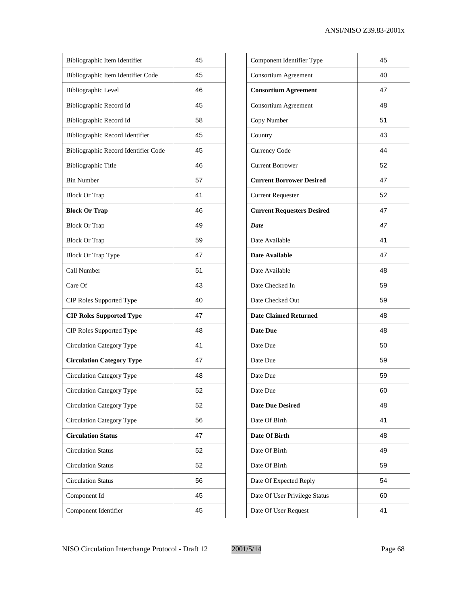| Bibliographic Item Identifier        | 45 |
|--------------------------------------|----|
| Bibliographic Item Identifier Code   | 45 |
| <b>Bibliographic Level</b>           | 46 |
| Bibliographic Record Id              | 45 |
| Bibliographic Record Id              | 58 |
| Bibliographic Record Identifier      | 45 |
| Bibliographic Record Identifier Code | 45 |
| <b>Bibliographic Title</b>           | 46 |
| <b>Bin Number</b>                    | 57 |
| <b>Block Or Trap</b>                 | 41 |
| <b>Block Or Trap</b>                 | 46 |
| <b>Block Or Trap</b>                 | 49 |
| <b>Block Or Trap</b>                 | 59 |
| Block Or Trap Type                   | 47 |
| Call Number                          | 51 |
| Care Of                              | 43 |
| CIP Roles Supported Type             | 40 |
| <b>CIP Roles Supported Type</b>      | 47 |
| CIP Roles Supported Type             | 48 |
| Circulation Category Type            | 41 |
| <b>Circulation Category Type</b>     | 47 |
| Circulation Category Type            | 48 |
| Circulation Category Type            | 52 |
| Circulation Category Type            | 52 |
| Circulation Category Type            | 56 |
| <b>Circulation Status</b>            | 47 |
| <b>Circulation Status</b>            | 52 |
| <b>Circulation Status</b>            | 52 |
| <b>Circulation Status</b>            | 56 |
| Component Id                         | 45 |
| Component Identifier                 | 45 |

| Component Identifier Type         | 45 |
|-----------------------------------|----|
| Consortium Agreement              | 40 |
| <b>Consortium Agreement</b>       | 47 |
| Consortium Agreement              | 48 |
| Copy Number                       | 51 |
| Country                           | 43 |
| <b>Currency Code</b>              | 44 |
| <b>Current Borrower</b>           | 52 |
| <b>Current Borrower Desired</b>   | 47 |
| <b>Current Requester</b>          | 52 |
| <b>Current Requesters Desired</b> | 47 |
| <b>Date</b>                       | 47 |
| Date Available                    | 41 |
| Date Available                    | 47 |
| Date Available                    | 48 |
| Date Checked In                   | 59 |
| Date Checked Out                  | 59 |
| <b>Date Claimed Returned</b>      | 48 |
| <b>Date Due</b>                   | 48 |
| Date Due                          | 50 |
| Date Due                          | 59 |
| Date Due                          | 59 |
| Date Due                          | 60 |
| <b>Date Due Desired</b>           | 48 |
| Date Of Birth                     | 41 |
| Date Of Birth                     | 48 |
| Date Of Birth                     | 49 |
| Date Of Birth                     | 59 |
| Date Of Expected Reply            | 54 |
| Date Of User Privilege Status     | 60 |
| Date Of User Request              | 41 |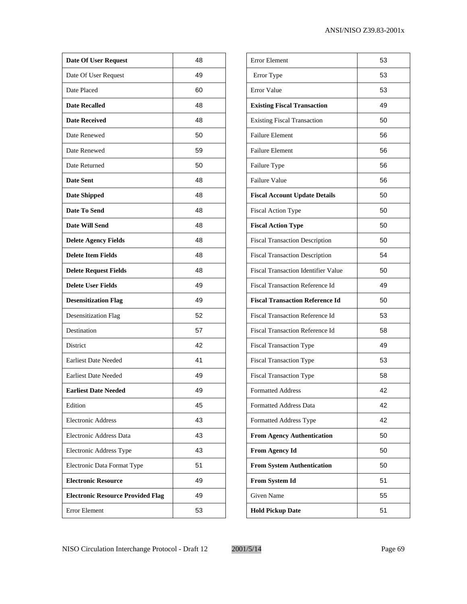| <b>Date Of User Request</b>              | 48 |
|------------------------------------------|----|
| Date Of User Request                     | 49 |
| Date Placed                              | 60 |
| <b>Date Recalled</b>                     | 48 |
| <b>Date Received</b>                     | 48 |
| Date Renewed                             | 50 |
| Date Renewed                             | 59 |
| Date Returned                            | 50 |
| <b>Date Sent</b>                         | 48 |
| <b>Date Shipped</b>                      | 48 |
| Date To Send                             | 48 |
| Date Will Send                           | 48 |
| <b>Delete Agency Fields</b>              | 48 |
| <b>Delete Item Fields</b>                | 48 |
| <b>Delete Request Fields</b>             | 48 |
| <b>Delete User Fields</b>                | 49 |
| <b>Desensitization Flag</b>              | 49 |
| <b>Desensitization Flag</b>              | 52 |
| Destination                              | 57 |
| District                                 | 42 |
| <b>Earliest Date Needed</b>              | 41 |
| <b>Earliest Date Needed</b>              | 49 |
| <b>Earliest Date Needed</b>              | 49 |
| Edition                                  | 45 |
| <b>Electronic Address</b>                | 43 |
| Electronic Address Data                  | 43 |
| Electronic Address Type                  | 43 |
| Electronic Data Format Type              | 51 |
| <b>Electronic Resource</b>               | 49 |
| <b>Electronic Resource Provided Flag</b> | 49 |
| Error Element                            | 53 |
|                                          |    |

| <b>Error Element</b>                       | 53 |
|--------------------------------------------|----|
| Error Type                                 | 53 |
| <b>Error Value</b>                         | 53 |
| <b>Existing Fiscal Transaction</b>         | 49 |
| <b>Existing Fiscal Transaction</b>         | 50 |
| <b>Failure Element</b>                     | 56 |
| <b>Failure Element</b>                     | 56 |
| Failure Type                               | 56 |
| <b>Failure Value</b>                       | 56 |
| <b>Fiscal Account Update Details</b>       | 50 |
| <b>Fiscal Action Type</b>                  | 50 |
| <b>Fiscal Action Type</b>                  | 50 |
| <b>Fiscal Transaction Description</b>      | 50 |
| <b>Fiscal Transaction Description</b>      | 54 |
| <b>Fiscal Transaction Identifier Value</b> | 50 |
| <b>Fiscal Transaction Reference Id</b>     | 49 |
| <b>Fiscal Transaction Reference Id</b>     | 50 |
| <b>Fiscal Transaction Reference Id</b>     | 53 |
| <b>Fiscal Transaction Reference Id</b>     | 58 |
| <b>Fiscal Transaction Type</b>             | 49 |
| <b>Fiscal Transaction Type</b>             | 53 |
| <b>Fiscal Transaction Type</b>             | 58 |
| <b>Formatted Address</b>                   | 42 |
| <b>Formatted Address Data</b>              | 42 |
| <b>Formatted Address Type</b>              | 42 |
| <b>From Agency Authentication</b>          | 50 |
| <b>From Agency Id</b>                      | 50 |
| <b>From System Authentication</b>          | 50 |
| From System Id                             | 51 |
| Given Name                                 | 55 |
| <b>Hold Pickup Date</b>                    | 51 |
|                                            |    |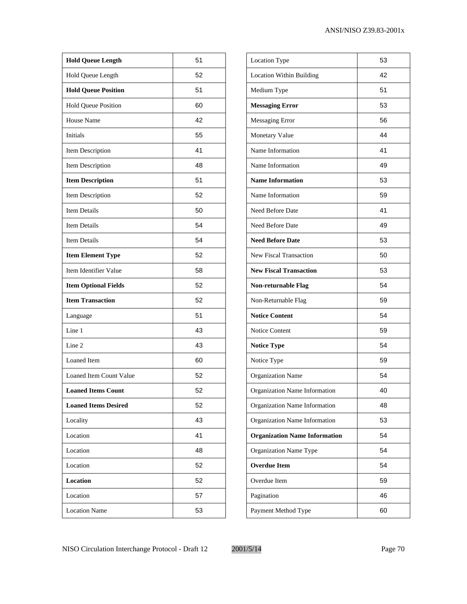| <b>Hold Queue Length</b>    | 51 |
|-----------------------------|----|
| Hold Queue Length           | 52 |
| <b>Hold Queue Position</b>  | 51 |
| <b>Hold Queue Position</b>  | 60 |
| <b>House Name</b>           | 42 |
| Initials                    | 55 |
| Item Description            | 41 |
| Item Description            | 48 |
| <b>Item Description</b>     | 51 |
| Item Description            | 52 |
| <b>Item Details</b>         | 50 |
| <b>Item Details</b>         | 54 |
| <b>Item Details</b>         | 54 |
| <b>Item Element Type</b>    | 52 |
| Item Identifier Value       | 58 |
| <b>Item Optional Fields</b> | 52 |
| <b>Item Transaction</b>     | 52 |
| Language                    | 51 |
| Line 1                      | 43 |
| Line 2                      | 43 |
| Loaned Item                 | 60 |
| Loaned Item Count Value     | 52 |
| <b>Loaned Items Count</b>   | 52 |
| <b>Loaned Items Desired</b> | 52 |
| Locality                    | 43 |
| Location                    | 41 |
| Location                    | 48 |
| Location                    | 52 |
| <b>Location</b>             | 52 |
| Location                    | 57 |
| <b>Location Name</b>        | 53 |
|                             |    |

| <b>Location Type</b>                 | 53 |
|--------------------------------------|----|
| <b>Location Within Building</b>      | 42 |
| Medium Type                          | 51 |
| <b>Messaging Error</b>               | 53 |
| Messaging Error                      | 56 |
| Monetary Value                       | 44 |
| Name Information                     | 41 |
| Name Information                     | 49 |
| <b>Name Information</b>              | 53 |
| Name Information                     | 59 |
| Need Before Date                     | 41 |
| Need Before Date                     | 49 |
| <b>Need Before Date</b>              | 53 |
| <b>New Fiscal Transaction</b>        | 50 |
| <b>New Fiscal Transaction</b>        | 53 |
| <b>Non-returnable Flag</b>           | 54 |
| Non-Returnable Flag                  | 59 |
| <b>Notice Content</b>                | 54 |
| Notice Content                       | 59 |
| <b>Notice Type</b>                   | 54 |
| Notice Type                          | 59 |
| <b>Organization Name</b>             | 54 |
| Organization Name Information        | 40 |
| Organization Name Information        | 48 |
| Organization Name Information        | 53 |
| <b>Organization Name Information</b> | 54 |
| Organization Name Type               | 54 |
| <b>Overdue Item</b>                  | 54 |
| Overdue Item                         | 59 |
| Pagination                           | 46 |
| Payment Method Type                  | 60 |
|                                      |    |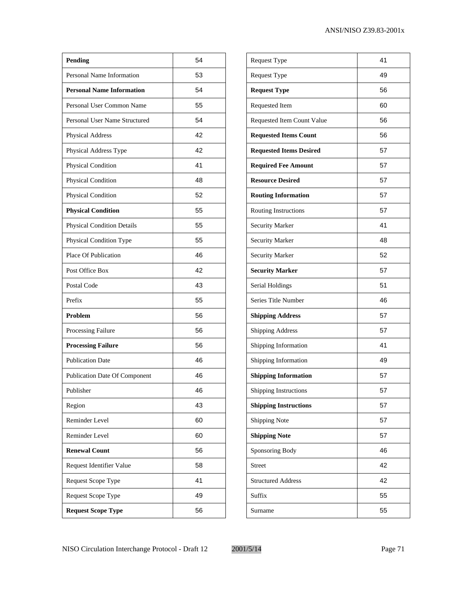| Pending                              | 54 |
|--------------------------------------|----|
| Personal Name Information            | 53 |
| <b>Personal Name Information</b>     | 54 |
| Personal User Common Name            | 55 |
| Personal User Name Structured        | 54 |
| <b>Physical Address</b>              | 42 |
| Physical Address Type                | 42 |
| Physical Condition                   | 41 |
| Physical Condition                   | 48 |
| Physical Condition                   | 52 |
| <b>Physical Condition</b>            | 55 |
| <b>Physical Condition Details</b>    | 55 |
| Physical Condition Type              | 55 |
| Place Of Publication                 | 46 |
| Post Office Box                      | 42 |
| Postal Code                          | 43 |
| Prefix                               | 55 |
| Problem                              | 56 |
| Processing Failure                   | 56 |
| <b>Processing Failure</b>            | 56 |
| <b>Publication Date</b>              | 46 |
| <b>Publication Date Of Component</b> | 46 |
| Publisher                            | 46 |
| Region                               | 43 |
| Reminder Level                       | 60 |
| Reminder Level                       | 60 |
| <b>Renewal Count</b>                 | 56 |
| Request Identifier Value             | 58 |
| Request Scope Type                   | 41 |
| Request Scope Type                   | 49 |
| <b>Request Scope Type</b>            | 56 |
|                                      |    |

| Request Type                   | 41 |
|--------------------------------|----|
| Request Type                   | 49 |
| <b>Request Type</b>            | 56 |
| Requested Item                 | 60 |
| Requested Item Count Value     | 56 |
| <b>Requested Items Count</b>   | 56 |
| <b>Requested Items Desired</b> | 57 |
| <b>Required Fee Amount</b>     | 57 |
| <b>Resource Desired</b>        | 57 |
| <b>Routing Information</b>     | 57 |
| <b>Routing Instructions</b>    | 57 |
| <b>Security Marker</b>         | 41 |
| Security Marker                | 48 |
| Security Marker                | 52 |
| <b>Security Marker</b>         | 57 |
| Serial Holdings                | 51 |
| Series Title Number            | 46 |
| <b>Shipping Address</b>        | 57 |
| <b>Shipping Address</b>        | 57 |
| Shipping Information           | 41 |
| Shipping Information           | 49 |
| <b>Shipping Information</b>    | 57 |
| Shipping Instructions          | 57 |
| <b>Shipping Instructions</b>   | 57 |
| <b>Shipping Note</b>           | 57 |
| <b>Shipping Note</b>           | 57 |
| Sponsoring Body                | 46 |
| <b>Street</b>                  | 42 |
| <b>Structured Address</b>      | 42 |
| Suffix                         | 55 |
| Surname                        | 55 |
|                                |    |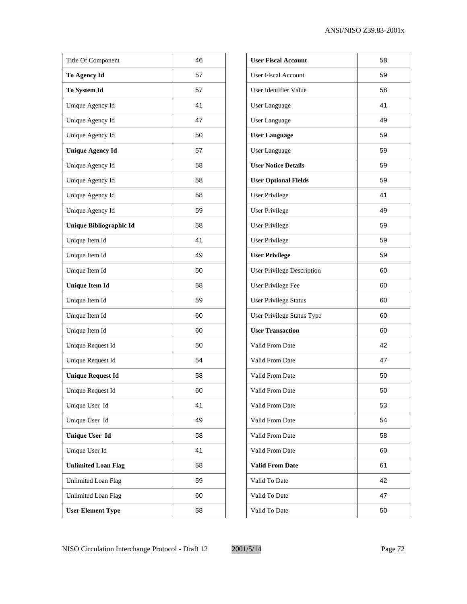| Title Of Component         | 46 |
|----------------------------|----|
| To Agency Id               | 57 |
| To System Id               | 57 |
| Unique Agency Id           | 41 |
| Unique Agency Id           | 47 |
| Unique Agency Id           | 50 |
| <b>Unique Agency Id</b>    | 57 |
| Unique Agency Id           | 58 |
| Unique Agency Id           | 58 |
| Unique Agency Id           | 58 |
| Unique Agency Id           | 59 |
| Unique Bibliographic Id    | 58 |
| Unique Item Id             | 41 |
| Unique Item Id             | 49 |
| Unique Item Id             | 50 |
| <b>Unique Item Id</b>      | 58 |
| Unique Item Id             | 59 |
| Unique Item Id             | 60 |
| Unique Item Id             | 60 |
| Unique Request Id          | 50 |
| Unique Request Id          | 54 |
| <b>Unique Request Id</b>   | 58 |
| Unique Request Id          | 60 |
| Unique User Id             | 41 |
| Unique User Id             | 49 |
| <b>Unique User Id</b>      | 58 |
| Unique User Id             | 41 |
| <b>Unlimited Loan Flag</b> | 58 |
| <b>Unlimited Loan Flag</b> | 59 |
| <b>Unlimited Loan Flag</b> | 60 |
| <b>User Element Type</b>   | 58 |

| <b>User Fiscal Account</b>        | 58 |
|-----------------------------------|----|
| <b>User Fiscal Account</b>        | 59 |
| User Identifier Value             | 58 |
| User Language                     | 41 |
| <b>User Language</b>              | 49 |
| <b>User Language</b>              | 59 |
| User Language                     | 59 |
| <b>User Notice Details</b>        | 59 |
| <b>User Optional Fields</b>       | 59 |
| User Privilege                    | 41 |
| <b>User Privilege</b>             | 49 |
| User Privilege                    | 59 |
| <b>User Privilege</b>             | 59 |
| <b>User Privilege</b>             | 59 |
| <b>User Privilege Description</b> | 60 |
| User Privilege Fee                | 60 |
| <b>User Privilege Status</b>      | 60 |
| User Privilege Status Type        | 60 |
| <b>User Transaction</b>           | 60 |
| Valid From Date                   | 42 |
| Valid From Date                   | 47 |
| Valid From Date                   | 50 |
| Valid From Date                   | 50 |
| Valid From Date                   | 53 |
| Valid From Date                   | 54 |
| Valid From Date                   | 58 |
| Valid From Date                   | 60 |
| <b>Valid From Date</b>            | 61 |
| Valid To Date                     | 42 |
| Valid To Date                     | 47 |
| Valid To Date                     | 50 |
|                                   |    |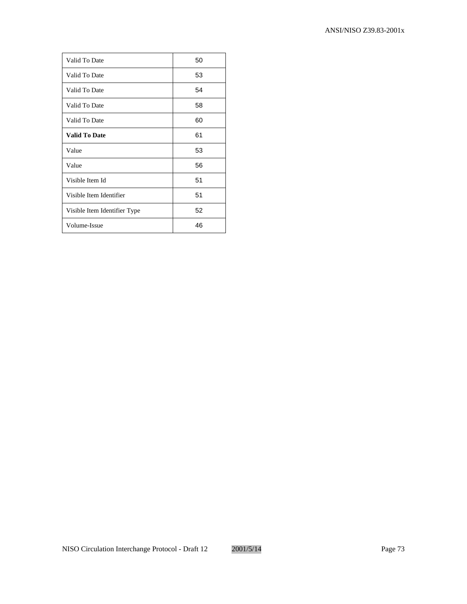| Valid To Date                | 50 |
|------------------------------|----|
| Valid To Date                | 53 |
| Valid To Date                | 54 |
| Valid To Date                | 58 |
| Valid To Date                | 60 |
| <b>Valid To Date</b>         | 61 |
| Value                        | 53 |
| Value                        | 56 |
| Visible Item Id              | 51 |
| Visible Item Identifier      | 51 |
| Visible Item Identifier Type | 52 |
| Volume-Issue                 | 46 |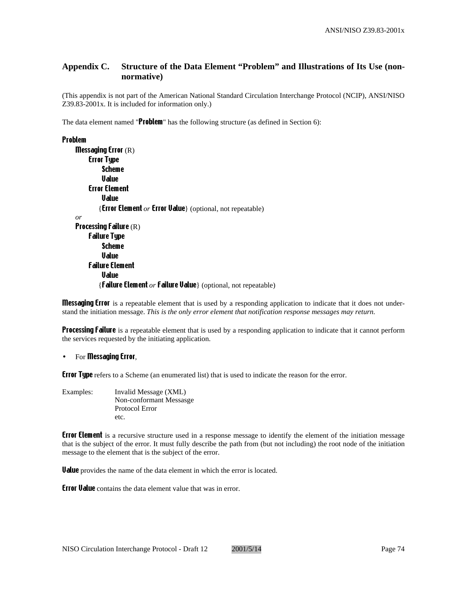# **Appendix C. Structure of the Data Element "Problem" and Illustrations of Its Use (nonnormative)**

(This appendix is not part of the American National Standard Circulation Interchange Protocol (NCIP), ANSI/NISO Z39.83-2001x. It is included for information only.)

The data element named "Problem" has the following structure (as defined in Section 6):

#### Problem

```
Messaging Error (R)
    Error Type
         Scheme
         Value
    Error Element
         Value
        {Error Element or Error Value} (optional, not repeatable)
or
Processing Failure (R)
    Failure Type
         Scheme
         Value
    Failure Element
         Value
        {Failure Element or Failure Value} (optional, not repeatable)
```
**Messaging Error** is a repeatable element that is used by a responding application to indicate that it does not understand the initiation message. *This is the only error element that notification response messages may return.*

**Processing Failure** is a repeatable element that is used by a responding application to indicate that it cannot perform the services requested by the initiating application.

#### For **Messaging Error**,

**Error Type** refers to a Scheme (an enumerated list) that is used to indicate the reason for the error.

Examples: Invalid Message (XML) Non-conformant Messasge Protocol Error etc.

**Error Element** is a recursive structure used in a response message to identify the element of the initiation message that is the subject of the error. It must fully describe the path from (but not including) the root node of the initiation message to the element that is the subject of the error.

**Value** provides the name of the data element in which the error is located.

**Error Value** contains the data element value that was in error.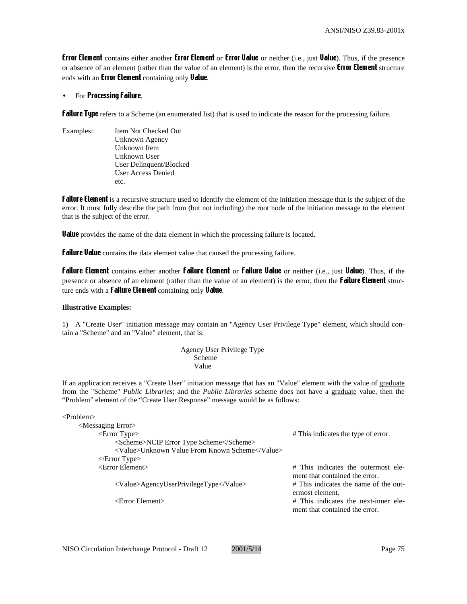**Error Element** contains either another **Error Element** or **Error Value** or neither (i.e., just Value). Thus, if the presence or absence of an element (rather than the value of an element) is the error, then the recursive **Error Element** structure ends with an **Error Element** containing only **Value**.

## For **Processing Failure**,

**Failure Type** refers to a Scheme (an enumerated list) that is used to indicate the reason for the processing failure.

Examples: Item Not Checked Out Unknown Agency Unknown Item Unknown User User Delinquent/Blocked User Access Denied etc.

**Failure Element** is a recursive structure used to identify the element of the initiation message that is the subject of the error. It must fully describe the path from (but not including) the root node of the initiation message to the element that is the subject of the error.

**Value** provides the name of the data element in which the processing failure is located.

**Failure Value** contains the data element value that caused the processing failure.

Failure Element contains either another Failure Element or Failure Value or neither (i.e., just Value). Thus, if the presence or absence of an element (rather than the value of an element) is the error, then the **failure Element** structure ends with a **Failure Element** containing only **Value**.

#### **Illustrative Examples:**

1) A "Create User" initiation message may contain an "Agency User Privilege Type" element, which should contain a "Scheme" and an "Value" element, that is:

> Agency User Privilege Type Scheme Value

If an application receives a "Create User" initiation message that has an "Value" element with the value of graduate from the "Scheme" *Public Libraries*; and the *Public Libraries* scheme does not have a graduate value, then the "Problem" element of the "Create User Response" message would be as follows:

| $\langle$ Problem $\rangle$                    |                                                                        |
|------------------------------------------------|------------------------------------------------------------------------|
| <messaging error=""></messaging>               |                                                                        |
| $\epsilon$ – Error Type                        | # This indicates the type of error.                                    |
| <scheme>NCIP Error Type Scheme</scheme>        |                                                                        |
| <value>Unknown Value From Known Scheme</value> |                                                                        |
| $\langle$ Error Type $\rangle$                 |                                                                        |
| $\epsilon$ Error Element $>$                   | # This indicates the outermost ele-<br>ment that contained the error.  |
| <value>AgencyUserPrivilegeType</value>         | # This indicates the name of the out-<br>ermost element.               |
| $\epsilon$ Error Element $>$                   | # This indicates the next-inner ele-<br>ment that contained the error. |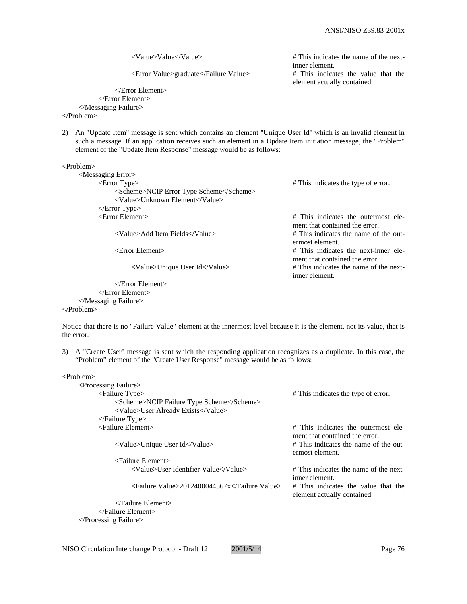<Value>Value</Value> # This indicates the name of the nextinner element. <Error Value>graduate</Failure Value> # This indicates the value that the element actually contained.

</Error Element> </Error Element> </Messaging Failure>

</Problem>

2) An "Update Item" message is sent which contains an element "Unique User Id" which is an invalid element in such a message. If an application receives such an element in a Update Item initiation message, the "Problem" element of the "Update Item Response" message would be as follows:

<Problem>

| $\leq$ Messaging Error $>$              |                                                                       |
|-----------------------------------------|-----------------------------------------------------------------------|
| $\epsilon$ = $\epsilon$ Type $\epsilon$ | # This indicates the type of error.                                   |
| <scheme>NCIP Error Type Scheme</scheme> |                                                                       |
| <value>Unknown Element</value>          |                                                                       |
| $\langle$ Error Type $\rangle$          |                                                                       |
| $\epsilon$ Error Element $>$            | # This indicates the outermost ele-<br>ment that contained the error. |
| <value>Add Item Fields</value>          | # This indicates the name of the out-<br>ermost element.              |
| $\epsilon$ Error Element                | # This indicates the next-inner ele-                                  |
|                                         | ment that contained the error.                                        |
| <value>Unique User Id</value>           | # This indicates the name of the next-                                |
|                                         | inner element.                                                        |

| $\langle$ Error Element $\rangle$  |
|------------------------------------|
| $\langle$ /Error Element $\rangle$ |
|                                    |

</Problem>

Notice that there is no "Failure Value" element at the innermost level because it is the element, not its value, that is the error.

3) A "Create User" message is sent which the responding application recognizes as a duplicate. In this case, the "Problem" element of the "Create User Response" message would be as follows:

<Problem>

| $\leq$ Processing Failure $>$              |                                                                       |
|--------------------------------------------|-----------------------------------------------------------------------|
| $\leq$ Failure Type $>$                    | # This indicates the type of error.                                   |
| <scheme>NCIP Failure Type Scheme</scheme>  |                                                                       |
| <value>User Already Exists</value>         |                                                                       |
| $\langle$ Failure Type $\rangle$           |                                                                       |
| $\le$ Failure Element $>$                  | # This indicates the outermost ele-<br>ment that contained the error. |
| <value>Unique User Id</value>              | # This indicates the name of the out-<br>ermost element.              |
| $\leq$ Failure Element $>$                 |                                                                       |
| <value>User Identifier Value</value>       | # This indicates the name of the next-<br>inner element.              |
| <failure value="">2012400044567x</failure> | # This indicates the value that the<br>element actually contained.    |
| $\langle$ Failure Element $\rangle$        |                                                                       |
| $\triangle$ Failure Element $>$            |                                                                       |

</Processing Failure>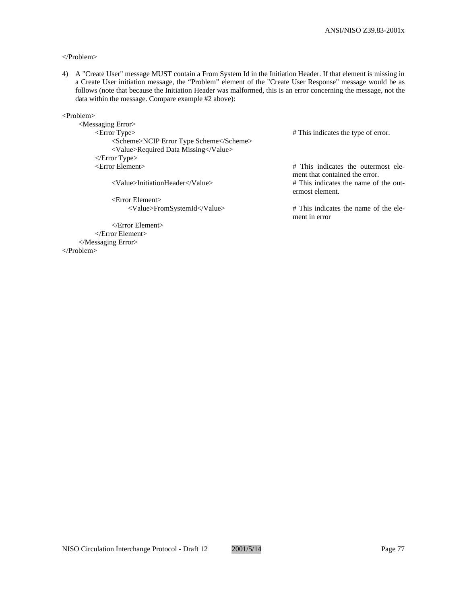## </Problem>

4) A "Create User" message MUST contain a From System Id in the Initiation Header. If that element is missing in a Create User initiation message, the "Problem" element of the "Create User Response" message would be as follows (note that because the Initiation Header was malformed, this is an error concerning the message, not the data within the message. Compare example #2 above):

<Problem>

<Messaging Error> <Error Type> # This indicates the type of error. <Scheme>NCIP Error Type Scheme</Scheme> <Value>Required Data Missing</Value> </Error Type> <Error Element> # This indicates the outermost ele-

<Error Element>

</Error Element> </Error Element> </Messaging Error> </Problem>

ment that contained the error. <Value>InitiationHeader</Value> # This indicates the name of the outermost element.

<Value>FromSystemId</Value> # This indicates the name of the element in error